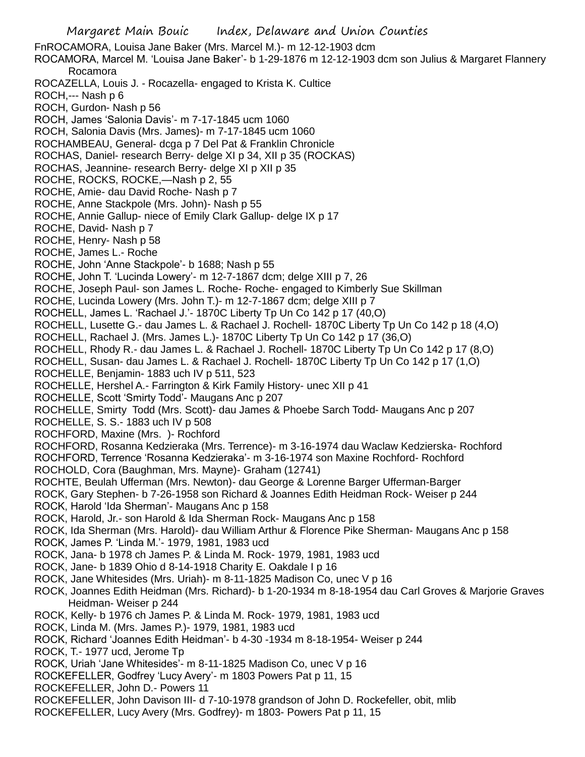FnROCAMORA, Louisa Jane Baker (Mrs. Marcel M.)- m 12-12-1903 dcm ROCAMORA, Marcel M. 'Louisa Jane Baker'- b 1-29-1876 m 12-12-1903 dcm son Julius & Margaret Flannery Rocamora ROCAZELLA, Louis J. - Rocazella- engaged to Krista K. Cultice ROCH,--- Nash p 6 ROCH, Gurdon- Nash p 56 ROCH, James 'Salonia Davis'- m 7-17-1845 ucm 1060 ROCH, Salonia Davis (Mrs. James)- m 7-17-1845 ucm 1060 ROCHAMBEAU, General- dcga p 7 Del Pat & Franklin Chronicle ROCHAS, Daniel- research Berry- delge XI p 34, XII p 35 (ROCKAS) ROCHAS, Jeannine- research Berry- delge XI p XII p 35 ROCHE, ROCKS, ROCKE,—Nash p 2, 55 ROCHE, Amie- dau David Roche- Nash p 7 ROCHE, Anne Stackpole (Mrs. John)- Nash p 55 ROCHE, Annie Gallup- niece of Emily Clark Gallup- delge IX p 17 ROCHE, David- Nash p 7 ROCHE, Henry- Nash p 58 ROCHE, James L.- Roche ROCHE, John 'Anne Stackpole'- b 1688; Nash p 55 ROCHE, John T. 'Lucinda Lowery'- m 12-7-1867 dcm; delge XIII p 7, 26 ROCHE, Joseph Paul- son James L. Roche- Roche- engaged to Kimberly Sue Skillman ROCHE, Lucinda Lowery (Mrs. John T.)- m 12-7-1867 dcm; delge XIII p 7 ROCHELL, James L. 'Rachael J.'- 1870C Liberty Tp Un Co 142 p 17 (40,O) ROCHELL, Lusette G.- dau James L. & Rachael J. Rochell- 1870C Liberty Tp Un Co 142 p 18 (4,O) ROCHELL, Rachael J. (Mrs. James L.)- 1870C Liberty Tp Un Co 142 p 17 (36,O) ROCHELL, Rhody R.- dau James L. & Rachael J. Rochell- 1870C Liberty Tp Un Co 142 p 17 (8,O) ROCHELL, Susan- dau James L. & Rachael J. Rochell- 1870C Liberty Tp Un Co 142 p 17 (1,O) ROCHELLE, Benjamin- 1883 uch IV p 511, 523 ROCHELLE, Hershel A.- Farrington & Kirk Family History- unec XII p 41 ROCHELLE, Scott 'Smirty Todd'- Maugans Anc p 207 ROCHELLE, Smirty Todd (Mrs. Scott)- dau James & Phoebe Sarch Todd- Maugans Anc p 207 ROCHELLE, S. S.- 1883 uch IV p 508 ROCHFORD, Maxine (Mrs. )- Rochford ROCHFORD, Rosanna Kedzieraka (Mrs. Terrence)- m 3-16-1974 dau Waclaw Kedzierska- Rochford ROCHFORD, Terrence 'Rosanna Kedzieraka'- m 3-16-1974 son Maxine Rochford- Rochford ROCHOLD, Cora (Baughman, Mrs. Mayne)- Graham (12741) ROCHTE, Beulah Ufferman (Mrs. Newton)- dau George & Lorenne Barger Ufferman-Barger ROCK, Gary Stephen- b 7-26-1958 son Richard & Joannes Edith Heidman Rock- Weiser p 244 ROCK, Harold 'Ida Sherman'- Maugans Anc p 158 ROCK, Harold, Jr.- son Harold & Ida Sherman Rock- Maugans Anc p 158 ROCK, Ida Sherman (Mrs. Harold)- dau William Arthur & Florence Pike Sherman- Maugans Anc p 158 ROCK, James P. 'Linda M.'- 1979, 1981, 1983 ucd ROCK, Jana- b 1978 ch James P. & Linda M. Rock- 1979, 1981, 1983 ucd ROCK, Jane- b 1839 Ohio d 8-14-1918 Charity E. Oakdale I p 16 ROCK, Jane Whitesides (Mrs. Uriah)- m 8-11-1825 Madison Co, unec V p 16 ROCK, Joannes Edith Heidman (Mrs. Richard)- b 1-20-1934 m 8-18-1954 dau Carl Groves & Marjorie Graves Heidman- Weiser p 244 ROCK, Kelly- b 1976 ch James P. & Linda M. Rock- 1979, 1981, 1983 ucd ROCK, Linda M. (Mrs. James P.)- 1979, 1981, 1983 ucd ROCK, Richard 'Joannes Edith Heidman'- b 4-30 -1934 m 8-18-1954- Weiser p 244 ROCK, T.- 1977 ucd, Jerome Tp ROCK, Uriah 'Jane Whitesides'- m 8-11-1825 Madison Co, unec V p 16 ROCKEFELLER, Godfrey 'Lucy Avery'- m 1803 Powers Pat p 11, 15 ROCKEFELLER, John D.- Powers 11 ROCKEFELLER, John Davison III- d 7-10-1978 grandson of John D. Rockefeller, obit, mlib

ROCKEFELLER, Lucy Avery (Mrs. Godfrey)- m 1803- Powers Pat p 11, 15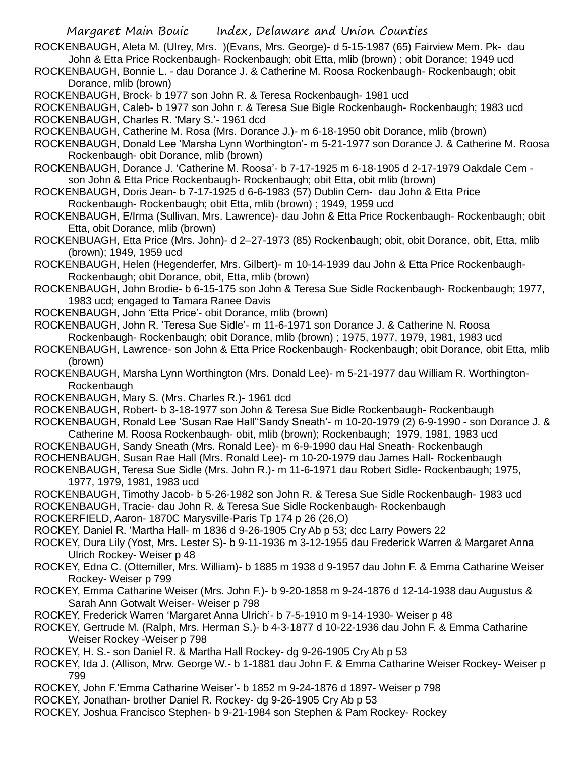- ROCKENBAUGH, Aleta M. (Ulrey, Mrs. )(Evans, Mrs. George)- d 5-15-1987 (65) Fairview Mem. Pk- dau John & Etta Price Rockenbaugh- Rockenbaugh; obit Etta, mlib (brown) ; obit Dorance; 1949 ucd
- ROCKENBAUGH, Bonnie L. dau Dorance J. & Catherine M. Roosa Rockenbaugh- Rockenbaugh; obit Dorance, mlib (brown)
- ROCKENBAUGH, Brock- b 1977 son John R. & Teresa Rockenbaugh- 1981 ucd
- ROCKENBAUGH, Caleb- b 1977 son John r. & Teresa Sue Bigle Rockenbaugh- Rockenbaugh; 1983 ucd ROCKENBAUGH, Charles R. 'Mary S.'- 1961 dcd
- ROCKENBAUGH, Catherine M. Rosa (Mrs. Dorance J.)- m 6-18-1950 obit Dorance, mlib (brown)
- ROCKENBAUGH, Donald Lee 'Marsha Lynn Worthington'- m 5-21-1977 son Dorance J. & Catherine M. Roosa Rockenbaugh- obit Dorance, mlib (brown)
- ROCKENBAUGH, Dorance J. 'Catherine M. Roosa'- b 7-17-1925 m 6-18-1905 d 2-17-1979 Oakdale Cem son John & Etta Price Rockenbaugh- Rockenbaugh; obit Etta, obit mlib (brown)
- ROCKENBAUGH, Doris Jean- b 7-17-1925 d 6-6-1983 (57) Dublin Cem- dau John & Etta Price Rockenbaugh- Rockenbaugh; obit Etta, mlib (brown) ; 1949, 1959 ucd
- ROCKENBAUGH, E/Irma (Sullivan, Mrs. Lawrence)- dau John & Etta Price Rockenbaugh- Rockenbaugh; obit Etta, obit Dorance, mlib (brown)
- ROCKENBUAGH, Etta Price (Mrs. John)- d 2–27-1973 (85) Rockenbaugh; obit, obit Dorance, obit, Etta, mlib (brown); 1949, 1959 ucd
- ROCKENBAUGH, Helen (Hegenderfer, Mrs. Gilbert)- m 10-14-1939 dau John & Etta Price Rockenbaugh-Rockenbaugh; obit Dorance, obit, Etta, mlib (brown)
- ROCKENBAUGH, John Brodie- b 6-15-175 son John & Teresa Sue Sidle Rockenbaugh- Rockenbaugh; 1977, 1983 ucd; engaged to Tamara Ranee Davis
- ROCKENBAUGH, John 'Etta Price'- obit Dorance, mlib (brown)
- ROCKENBAUGH, John R. 'Teresa Sue Sidle'- m 11-6-1971 son Dorance J. & Catherine N. Roosa Rockenbaugh- Rockenbaugh; obit Dorance, mlib (brown) ; 1975, 1977, 1979, 1981, 1983 ucd
- ROCKENBAUGH, Lawrence- son John & Etta Price Rockenbaugh- Rockenbaugh; obit Dorance, obit Etta, mlib (brown)
- ROCKENBAUGH, Marsha Lynn Worthington (Mrs. Donald Lee)- m 5-21-1977 dau William R. Worthington-Rockenbaugh
- ROCKENBAUGH, Mary S. (Mrs. Charles R.)- 1961 dcd
- ROCKENBAUGH, Robert- b 3-18-1977 son John & Teresa Sue Bidle Rockenbaugh- Rockenbaugh
- ROCKENBAUGH, Ronald Lee 'Susan Rae Hall''Sandy Sneath'- m 10-20-1979 (2) 6-9-1990 son Dorance J. & Catherine M. Roosa Rockenbaugh- obit, mlib (brown); Rockenbaugh; 1979, 1981, 1983 ucd
- ROCKENBAUGH, Sandy Sneath (Mrs. Ronald Lee)- m 6-9-1990 dau Hal Sneath- Rockenbaugh
- ROCHENBAUGH, Susan Rae Hall (Mrs. Ronald Lee)- m 10-20-1979 dau James Hall- Rockenbaugh
- ROCKENBAUGH, Teresa Sue Sidle (Mrs. John R.)- m 11-6-1971 dau Robert Sidle- Rockenbaugh; 1975, 1977, 1979, 1981, 1983 ucd
- ROCKENBAUGH, Timothy Jacob- b 5-26-1982 son John R. & Teresa Sue Sidle Rockenbaugh- 1983 ucd ROCKENBAUGH, Tracie- dau John R. & Teresa Sue Sidle Rockenbaugh- Rockenbaugh
- ROCKERFIELD, Aaron- 1870C Marysville-Paris Tp 174 p 26 (26,O)
- ROCKEY, Daniel R. 'Martha Hall- m 1836 d 9-26-1905 Cry Ab p 53; dcc Larry Powers 22
- ROCKEY, Dura Lily (Yost, Mrs. Lester S)- b 9-11-1936 m 3-12-1955 dau Frederick Warren & Margaret Anna Ulrich Rockey- Weiser p 48
- ROCKEY, Edna C. (Ottemiller, Mrs. William)- b 1885 m 1938 d 9-1957 dau John F. & Emma Catharine Weiser Rockey- Weiser p 799
- ROCKEY, Emma Catharine Weiser (Mrs. John F.)- b 9-20-1858 m 9-24-1876 d 12-14-1938 dau Augustus & Sarah Ann Gotwalt Weiser- Weiser p 798
- ROCKEY, Frederick Warren 'Margaret Anna Ulrich'- b 7-5-1910 m 9-14-1930- Weiser p 48
- ROCKEY, Gertrude M. (Ralph, Mrs. Herman S.)- b 4-3-1877 d 10-22-1936 dau John F. & Emma Catharine Weiser Rockey -Weiser p 798
- ROCKEY, H. S.- son Daniel R. & Martha Hall Rockey- dg 9-26-1905 Cry Ab p 53
- ROCKEY, Ida J. (Allison, Mrw. George W.- b 1-1881 dau John F. & Emma Catharine Weiser Rockey- Weiser p 799
- ROCKEY, John F.'Emma Catharine Weiser'- b 1852 m 9-24-1876 d 1897- Weiser p 798
- ROCKEY, Jonathan- brother Daniel R. Rockey- dg 9-26-1905 Cry Ab p 53
- ROCKEY, Joshua Francisco Stephen- b 9-21-1984 son Stephen & Pam Rockey- Rockey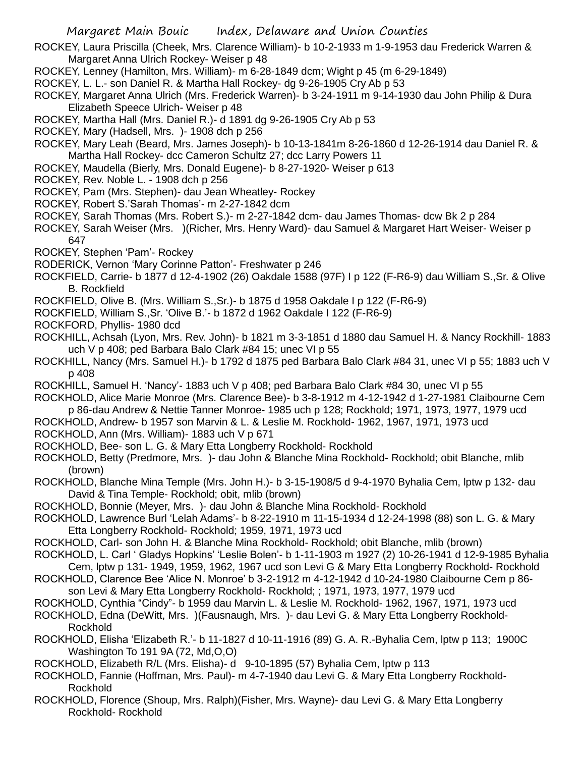ROCKEY, Laura Priscilla (Cheek, Mrs. Clarence William)- b 10-2-1933 m 1-9-1953 dau Frederick Warren & Margaret Anna Ulrich Rockey- Weiser p 48

- ROCKEY, Lenney (Hamilton, Mrs. William)- m 6-28-1849 dcm; Wight p 45 (m 6-29-1849)
- ROCKEY, L. L.- son Daniel R. & Martha Hall Rockey- dg 9-26-1905 Cry Ab p 53
- ROCKEY, Margaret Anna Ulrich (Mrs. Frederick Warren)- b 3-24-1911 m 9-14-1930 dau John Philip & Dura Elizabeth Speece Ulrich- Weiser p 48
- ROCKEY, Martha Hall (Mrs. Daniel R.)- d 1891 dg 9-26-1905 Cry Ab p 53
- ROCKEY, Mary (Hadsell, Mrs. )- 1908 dch p 256
- ROCKEY, Mary Leah (Beard, Mrs. James Joseph)- b 10-13-1841m 8-26-1860 d 12-26-1914 dau Daniel R. & Martha Hall Rockey- dcc Cameron Schultz 27; dcc Larry Powers 11
- ROCKEY, Maudella (Bierly, Mrs. Donald Eugene)- b 8-27-1920- Weiser p 613
- ROCKEY, Rev. Noble L. 1908 dch p 256
- ROCKEY, Pam (Mrs. Stephen)- dau Jean Wheatley- Rockey
- ROCKEY, Robert S.'Sarah Thomas'- m 2-27-1842 dcm
- ROCKEY, Sarah Thomas (Mrs. Robert S.)- m 2-27-1842 dcm- dau James Thomas- dcw Bk 2 p 284
- ROCKEY, Sarah Weiser (Mrs. )(Richer, Mrs. Henry Ward)- dau Samuel & Margaret Hart Weiser- Weiser p 647
- ROCKEY, Stephen 'Pam'- Rockey
- RODERICK, Vernon 'Mary Corinne Patton'- Freshwater p 246
- ROCKFIELD, Carrie- b 1877 d 12-4-1902 (26) Oakdale 1588 (97F) I p 122 (F-R6-9) dau William S.,Sr. & Olive B. Rockfield
- ROCKFIELD, Olive B. (Mrs. William S.,Sr.)- b 1875 d 1958 Oakdale I p 122 (F-R6-9)
- ROCKFIELD, William S.,Sr. 'Olive B.'- b 1872 d 1962 Oakdale I 122 (F-R6-9)
- ROCKFORD, Phyllis- 1980 dcd
- ROCKHILL, Achsah (Lyon, Mrs. Rev. John)- b 1821 m 3-3-1851 d 1880 dau Samuel H. & Nancy Rockhill- 1883 uch V p 408; ped Barbara Balo Clark #84 15; unec VI p 55
- ROCKHILL, Nancy (Mrs. Samuel H.)- b 1792 d 1875 ped Barbara Balo Clark #84 31, unec VI p 55; 1883 uch V p 408
- ROCKHILL, Samuel H. 'Nancy'- 1883 uch V p 408; ped Barbara Balo Clark #84 30, unec VI p 55
- ROCKHOLD, Alice Marie Monroe (Mrs. Clarence Bee)- b 3-8-1912 m 4-12-1942 d 1-27-1981 Claibourne Cem p 86-dau Andrew & Nettie Tanner Monroe- 1985 uch p 128; Rockhold; 1971, 1973, 1977, 1979 ucd
- ROCKHOLD, Andrew- b 1957 son Marvin & L. & Leslie M. Rockhold- 1962, 1967, 1971, 1973 ucd
- ROCKHOLD, Ann (Mrs. William)- 1883 uch V p 671
- ROCKHOLD, Bee- son L. G. & Mary Etta Longberry Rockhold- Rockhold
- ROCKHOLD, Betty (Predmore, Mrs. )- dau John & Blanche Mina Rockhold- Rockhold; obit Blanche, mlib (brown)
- ROCKHOLD, Blanche Mina Temple (Mrs. John H.)- b 3-15-1908/5 d 9-4-1970 Byhalia Cem, lptw p 132- dau David & Tina Temple- Rockhold; obit, mlib (brown)
- ROCKHOLD, Bonnie (Meyer, Mrs. )- dau John & Blanche Mina Rockhold- Rockhold
- ROCKHOLD, Lawrence Burl 'Lelah Adams'- b 8-22-1910 m 11-15-1934 d 12-24-1998 (88) son L. G. & Mary Etta Longberry Rockhold- Rockhold; 1959, 1971, 1973 ucd
- ROCKHOLD, Carl- son John H. & Blanche Mina Rockhold- Rockhold; obit Blanche, mlib (brown)
- ROCKHOLD, L. Carl ' Gladys Hopkins' 'Leslie Bolen'- b 1-11-1903 m 1927 (2) 10-26-1941 d 12-9-1985 Byhalia Cem, lptw p 131- 1949, 1959, 1962, 1967 ucd son Levi G & Mary Etta Longberry Rockhold- Rockhold
- ROCKHOLD, Clarence Bee 'Alice N. Monroe' b 3-2-1912 m 4-12-1942 d 10-24-1980 Claibourne Cem p 86-
- son Levi & Mary Etta Longberry Rockhold- Rockhold; ; 1971, 1973, 1977, 1979 ucd
- ROCKHOLD, Cynthia "Cindy"- b 1959 dau Marvin L. & Leslie M. Rockhold- 1962, 1967, 1971, 1973 ucd
- ROCKHOLD, Edna (DeWitt, Mrs. )(Fausnaugh, Mrs. )- dau Levi G. & Mary Etta Longberry Rockhold-Rockhold
- ROCKHOLD, Elisha 'Elizabeth R.'- b 11-1827 d 10-11-1916 (89) G. A. R.-Byhalia Cem, lptw p 113; 1900C Washington To 191 9A (72, Md,O,O)
- ROCKHOLD, Elizabeth R/L (Mrs. Elisha)- d 9-10-1895 (57) Byhalia Cem, lptw p 113
- ROCKHOLD, Fannie (Hoffman, Mrs. Paul)- m 4-7-1940 dau Levi G. & Mary Etta Longberry Rockhold-Rockhold
- ROCKHOLD, Florence (Shoup, Mrs. Ralph)(Fisher, Mrs. Wayne)- dau Levi G. & Mary Etta Longberry Rockhold- Rockhold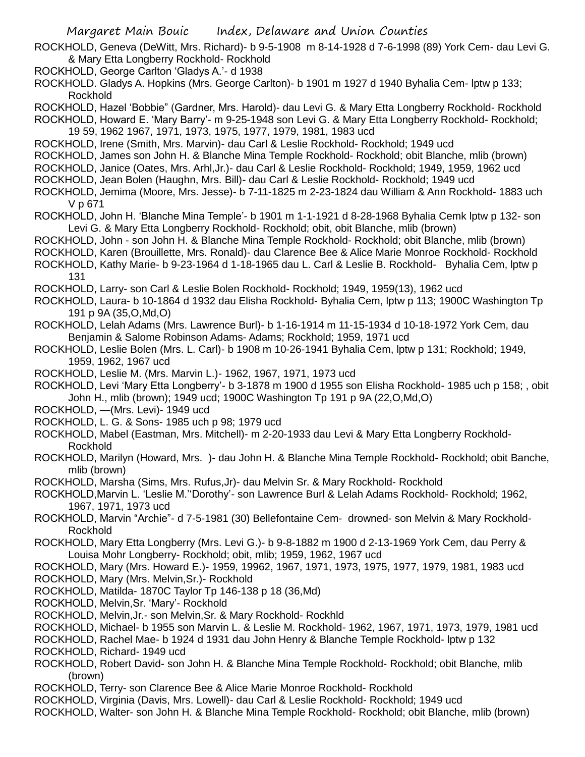ROCKHOLD, Geneva (DeWitt, Mrs. Richard)- b 9-5-1908 m 8-14-1928 d 7-6-1998 (89) York Cem- dau Levi G. & Mary Etta Longberry Rockhold- Rockhold

ROCKHOLD, George Carlton 'Gladys A.'- d 1938

ROCKHOLD. Gladys A. Hopkins (Mrs. George Carlton)- b 1901 m 1927 d 1940 Byhalia Cem- lptw p 133; Rockhold

ROCKHOLD, Hazel 'Bobbie" (Gardner, Mrs. Harold)- dau Levi G. & Mary Etta Longberry Rockhold- Rockhold

ROCKHOLD, Howard E. 'Mary Barry'- m 9-25-1948 son Levi G. & Mary Etta Longberry Rockhold- Rockhold; 19 59, 1962 1967, 1971, 1973, 1975, 1977, 1979, 1981, 1983 ucd

ROCKHOLD, Irene (Smith, Mrs. Marvin)- dau Carl & Leslie Rockhold- Rockhold; 1949 ucd

ROCKHOLD, James son John H. & Blanche Mina Temple Rockhold- Rockhold; obit Blanche, mlib (brown)

ROCKHOLD, Janice (Oates, Mrs. Arhl,Jr.)- dau Carl & Leslie Rockhold- Rockhold; 1949, 1959, 1962 ucd

ROCKHOLD, Jean Bolen (Haughn, Mrs. Bill)- dau Carl & Leslie Rockhold- Rockhold; 1949 ucd

ROCKHOLD, Jemima (Moore, Mrs. Jesse)- b 7-11-1825 m 2-23-1824 dau William & Ann Rockhold- 1883 uch V p 671

ROCKHOLD, John H. 'Blanche Mina Temple'- b 1901 m 1-1-1921 d 8-28-1968 Byhalia Cemk lptw p 132- son Levi G. & Mary Etta Longberry Rockhold- Rockhold; obit, obit Blanche, mlib (brown)

ROCKHOLD, John - son John H. & Blanche Mina Temple Rockhold- Rockhold; obit Blanche, mlib (brown)

ROCKHOLD, Karen (Brouillette, Mrs. Ronald)- dau Clarence Bee & Alice Marie Monroe Rockhold- Rockhold

ROCKHOLD, Kathy Marie- b 9-23-1964 d 1-18-1965 dau L. Carl & Leslie B. Rockhold- Byhalia Cem, lptw p 131

ROCKHOLD, Larry- son Carl & Leslie Bolen Rockhold- Rockhold; 1949, 1959(13), 1962 ucd

ROCKHOLD, Laura- b 10-1864 d 1932 dau Elisha Rockhold- Byhalia Cem, lptw p 113; 1900C Washington Tp 191 p 9A (35,O,Md,O)

ROCKHOLD, Lelah Adams (Mrs. Lawrence Burl)- b 1-16-1914 m 11-15-1934 d 10-18-1972 York Cem, dau Benjamin & Salome Robinson Adams- Adams; Rockhold; 1959, 1971 ucd

ROCKHOLD, Leslie Bolen (Mrs. L. Carl)- b 1908 m 10-26-1941 Byhalia Cem, lptw p 131; Rockhold; 1949, 1959, 1962, 1967 ucd

ROCKHOLD, Leslie M. (Mrs. Marvin L.)- 1962, 1967, 1971, 1973 ucd

ROCKHOLD, Levi 'Mary Etta Longberry'- b 3-1878 m 1900 d 1955 son Elisha Rockhold- 1985 uch p 158; , obit John H., mlib (brown); 1949 ucd; 1900C Washington Tp 191 p 9A (22,O,Md,O)

ROCKHOLD, —(Mrs. Levi)- 1949 ucd

ROCKHOLD, L. G. & Sons- 1985 uch p 98; 1979 ucd

ROCKHOLD, Mabel (Eastman, Mrs. Mitchell)- m 2-20-1933 dau Levi & Mary Etta Longberry Rockhold-Rockhold

ROCKHOLD, Marilyn (Howard, Mrs. )- dau John H. & Blanche Mina Temple Rockhold- Rockhold; obit Banche, mlib (brown)

ROCKHOLD, Marsha (Sims, Mrs. Rufus,Jr)- dau Melvin Sr. & Mary Rockhold- Rockhold

ROCKHOLD,Marvin L. 'Leslie M.''Dorothy'- son Lawrence Burl & Lelah Adams Rockhold- Rockhold; 1962, 1967, 1971, 1973 ucd

ROCKHOLD, Marvin "Archie"- d 7-5-1981 (30) Bellefontaine Cem- drowned- son Melvin & Mary Rockhold-Rockhold

ROCKHOLD, Mary Etta Longberry (Mrs. Levi G.)- b 9-8-1882 m 1900 d 2-13-1969 York Cem, dau Perry & Louisa Mohr Longberry- Rockhold; obit, mlib; 1959, 1962, 1967 ucd

ROCKHOLD, Mary (Mrs. Howard E.)- 1959, 19962, 1967, 1971, 1973, 1975, 1977, 1979, 1981, 1983 ucd

ROCKHOLD, Mary (Mrs. Melvin,Sr.)- Rockhold

ROCKHOLD, Matilda- 1870C Taylor Tp 146-138 p 18 (36,Md)

ROCKHOLD, Melvin,Sr. 'Mary'- Rockhold

ROCKHOLD, Melvin,Jr.- son Melvin,Sr. & Mary Rockhold- Rockhld

ROCKHOLD, Michael- b 1955 son Marvin L. & Leslie M. Rockhold- 1962, 1967, 1971, 1973, 1979, 1981 ucd

ROCKHOLD, Rachel Mae- b 1924 d 1931 dau John Henry & Blanche Temple Rockhold- lptw p 132

ROCKHOLD, Richard- 1949 ucd

ROCKHOLD, Robert David- son John H. & Blanche Mina Temple Rockhold- Rockhold; obit Blanche, mlib (brown)

ROCKHOLD, Terry- son Clarence Bee & Alice Marie Monroe Rockhold- Rockhold

ROCKHOLD, Virginia (Davis, Mrs. Lowell)- dau Carl & Leslie Rockhold- Rockhold; 1949 ucd

ROCKHOLD, Walter- son John H. & Blanche Mina Temple Rockhold- Rockhold; obit Blanche, mlib (brown)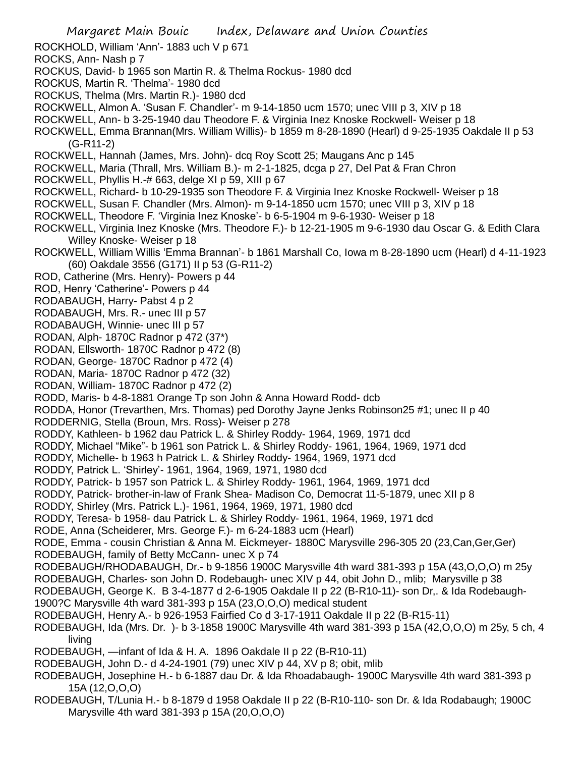Margaret Main Bouic Index, Delaware and Union Counties ROCKHOLD, William 'Ann'- 1883 uch V p 671 ROCKS, Ann- Nash p 7 ROCKUS, David- b 1965 son Martin R. & Thelma Rockus- 1980 dcd ROCKUS, Martin R. 'Thelma'- 1980 dcd ROCKUS, Thelma (Mrs. Martin R.)- 1980 dcd ROCKWELL, Almon A. 'Susan F. Chandler'- m 9-14-1850 ucm 1570; unec VIII p 3, XIV p 18 ROCKWELL, Ann- b 3-25-1940 dau Theodore F. & Virginia Inez Knoske Rockwell- Weiser p 18 ROCKWELL, Emma Brannan(Mrs. William Willis)- b 1859 m 8-28-1890 (Hearl) d 9-25-1935 Oakdale II p 53 (G-R11-2) ROCKWELL, Hannah (James, Mrs. John)- dcq Roy Scott 25; Maugans Anc p 145 ROCKWELL, Maria (Thrall, Mrs. William B.)- m 2-1-1825, dcga p 27, Del Pat & Fran Chron ROCKWELL, Phyllis H.-# 663, delge XI p 59, XIII p 67 ROCKWELL, Richard- b 10-29-1935 son Theodore F. & Virginia Inez Knoske Rockwell- Weiser p 18 ROCKWELL, Susan F. Chandler (Mrs. Almon)- m 9-14-1850 ucm 1570; unec VIII p 3, XIV p 18 ROCKWELL, Theodore F. 'Virginia Inez Knoske'- b 6-5-1904 m 9-6-1930- Weiser p 18 ROCKWELL, Virginia Inez Knoske (Mrs. Theodore F.)- b 12-21-1905 m 9-6-1930 dau Oscar G. & Edith Clara Willey Knoske- Weiser p 18 ROCKWELL, William Willis 'Emma Brannan'- b 1861 Marshall Co, Iowa m 8-28-1890 ucm (Hearl) d 4-11-1923 (60) Oakdale 3556 (G171) II p 53 (G-R11-2) ROD, Catherine (Mrs. Henry)- Powers p 44 ROD, Henry 'Catherine'- Powers p 44 RODABAUGH, Harry- Pabst 4 p 2 RODABAUGH, Mrs. R.- unec III p 57 RODABAUGH, Winnie- unec III p 57 RODAN, Alph- 1870C Radnor p 472 (37\*) RODAN, Ellsworth- 1870C Radnor p 472 (8) RODAN, George- 1870C Radnor p 472 (4) RODAN, Maria- 1870C Radnor p 472 (32) RODAN, William- 1870C Radnor p 472 (2) RODD, Maris- b 4-8-1881 Orange Tp son John & Anna Howard Rodd- dcb RODDA, Honor (Trevarthen, Mrs. Thomas) ped Dorothy Jayne Jenks Robinson25 #1; unec II p 40 RODDERNIG, Stella (Broun, Mrs. Ross)- Weiser p 278 RODDY, Kathleen- b 1962 dau Patrick L. & Shirley Roddy- 1964, 1969, 1971 dcd RODDY, Michael "Mike"- b 1961 son Patrick L. & Shirley Roddy- 1961, 1964, 1969, 1971 dcd RODDY, Michelle- b 1963 h Patrick L. & Shirley Roddy- 1964, 1969, 1971 dcd RODDY, Patrick L. 'Shirley'- 1961, 1964, 1969, 1971, 1980 dcd RODDY, Patrick- b 1957 son Patrick L. & Shirley Roddy- 1961, 1964, 1969, 1971 dcd RODDY, Patrick- brother-in-law of Frank Shea- Madison Co, Democrat 11-5-1879, unec XII p 8 RODDY, Shirley (Mrs. Patrick L.)- 1961, 1964, 1969, 1971, 1980 dcd RODDY, Teresa- b 1958- dau Patrick L. & Shirley Roddy- 1961, 1964, 1969, 1971 dcd RODE, Anna (Scheiderer, Mrs. George F.)- m 6-24-1883 ucm (Hearl) RODE, Emma - cousin Christian & Anna M. Eickmeyer- 1880C Marysville 296-305 20 (23,Can,Ger,Ger) RODEBAUGH, family of Betty McCann- unec X p 74 RODEBAUGH/RHODABAUGH, Dr.- b 9-1856 1900C Marysville 4th ward 381-393 p 15A (43,O,O,O) m 25y RODEBAUGH, Charles- son John D. Rodebaugh- unec XIV p 44, obit John D., mlib; Marysville p 38 RODEBAUGH, George K. B 3-4-1877 d 2-6-1905 Oakdale II p 22 (B-R10-11)- son Dr,. & Ida Rodebaugh-1900?C Marysville 4th ward 381-393 p 15A (23,O,O,O) medical student RODEBAUGH, Henry A.- b 926-1953 Fairfied Co d 3-17-1911 Oakdale II p 22 (B-R15-11) RODEBAUGH, Ida (Mrs. Dr. )- b 3-1858 1900C Marysville 4th ward 381-393 p 15A (42,O,O,O) m 25y, 5 ch, 4 living RODEBAUGH, —infant of Ida & H. A. 1896 Oakdale II p 22 (B-R10-11) RODEBAUGH, John D.- d 4-24-1901 (79) unec XIV p 44, XV p 8; obit, mlib RODEBAUGH, Josephine H.- b 6-1887 dau Dr. & Ida Rhoadabaugh- 1900C Marysville 4th ward 381-393 p 15A (12,O,O,O) RODEBAUGH, T/Lunia H.- b 8-1879 d 1958 Oakdale II p 22 (B-R10-110- son Dr. & Ida Rodabaugh; 1900C

Marysville 4th ward 381-393 p 15A (20,O,O,O)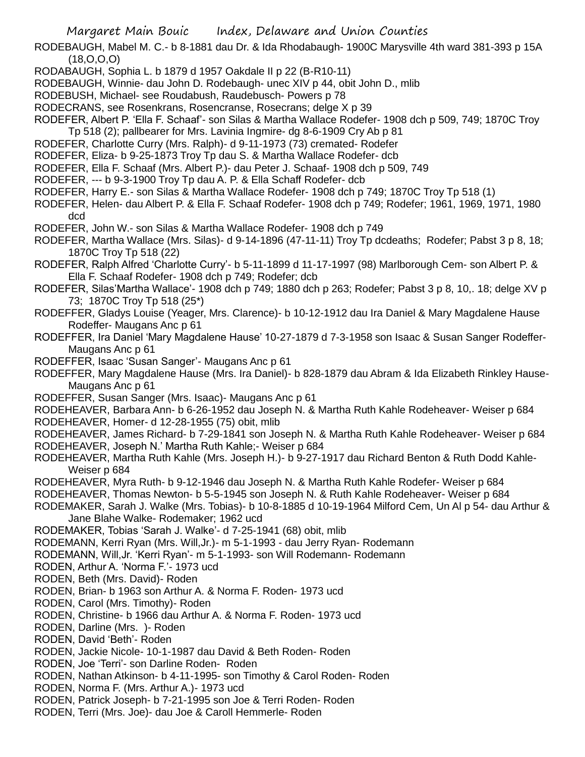RODEBAUGH, Mabel M. C.- b 8-1881 dau Dr. & Ida Rhodabaugh- 1900C Marysville 4th ward 381-393 p 15A (18,O,O,O)

- RODABAUGH, Sophia L. b 1879 d 1957 Oakdale II p 22 (B-R10-11)
- RODEBAUGH, Winnie- dau John D. Rodebaugh- unec XIV p 44, obit John D., mlib
- RODEBUSH, Michael- see Roudabush, Raudebusch- Powers p 78
- RODECRANS, see Rosenkrans, Rosencranse, Rosecrans; delge X p 39
- RODEFER, Albert P. 'Ella F. Schaaf'- son Silas & Martha Wallace Rodefer- 1908 dch p 509, 749; 1870C Troy Tp 518 (2); pallbearer for Mrs. Lavinia Ingmire- dg 8-6-1909 Cry Ab p 81
- RODEFER, Charlotte Curry (Mrs. Ralph)- d 9-11-1973 (73) cremated- Rodefer
- RODEFER, Eliza- b 9-25-1873 Troy Tp dau S. & Martha Wallace Rodefer- dcb
- RODEFER, Ella F. Schaaf (Mrs. Albert P.)- dau Peter J. Schaaf- 1908 dch p 509, 749
- RODEFER, --- b 9-3-1900 Troy Tp dau A. P. & Ella Schaff Rodefer- dcb
- RODEFER, Harry E.- son Silas & Martha Wallace Rodefer- 1908 dch p 749; 1870C Troy Tp 518 (1)
- RODEFER, Helen- dau Albert P. & Ella F. Schaaf Rodefer- 1908 dch p 749; Rodefer; 1961, 1969, 1971, 1980 dcd
- RODEFER, John W.- son Silas & Martha Wallace Rodefer- 1908 dch p 749
- RODEFER, Martha Wallace (Mrs. Silas)- d 9-14-1896 (47-11-11) Troy Tp dcdeaths; Rodefer; Pabst 3 p 8, 18; 1870C Troy Tp 518 (22)
- RODEFER, Ralph Alfred 'Charlotte Curry'- b 5-11-1899 d 11-17-1997 (98) Marlborough Cem- son Albert P. & Ella F. Schaaf Rodefer- 1908 dch p 749; Rodefer; dcb
- RODEFER, Silas'Martha Wallace'- 1908 dch p 749; 1880 dch p 263; Rodefer; Pabst 3 p 8, 10,. 18; delge XV p 73; 1870C Troy Tp 518 (25\*)
- RODEFFER, Gladys Louise (Yeager, Mrs. Clarence)- b 10-12-1912 dau Ira Daniel & Mary Magdalene Hause Rodeffer- Maugans Anc p 61
- RODEFFER, Ira Daniel 'Mary Magdalene Hause' 10-27-1879 d 7-3-1958 son Isaac & Susan Sanger Rodeffer-Maugans Anc p 61
- RODEFFER, Isaac 'Susan Sanger'- Maugans Anc p 61
- RODEFFER, Mary Magdalene Hause (Mrs. Ira Daniel)- b 828-1879 dau Abram & Ida Elizabeth Rinkley Hause-Maugans Anc p 61
- RODEFFER, Susan Sanger (Mrs. Isaac)- Maugans Anc p 61
- RODEHEAVER, Barbara Ann- b 6-26-1952 dau Joseph N. & Martha Ruth Kahle Rodeheaver- Weiser p 684
- RODEHEAVER, Homer- d 12-28-1955 (75) obit, mlib
- RODEHEAVER, James Richard- b 7-29-1841 son Joseph N. & Martha Ruth Kahle Rodeheaver- Weiser p 684
- RODEHEAVER, Joseph N.' Martha Ruth Kahle;- Weiser p 684
- RODEHEAVER, Martha Ruth Kahle (Mrs. Joseph H.)- b 9-27-1917 dau Richard Benton & Ruth Dodd Kahle-Weiser p 684
- RODEHEAVER, Myra Ruth- b 9-12-1946 dau Joseph N. & Martha Ruth Kahle Rodefer- Weiser p 684
- RODEHEAVER, Thomas Newton- b 5-5-1945 son Joseph N. & Ruth Kahle Rodeheaver- Weiser p 684
- RODEMAKER, Sarah J. Walke (Mrs. Tobias)- b 10-8-1885 d 10-19-1964 Milford Cem, Un Al p 54- dau Arthur & Jane Blahe Walke- Rodemaker; 1962 ucd
- RODEMAKER, Tobias 'Sarah J. Walke'- d 7-25-1941 (68) obit, mlib
- RODEMANN, Kerri Ryan (Mrs. Will,Jr.)- m 5-1-1993 dau Jerry Ryan- Rodemann
- RODEMANN, Will,Jr. 'Kerri Ryan'- m 5-1-1993- son Will Rodemann- Rodemann
- RODEN, Arthur A. 'Norma F.'- 1973 ucd
- RODEN, Beth (Mrs. David)- Roden
- RODEN, Brian- b 1963 son Arthur A. & Norma F. Roden- 1973 ucd
- RODEN, Carol (Mrs. Timothy)- Roden
- RODEN, Christine- b 1966 dau Arthur A. & Norma F. Roden- 1973 ucd
- RODEN, Darline (Mrs. )- Roden
- RODEN, David 'Beth'- Roden
- RODEN, Jackie Nicole- 10-1-1987 dau David & Beth Roden- Roden
- RODEN, Joe 'Terri'- son Darline Roden- Roden
- RODEN, Nathan Atkinson- b 4-11-1995- son Timothy & Carol Roden- Roden
- RODEN, Norma F. (Mrs. Arthur A.)- 1973 ucd
- RODEN, Patrick Joseph- b 7-21-1995 son Joe & Terri Roden- Roden
- RODEN, Terri (Mrs. Joe)- dau Joe & Caroll Hemmerle- Roden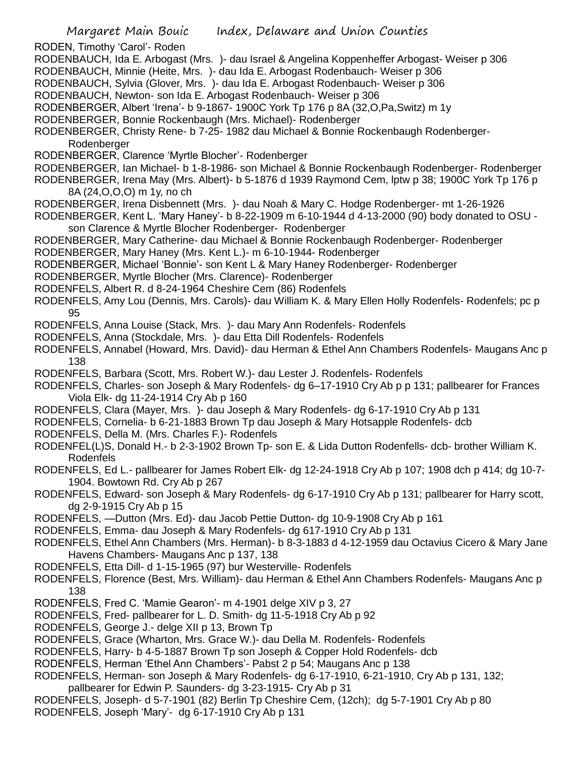RODEN, Timothy 'Carol'- Roden

- RODENBAUCH, Ida E. Arbogast (Mrs. )- dau Israel & Angelina Koppenheffer Arbogast- Weiser p 306
- RODENBAUCH, Minnie (Heite, Mrs. )- dau Ida E. Arbogast Rodenbauch- Weiser p 306
- RODENBAUCH, Sylvia (Glover, Mrs. )- dau Ida E. Arbogast Rodenbauch- Weiser p 306
- RODENBAUCH, Newton- son Ida E. Arbogast Rodenbauch- Weiser p 306
- RODENBERGER, Albert 'Irena'- b 9-1867- 1900C York Tp 176 p 8A (32,O,Pa,Switz) m 1y
- RODENBERGER, Bonnie Rockenbaugh (Mrs. Michael)- Rodenberger
- RODENBERGER, Christy Rene- b 7-25- 1982 dau Michael & Bonnie Rockenbaugh Rodenberger-Rodenberger
- RODENBERGER, Clarence 'Myrtle Blocher'- Rodenberger
- RODENBERGER, Ian Michael- b 1-8-1986- son Michael & Bonnie Rockenbaugh Rodenberger- Rodenberger
- RODENBERGER, Irena May (Mrs. Albert)- b 5-1876 d 1939 Raymond Cem, lptw p 38; 1900C York Tp 176 p 8A (24,O,O,O) m 1y, no ch
- RODENBERGER, Irena Disbennett (Mrs. )- dau Noah & Mary C. Hodge Rodenberger- mt 1-26-1926
- RODENBERGER, Kent L. 'Mary Haney'- b 8-22-1909 m 6-10-1944 d 4-13-2000 (90) body donated to OSU son Clarence & Myrtle Blocher Rodenberger- Rodenberger
- RODENBERGER, Mary Catherine- dau Michael & Bonnie Rockenbaugh Rodenberger- Rodenberger
- RODENBERGER, Mary Haney (Mrs. Kent L.)- m 6-10-1944- Rodenberger
- RODENBERGER, Michael 'Bonnie'- son Kent L & Mary Haney Rodenberger- Rodenberger
- RODENBERGER, Myrtle Blocher (Mrs. Clarence)- Rodenberger
- RODENFELS, Albert R. d 8-24-1964 Cheshire Cem (86) Rodenfels
- RODENFELS, Amy Lou (Dennis, Mrs. Carols)- dau William K. & Mary Ellen Holly Rodenfels- Rodenfels; pc p 95
- RODENFELS, Anna Louise (Stack, Mrs. )- dau Mary Ann Rodenfels- Rodenfels
- RODENFELS, Anna (Stockdale, Mrs. )- dau Etta Dill Rodenfels- Rodenfels
- RODENFELS, Annabel (Howard, Mrs. David)- dau Herman & Ethel Ann Chambers Rodenfels- Maugans Anc p 138
- RODENFELS, Barbara (Scott, Mrs. Robert W.)- dau Lester J. Rodenfels- Rodenfels
- RODENFELS, Charles- son Joseph & Mary Rodenfels- dg 6–17-1910 Cry Ab p p 131; pallbearer for Frances Viola Elk- dg 11-24-1914 Cry Ab p 160
- RODENFELS, Clara (Mayer, Mrs. )- dau Joseph & Mary Rodenfels- dg 6-17-1910 Cry Ab p 131
- RODENFELS, Cornelia- b 6-21-1883 Brown Tp dau Joseph & Mary Hotsapple Rodenfels- dcb
- RODENFELS, Della M. (Mrs. Charles F.)- Rodenfels
- RODENFEL(L)S, Donald H.- b 2-3-1902 Brown Tp- son E. & Lida Dutton Rodenfells- dcb- brother William K. Rodenfels
- RODENFELS, Ed L.- pallbearer for James Robert Elk- dg 12-24-1918 Cry Ab p 107; 1908 dch p 414; dg 10-7- 1904. Bowtown Rd. Cry Ab p 267
- RODENFELS, Edward- son Joseph & Mary Rodenfels- dg 6-17-1910 Cry Ab p 131; pallbearer for Harry scott, dg 2-9-1915 Cry Ab p 15
- RODENFELS, —Dutton (Mrs. Ed)- dau Jacob Pettie Dutton- dg 10-9-1908 Cry Ab p 161
- RODENFELS, Emma- dau Joseph & Mary Rodenfels- dg 617-1910 Cry Ab p 131
- RODENFELS, Ethel Ann Chambers (Mrs. Herman)- b 8-3-1883 d 4-12-1959 dau Octavius Cicero & Mary Jane Havens Chambers- Maugans Anc p 137, 138
- RODENFELS, Etta Dill- d 1-15-1965 (97) bur Westerville- Rodenfels
- RODENFELS, Florence (Best, Mrs. William)- dau Herman & Ethel Ann Chambers Rodenfels- Maugans Anc p 138
- RODENFELS, Fred C. 'Mamie Gearon'- m 4-1901 delge XIV p 3, 27
- RODENFELS, Fred- pallbearer for L. D. Smith- dg 11-5-1918 Cry Ab p 92
- RODENFELS, George J.- delge XII p 13, Brown Tp
- RODENFELS, Grace (Wharton, Mrs. Grace W.)- dau Della M. Rodenfels- Rodenfels
- RODENFELS, Harry- b 4-5-1887 Brown Tp son Joseph & Copper Hold Rodenfels- dcb
- RODENFELS, Herman 'Ethel Ann Chambers'- Pabst 2 p 54; Maugans Anc p 138
- RODENFELS, Herman- son Joseph & Mary Rodenfels- dg 6-17-1910, 6-21-1910, Cry Ab p 131, 132;
- pallbearer for Edwin P. Saunders- dg 3-23-1915- Cry Ab p 31
- RODENFELS, Joseph- d 5-7-1901 (82) Berlin Tp Cheshire Cem, (12ch); dg 5-7-1901 Cry Ab p 80 RODENFELS, Joseph 'Mary'- dg 6-17-1910 Cry Ab p 131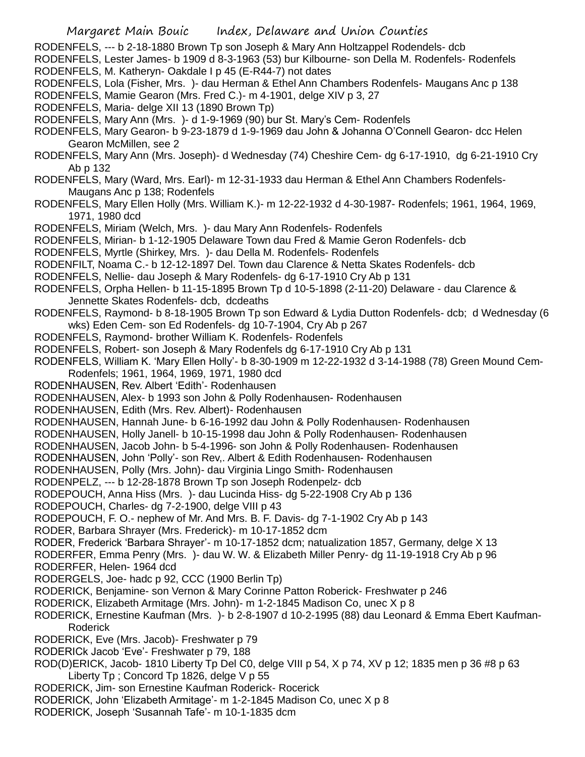Margaret Main Bouic Index, Delaware and Union Counties RODENFELS, --- b 2-18-1880 Brown Tp son Joseph & Mary Ann Holtzappel Rodendels- dcb RODENFELS, Lester James- b 1909 d 8-3-1963 (53) bur Kilbourne- son Della M. Rodenfels- Rodenfels RODENFELS, M. Katheryn- Oakdale I p 45 (E-R44-7) not dates RODENFELS, Lola (Fisher, Mrs. )- dau Herman & Ethel Ann Chambers Rodenfels- Maugans Anc p 138 RODENFELS, Mamie Gearon (Mrs. Fred C.)- m 4-1901, delge XIV p 3, 27 RODENFELS, Maria- delge XII 13 (1890 Brown Tp) RODENFELS, Mary Ann (Mrs. )- d 1-9-1969 (90) bur St. Mary's Cem- Rodenfels RODENFELS, Mary Gearon- b 9-23-1879 d 1-9-1969 dau John & Johanna O'Connell Gearon- dcc Helen Gearon McMillen, see 2 RODENFELS, Mary Ann (Mrs. Joseph)- d Wednesday (74) Cheshire Cem- dg 6-17-1910, dg 6-21-1910 Cry Ab p 132 RODENFELS, Mary (Ward, Mrs. Earl)- m 12-31-1933 dau Herman & Ethel Ann Chambers Rodenfels-Maugans Anc p 138; Rodenfels RODENFELS, Mary Ellen Holly (Mrs. William K.)- m 12-22-1932 d 4-30-1987- Rodenfels; 1961, 1964, 1969, 1971, 1980 dcd RODENFELS, Miriam (Welch, Mrs. )- dau Mary Ann Rodenfels- Rodenfels RODENFELS, Mirian- b 1-12-1905 Delaware Town dau Fred & Mamie Geron Rodenfels- dcb RODENFELS, Myrtle (Shirkey, Mrs. )- dau Della M. Rodenfels- Rodenfels RODENFILT, Noama C.- b 12-12-1897 Del. Town dau Clarence & Netta Skates Rodenfels- dcb RODENFELS, Nellie- dau Joseph & Mary Rodenfels- dg 6-17-1910 Cry Ab p 131 RODENFELS, Orpha Hellen- b 11-15-1895 Brown Tp d 10-5-1898 (2-11-20) Delaware - dau Clarence & Jennette Skates Rodenfels- dcb, dcdeaths RODENFELS, Raymond- b 8-18-1905 Brown Tp son Edward & Lydia Dutton Rodenfels- dcb; d Wednesday (6 wks) Eden Cem- son Ed Rodenfels- dg 10-7-1904, Cry Ab p 267 RODENFELS, Raymond- brother William K. Rodenfels- Rodenfels RODENFELS, Robert- son Joseph & Mary Rodenfels dg 6-17-1910 Cry Ab p 131 RODENFELS, William K. 'Mary Ellen Holly'- b 8-30-1909 m 12-22-1932 d 3-14-1988 (78) Green Mound Cem-Rodenfels; 1961, 1964, 1969, 1971, 1980 dcd RODENHAUSEN, Rev. Albert 'Edith'- Rodenhausen RODENHAUSEN, Alex- b 1993 son John & Polly Rodenhausen- Rodenhausen RODENHAUSEN, Edith (Mrs. Rev. Albert)- Rodenhausen RODENHAUSEN, Hannah June- b 6-16-1992 dau John & Polly Rodenhausen- Rodenhausen RODENHAUSEN, Holly Janell- b 10-15-1998 dau John & Polly Rodenhausen- Rodenhausen RODENHAUSEN, Jacob John- b 5-4-1996- son John & Polly Rodenhausen- Rodenhausen RODENHAUSEN, John 'Polly'- son Rev,. Albert & Edith Rodenhausen- Rodenhausen RODENHAUSEN, Polly (Mrs. John)- dau Virginia Lingo Smith- Rodenhausen RODENPELZ, --- b 12-28-1878 Brown Tp son Joseph Rodenpelz- dcb RODEPOUCH, Anna Hiss (Mrs. )- dau Lucinda Hiss- dg 5-22-1908 Cry Ab p 136 RODEPOUCH, Charles- dg 7-2-1900, delge VIII p 43 RODEPOUCH, F. O.- nephew of Mr. And Mrs. B. F. Davis- dg 7-1-1902 Cry Ab p 143 RODER, Barbara Shrayer (Mrs. Frederick)- m 10-17-1852 dcm RODER, Frederick 'Barbara Shrayer'- m 10-17-1852 dcm; natualization 1857, Germany, delge X 13 RODERFER, Emma Penry (Mrs. )- dau W. W. & Elizabeth Miller Penry- dg 11-19-1918 Cry Ab p 96 RODERFER, Helen- 1964 dcd RODERGELS, Joe- hadc p 92, CCC (1900 Berlin Tp) RODERICK, Benjamine- son Vernon & Mary Corinne Patton Roberick- Freshwater p 246 RODERICK, Elizabeth Armitage (Mrs. John)- m 1-2-1845 Madison Co, unec X p 8

RODERICK, Ernestine Kaufman (Mrs. )- b 2-8-1907 d 10-2-1995 (88) dau Leonard & Emma Ebert Kaufman-Roderick

RODERICK, Eve (Mrs. Jacob)- Freshwater p 79

RODERICk Jacob 'Eve'- Freshwater p 79, 188

ROD(D)ERICK, Jacob- 1810 Liberty Tp Del C0, delge VIII p 54, X p 74, XV p 12; 1835 men p 36 #8 p 63 Liberty Tp ; Concord Tp 1826, delge V p 55

RODERICK, Jim- son Ernestine Kaufman Roderick- Rocerick

RODERICK, John 'Elizabeth Armitage'- m 1-2-1845 Madison Co, unec X p 8

RODERICK, Joseph 'Susannah Tafe'- m 10-1-1835 dcm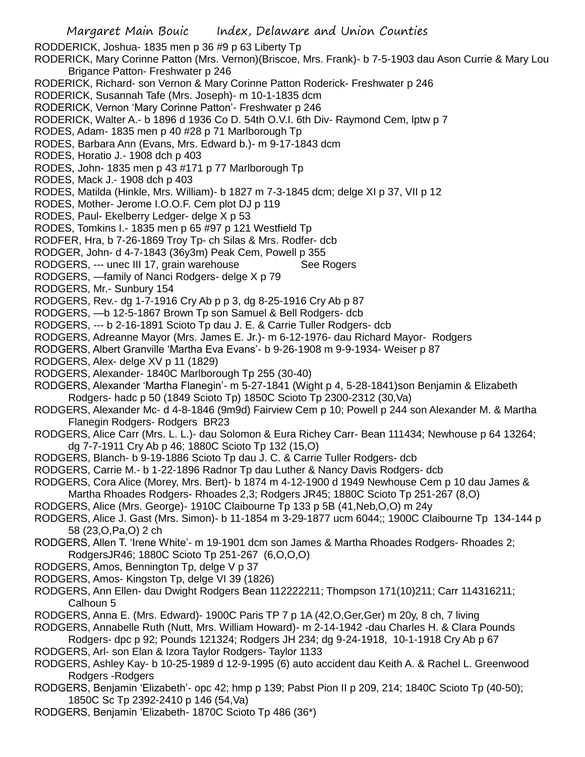RODDERICK, Joshua- 1835 men p 36 #9 p 63 Liberty Tp

RODERICK, Mary Corinne Patton (Mrs. Vernon)(Briscoe, Mrs. Frank)- b 7-5-1903 dau Ason Currie & Mary Lou Brigance Patton- Freshwater p 246

- RODERICK, Richard- son Vernon & Mary Corinne Patton Roderick- Freshwater p 246
- RODERICK, Susannah Tafe (Mrs. Joseph)- m 10-1-1835 dcm
- RODERICK, Vernon 'Mary Corinne Patton'- Freshwater p 246
- RODERICK, Walter A.- b 1896 d 1936 Co D. 54th O.V.I. 6th Div- Raymond Cem, lptw p 7
- RODES, Adam- 1835 men p 40 #28 p 71 Marlborough Tp
- RODES, Barbara Ann (Evans, Mrs. Edward b.)- m 9-17-1843 dcm
- RODES, Horatio J.- 1908 dch p 403
- RODES, John- 1835 men p 43 #171 p 77 Marlborough Tp
- RODES, Mack J.- 1908 dch p 403
- RODES, Matilda (Hinkle, Mrs. William)- b 1827 m 7-3-1845 dcm; delge XI p 37, VII p 12
- RODES, Mother- Jerome I.O.O.F. Cem plot DJ p 119
- RODES, Paul- Ekelberry Ledger- delge X p 53
- RODES, Tomkins I.- 1835 men p 65 #97 p 121 Westfield Tp
- RODFER, Hra, b 7-26-1869 Troy Tp- ch Silas & Mrs. Rodfer- dcb
- RODGER, John- d 4-7-1843 (36y3m) Peak Cem, Powell p 355
- RODGERS, --- unec III 17, grain warehouse See Rogers
- RODGERS, —family of Nanci Rodgers- delge X p 79
- RODGERS, Mr.- Sunbury 154
- RODGERS, Rev.- dg 1-7-1916 Cry Ab p p 3, dg 8-25-1916 Cry Ab p 87
- RODGERS, —b 12-5-1867 Brown Tp son Samuel & Bell Rodgers- dcb
- RODGERS, --- b 2-16-1891 Scioto Tp dau J. E. & Carrie Tuller Rodgers- dcb
- RODGERS, Adreanne Mayor (Mrs. James E. Jr.)- m 6-12-1976- dau Richard Mayor- Rodgers
- RODGERS, Albert Granville 'Martha Eva Evans'- b 9-26-1908 m 9-9-1934- Weiser p 87
- RODGERS, Alex- delge XV p 11 (1829)
- RODGERS, Alexander- 1840C Marlborough Tp 255 (30-40)
- RODGERS, Alexander 'Martha Flanegin'- m 5-27-1841 (Wight p 4, 5-28-1841)son Benjamin & Elizabeth Rodgers- hadc p 50 (1849 Scioto Tp) 1850C Scioto Tp 2300-2312 (30,Va)
- RODGERS, Alexander Mc- d 4-8-1846 (9m9d) Fairview Cem p 10; Powell p 244 son Alexander M. & Martha Flanegin Rodgers- Rodgers BR23
- RODGERS, Alice Carr (Mrs. L. L.)- dau Solomon & Eura Richey Carr- Bean 111434; Newhouse p 64 13264; dg 7-7-1911 Cry Ab p 46; 1880C Scioto Tp 132 (15,O)
- RODGERS, Blanch- b 9-19-1886 Scioto Tp dau J. C. & Carrie Tuller Rodgers- dcb
- RODGERS, Carrie M.- b 1-22-1896 Radnor Tp dau Luther & Nancy Davis Rodgers- dcb
- RODGERS, Cora Alice (Morey, Mrs. Bert)- b 1874 m 4-12-1900 d 1949 Newhouse Cem p 10 dau James & Martha Rhoades Rodgers- Rhoades 2,3; Rodgers JR45; 1880C Scioto Tp 251-267 (8,O)
- RODGERS, Alice (Mrs. George)- 1910C Claibourne Tp 133 p 5B (41,Neb,O,O) m 24y
- RODGERS, Alice J. Gast (Mrs. Simon)- b 11-1854 m 3-29-1877 ucm 6044;; 1900C Claibourne Tp 134-144 p 58 (23,O,Pa,O) 2 ch
- RODGERS, Allen T. 'Irene White'- m 19-1901 dcm son James & Martha Rhoades Rodgers- Rhoades 2; RodgersJR46; 1880C Scioto Tp 251-267 (6,O,O,O)
- RODGERS, Amos, Bennington Tp, delge V p 37
- RODGERS, Amos- Kingston Tp, delge VI 39 (1826)
- RODGERS, Ann Ellen- dau Dwight Rodgers Bean 112222211; Thompson 171(10)211; Carr 114316211; Calhoun 5
- RODGERS, Anna E. (Mrs. Edward)- 1900C Paris TP 7 p 1A (42,O,Ger,Ger) m 20y, 8 ch, 7 living
- RODGERS, Annabelle Ruth (Nutt, Mrs. William Howard)- m 2-14-1942 -dau Charles H. & Clara Pounds
- Rodgers- dpc p 92; Pounds 121324; Rodgers JH 234; dg 9-24-1918, 10-1-1918 Cry Ab p 67 RODGERS, Arl- son Elan & Izora Taylor Rodgers- Taylor 1133
- RODGERS, Ashley Kay- b 10-25-1989 d 12-9-1995 (6) auto accident dau Keith A. & Rachel L. Greenwood Rodgers -Rodgers
- RODGERS, Benjamin 'Elizabeth'- opc 42; hmp p 139; Pabst Pion II p 209, 214; 1840C Scioto Tp (40-50); 1850C Sc Tp 2392-2410 p 146 (54,Va)
- RODGERS, Benjamin 'Elizabeth- 1870C Scioto Tp 486 (36\*)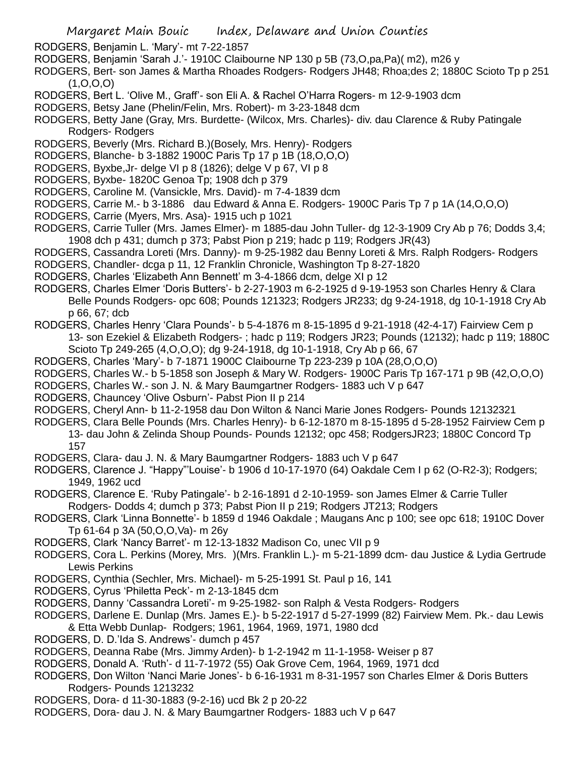RODGERS, Benjamin L. 'Mary'- mt 7-22-1857

- RODGERS, Benjamin 'Sarah J.'- 1910C Claibourne NP 130 p 5B (73,O,pa,Pa)( m2), m26 y
- RODGERS, Bert- son James & Martha Rhoades Rodgers- Rodgers JH48; Rhoa;des 2; 1880C Scioto Tp p 251  $(1, 0, 0, 0)$
- RODGERS, Bert L. 'Olive M., Graff'- son Eli A. & Rachel O'Harra Rogers- m 12-9-1903 dcm
- RODGERS, Betsy Jane (Phelin/Felin, Mrs. Robert)- m 3-23-1848 dcm
- RODGERS, Betty Jane (Gray, Mrs. Burdette- (Wilcox, Mrs. Charles)- div. dau Clarence & Ruby Patingale Rodgers- Rodgers
- RODGERS, Beverly (Mrs. Richard B.)(Bosely, Mrs. Henry)- Rodgers
- RODGERS, Blanche- b 3-1882 1900C Paris Tp 17 p 1B (18,O,O,O)
- RODGERS, Byxbe,Jr- delge VI p 8 (1826); delge V p 67, VI p 8
- RODGERS, Byxbe- 1820C Genoa Tp; 1908 dch p 379
- RODGERS, Caroline M. (Vansickle, Mrs. David)- m 7-4-1839 dcm
- RODGERS, Carrie M.- b 3-1886 dau Edward & Anna E. Rodgers- 1900C Paris Tp 7 p 1A (14,O,O,O)
- RODGERS, Carrie (Myers, Mrs. Asa)- 1915 uch p 1021
- RODGERS, Carrie Tuller (Mrs. James Elmer)- m 1885-dau John Tuller- dg 12-3-1909 Cry Ab p 76; Dodds 3,4; 1908 dch p 431; dumch p 373; Pabst Pion p 219; hadc p 119; Rodgers JR(43)
- RODGERS, Cassandra Loreti (Mrs. Danny)- m 9-25-1982 dau Benny Loreti & Mrs. Ralph Rodgers- Rodgers
- RODGERS, Chandler- dcga p 11, 12 Franklin Chronicle, Washington Tp 8-27-1820
- RODGERS, Charles 'Elizabeth Ann Bennett' m 3-4-1866 dcm, delge XI p 12
- RODGERS, Charles Elmer 'Doris Butters'- b 2-27-1903 m 6-2-1925 d 9-19-1953 son Charles Henry & Clara Belle Pounds Rodgers- opc 608; Pounds 121323; Rodgers JR233; dg 9-24-1918, dg 10-1-1918 Cry Ab p 66, 67; dcb
- RODGERS, Charles Henry 'Clara Pounds'- b 5-4-1876 m 8-15-1895 d 9-21-1918 (42-4-17) Fairview Cem p 13- son Ezekiel & Elizabeth Rodgers- ; hadc p 119; Rodgers JR23; Pounds (12132); hadc p 119; 1880C Scioto Tp 249-265 (4,O,O,O); dg 9-24-1918, dg 10-1-1918, Cry Ab p 66, 67
- RODGERS, Charles 'Mary'- b 7-1871 1900C Claibourne Tp 223-239 p 10A (28,O,O,O)
- RODGERS, Charles W.- b 5-1858 son Joseph & Mary W. Rodgers- 1900C Paris Tp 167-171 p 9B (42,O,O,O)
- RODGERS, Charles W.- son J. N. & Mary Baumgartner Rodgers- 1883 uch V p 647
- RODGERS, Chauncey 'Olive Osburn'- Pabst Pion II p 214
- RODGERS, Cheryl Ann- b 11-2-1958 dau Don Wilton & Nanci Marie Jones Rodgers- Pounds 12132321
- RODGERS, Clara Belle Pounds (Mrs. Charles Henry)- b 6-12-1870 m 8-15-1895 d 5-28-1952 Fairview Cem p 13- dau John & Zelinda Shoup Pounds- Pounds 12132; opc 458; RodgersJR23; 1880C Concord Tp 157
- RODGERS, Clara- dau J. N. & Mary Baumgartner Rodgers- 1883 uch V p 647
- RODGERS, Clarence J. "Happy"'Louise'- b 1906 d 10-17-1970 (64) Oakdale Cem I p 62 (O-R2-3); Rodgers; 1949, 1962 ucd
- RODGERS, Clarence E. 'Ruby Patingale'- b 2-16-1891 d 2-10-1959- son James Elmer & Carrie Tuller Rodgers- Dodds 4; dumch p 373; Pabst Pion II p 219; Rodgers JT213; Rodgers
- RODGERS, Clark 'Linna Bonnette'- b 1859 d 1946 Oakdale ; Maugans Anc p 100; see opc 618; 1910C Dover Tp 61-64 p 3A (50,O,O,Va)- m 26y
- RODGERS, Clark 'Nancy Barret'- m 12-13-1832 Madison Co, unec VII p 9
- RODGERS, Cora L. Perkins (Morey, Mrs. )(Mrs. Franklin L.)- m 5-21-1899 dcm- dau Justice & Lydia Gertrude Lewis Perkins
- RODGERS, Cynthia (Sechler, Mrs. Michael)- m 5-25-1991 St. Paul p 16, 141
- RODGERS, Cyrus 'Philetta Peck'- m 2-13-1845 dcm
- RODGERS, Danny 'Cassandra Loreti'- m 9-25-1982- son Ralph & Vesta Rodgers- Rodgers
- RODGERS, Darlene E. Dunlap (Mrs. James E.)- b 5-22-1917 d 5-27-1999 (82) Fairview Mem. Pk.- dau Lewis & Etta Webb Dunlap- Rodgers; 1961, 1964, 1969, 1971, 1980 dcd
- RODGERS, D. D.'Ida S. Andrews'- dumch p 457
- RODGERS, Deanna Rabe (Mrs. Jimmy Arden)- b 1-2-1942 m 11-1-1958- Weiser p 87
- RODGERS, Donald A. 'Ruth'- d 11-7-1972 (55) Oak Grove Cem, 1964, 1969, 1971 dcd
- RODGERS, Don Wilton 'Nanci Marie Jones'- b 6-16-1931 m 8-31-1957 son Charles Elmer & Doris Butters Rodgers- Pounds 1213232
- RODGERS, Dora- d 11-30-1883 (9-2-16) ucd Bk 2 p 20-22
- RODGERS, Dora- dau J. N. & Mary Baumgartner Rodgers- 1883 uch V p 647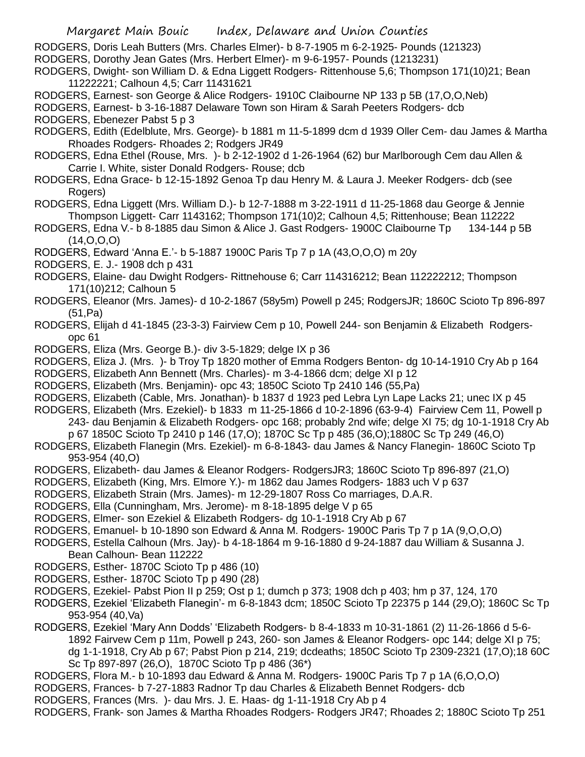RODGERS, Doris Leah Butters (Mrs. Charles Elmer)- b 8-7-1905 m 6-2-1925- Pounds (121323)

- RODGERS, Dorothy Jean Gates (Mrs. Herbert Elmer)- m 9-6-1957- Pounds (1213231)
- RODGERS, Dwight- son William D. & Edna Liggett Rodgers- Rittenhouse 5,6; Thompson 171(10)21; Bean 11222221; Calhoun 4,5; Carr 11431621
- RODGERS, Earnest- son George & Alice Rodgers- 1910C Claibourne NP 133 p 5B (17,O,O,Neb)

RODGERS, Earnest- b 3-16-1887 Delaware Town son Hiram & Sarah Peeters Rodgers- dcb

RODGERS, Ebenezer Pabst 5 p 3

- RODGERS, Edith (Edelblute, Mrs. George)- b 1881 m 11-5-1899 dcm d 1939 Oller Cem- dau James & Martha Rhoades Rodgers- Rhoades 2; Rodgers JR49
- RODGERS, Edna Ethel (Rouse, Mrs. )- b 2-12-1902 d 1-26-1964 (62) bur Marlborough Cem dau Allen & Carrie I. White, sister Donald Rodgers- Rouse; dcb
- RODGERS, Edna Grace- b 12-15-1892 Genoa Tp dau Henry M. & Laura J. Meeker Rodgers- dcb (see Rogers)
- RODGERS, Edna Liggett (Mrs. William D.)- b 12-7-1888 m 3-22-1911 d 11-25-1868 dau George & Jennie Thompson Liggett- Carr 1143162; Thompson 171(10)2; Calhoun 4,5; Rittenhouse; Bean 112222
- RODGERS, Edna V.- b 8-1885 dau Simon & Alice J. Gast Rodgers- 1900C Claibourne Tp 134-144 p 5B (14,O,O,O)
- RODGERS, Edward 'Anna E.'- b 5-1887 1900C Paris Tp 7 p 1A (43,O,O,O) m 20y
- RODGERS, E. J.- 1908 dch p 431
- RODGERS, Elaine- dau Dwight Rodgers- Rittnehouse 6; Carr 114316212; Bean 112222212; Thompson 171(10)212; Calhoun 5
- RODGERS, Eleanor (Mrs. James)- d 10-2-1867 (58y5m) Powell p 245; RodgersJR; 1860C Scioto Tp 896-897 (51,Pa)
- RODGERS, Elijah d 41-1845 (23-3-3) Fairview Cem p 10, Powell 244- son Benjamin & Elizabeth Rodgersopc 61
- RODGERS, Eliza (Mrs. George B.)- div 3-5-1829; delge IX p 36
- RODGERS, Eliza J. (Mrs. )- b Troy Tp 1820 mother of Emma Rodgers Benton- dg 10-14-1910 Cry Ab p 164
- RODGERS, Elizabeth Ann Bennett (Mrs. Charles)- m 3-4-1866 dcm; delge XI p 12
- RODGERS, Elizabeth (Mrs. Benjamin)- opc 43; 1850C Scioto Tp 2410 146 (55,Pa)
- RODGERS, Elizabeth (Cable, Mrs. Jonathan)- b 1837 d 1923 ped Lebra Lyn Lape Lacks 21; unec IX p 45
- RODGERS, Elizabeth (Mrs. Ezekiel)- b 1833 m 11-25-1866 d 10-2-1896 (63-9-4) Fairview Cem 11, Powell p 243- dau Benjamin & Elizabeth Rodgers- opc 168; probably 2nd wife; delge XI 75; dg 10-1-1918 Cry Ab p 67 1850C Scioto Tp 2410 p 146 (17,O); 1870C Sc Tp p 485 (36,O);1880C Sc Tp 249 (46,O)
- RODGERS, Elizabeth Flanegin (Mrs. Ezekiel)- m 6-8-1843- dau James & Nancy Flanegin- 1860C Scioto Tp 953-954 (40,O)
- RODGERS, Elizabeth- dau James & Eleanor Rodgers- RodgersJR3; 1860C Scioto Tp 896-897 (21,O)
- RODGERS, Elizabeth (King, Mrs. Elmore Y.)- m 1862 dau James Rodgers- 1883 uch V p 637
- RODGERS, Elizabeth Strain (Mrs. James)- m 12-29-1807 Ross Co marriages, D.A.R.
- RODGERS, Ella (Cunningham, Mrs. Jerome)- m 8-18-1895 delge V p 65
- RODGERS, Elmer- son Ezekiel & Elizabeth Rodgers- dg 10-1-1918 Cry Ab p 67
- RODGERS, Emanuel- b 10-1890 son Edward & Anna M. Rodgers- 1900C Paris Tp 7 p 1A (9,O,O,O)
- RODGERS, Estella Calhoun (Mrs. Jay)- b 4-18-1864 m 9-16-1880 d 9-24-1887 dau William & Susanna J. Bean Calhoun- Bean 112222
- RODGERS, Esther- 1870C Scioto Tp p 486 (10)
- RODGERS, Esther- 1870C Scioto Tp p 490 (28)
- RODGERS, Ezekiel- Pabst Pion II p 259; Ost p 1; dumch p 373; 1908 dch p 403; hm p 37, 124, 170
- RODGERS, Ezekiel 'Elizabeth Flanegin'- m 6-8-1843 dcm; 1850C Scioto Tp 22375 p 144 (29,O); 1860C Sc Tp 953-954 (40,Va)
- RODGERS, Ezekiel 'Mary Ann Dodds' 'Elizabeth Rodgers- b 8-4-1833 m 10-31-1861 (2) 11-26-1866 d 5-6- 1892 Fairvew Cem p 11m, Powell p 243, 260- son James & Eleanor Rodgers- opc 144; delge XI p 75; dg 1-1-1918, Cry Ab p 67; Pabst Pion p 214, 219; dcdeaths; 1850C Scioto Tp 2309-2321 (17,O);18 60C Sc Tp 897-897 (26,O), 1870C Scioto Tp p 486 (36\*)
- RODGERS, Flora M.- b 10-1893 dau Edward & Anna M. Rodgers- 1900C Paris Tp 7 p 1A (6,O,O,O)
- RODGERS, Frances- b 7-27-1883 Radnor Tp dau Charles & Elizabeth Bennet Rodgers- dcb
- RODGERS, Frances (Mrs. )- dau Mrs. J. E. Haas- dg 1-11-1918 Cry Ab p 4
- RODGERS, Frank- son James & Martha Rhoades Rodgers- Rodgers JR47; Rhoades 2; 1880C Scioto Tp 251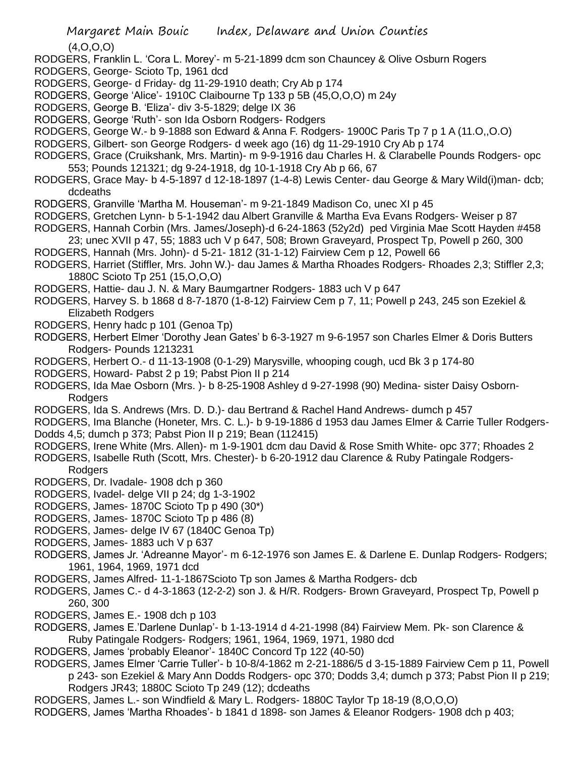(4,O,O,O)

- RODGERS, Franklin L. 'Cora L. Morey'- m 5-21-1899 dcm son Chauncey & Olive Osburn Rogers
- RODGERS, George- Scioto Tp, 1961 dcd
- RODGERS, George- d Friday- dg 11-29-1910 death; Cry Ab p 174
- RODGERS, George 'Alice'- 1910C Claibourne Tp 133 p 5B (45,O,O,O) m 24y
- RODGERS, George B. 'Eliza'- div 3-5-1829; delge IX 36
- RODGERS, George 'Ruth'- son Ida Osborn Rodgers- Rodgers
- RODGERS, George W.- b 9-1888 son Edward & Anna F. Rodgers- 1900C Paris Tp 7 p 1 A (11.O,,O.O)
- RODGERS, Gilbert- son George Rodgers- d week ago (16) dg 11-29-1910 Cry Ab p 174
- RODGERS, Grace (Cruikshank, Mrs. Martin)- m 9-9-1916 dau Charles H. & Clarabelle Pounds Rodgers- opc 553; Pounds 121321; dg 9-24-1918, dg 10-1-1918 Cry Ab p 66, 67
- RODGERS, Grace May- b 4-5-1897 d 12-18-1897 (1-4-8) Lewis Center- dau George & Mary Wild(i)man- dcb; dcdeaths
- RODGERS, Granville 'Martha M. Houseman'- m 9-21-1849 Madison Co, unec XI p 45
- RODGERS, Gretchen Lynn- b 5-1-1942 dau Albert Granville & Martha Eva Evans Rodgers- Weiser p 87
- RODGERS, Hannah Corbin (Mrs. James/Joseph)-d 6-24-1863 (52y2d) ped Virginia Mae Scott Hayden #458 23; unec XVII p 47, 55; 1883 uch V p 647, 508; Brown Graveyard, Prospect Tp, Powell p 260, 300
- RODGERS, Hannah (Mrs. John)- d 5-21- 1812 (31-1-12) Fairview Cem p 12, Powell 66
- RODGERS, Harriet (Stiffler, Mrs. John W.)- dau James & Martha Rhoades Rodgers- Rhoades 2,3; Stiffler 2,3; 1880C Scioto Tp 251 (15,O,O,O)
- RODGERS, Hattie- dau J. N. & Mary Baumgartner Rodgers- 1883 uch V p 647
- RODGERS, Harvey S. b 1868 d 8-7-1870 (1-8-12) Fairview Cem p 7, 11; Powell p 243, 245 son Ezekiel & Elizabeth Rodgers
- RODGERS, Henry hadc p 101 (Genoa Tp)
- RODGERS, Herbert Elmer 'Dorothy Jean Gates' b 6-3-1927 m 9-6-1957 son Charles Elmer & Doris Butters Rodgers- Pounds 1213231
- RODGERS, Herbert O.- d 11-13-1908 (0-1-29) Marysville, whooping cough, ucd Bk 3 p 174-80
- RODGERS, Howard- Pabst 2 p 19; Pabst Pion II p 214
- RODGERS, Ida Mae Osborn (Mrs. )- b 8-25-1908 Ashley d 9-27-1998 (90) Medina- sister Daisy Osborn-**Rodgers**
- RODGERS, Ida S. Andrews (Mrs. D. D.)- dau Bertrand & Rachel Hand Andrews- dumch p 457
- RODGERS, Ima Blanche (Honeter, Mrs. C. L.)- b 9-19-1886 d 1953 dau James Elmer & Carrie Tuller Rodgers-Dodds 4,5; dumch p 373; Pabst Pion II p 219; Bean (112415)
- RODGERS, Irene White (Mrs. Allen)- m 1-9-1901 dcm dau David & Rose Smith White- opc 377; Rhoades 2
- RODGERS, Isabelle Ruth (Scott, Mrs. Chester)- b 6-20-1912 dau Clarence & Ruby Patingale Rodgers-
- Rodgers RODGERS, Dr. Ivadale- 1908 dch p 360
- RODGERS, Ivadel- delge VII p 24; dg 1-3-1902
- RODGERS, James- 1870C Scioto Tp p 490 (30\*)
- RODGERS, James- 1870C Scioto Tp p 486 (8)
- RODGERS, James- delge IV 67 (1840C Genoa Tp)
- RODGERS, James- 1883 uch V p 637
- RODGERS, James Jr. 'Adreanne Mayor'- m 6-12-1976 son James E. & Darlene E. Dunlap Rodgers- Rodgers; 1961, 1964, 1969, 1971 dcd
- RODGERS, James Alfred- 11-1-1867Scioto Tp son James & Martha Rodgers- dcb
- RODGERS, James C.- d 4-3-1863 (12-2-2) son J. & H/R. Rodgers- Brown Graveyard, Prospect Tp, Powell p 260, 300
- RODGERS, James E.- 1908 dch p 103
- RODGERS, James E.'Darlene Dunlap'- b 1-13-1914 d 4-21-1998 (84) Fairview Mem. Pk- son Clarence & Ruby Patingale Rodgers- Rodgers; 1961, 1964, 1969, 1971, 1980 dcd
- RODGERS, James 'probably Eleanor'- 1840C Concord Tp 122 (40-50)
- RODGERS, James Elmer 'Carrie Tuller'- b 10-8/4-1862 m 2-21-1886/5 d 3-15-1889 Fairview Cem p 11, Powell p 243- son Ezekiel & Mary Ann Dodds Rodgers- opc 370; Dodds 3,4; dumch p 373; Pabst Pion II p 219; Rodgers JR43; 1880C Scioto Tp 249 (12); dcdeaths
- RODGERS, James L.- son Windfield & Mary L. Rodgers- 1880C Taylor Tp 18-19 (8,O,O,O)
- RODGERS, James 'Martha Rhoades'- b 1841 d 1898- son James & Eleanor Rodgers- 1908 dch p 403;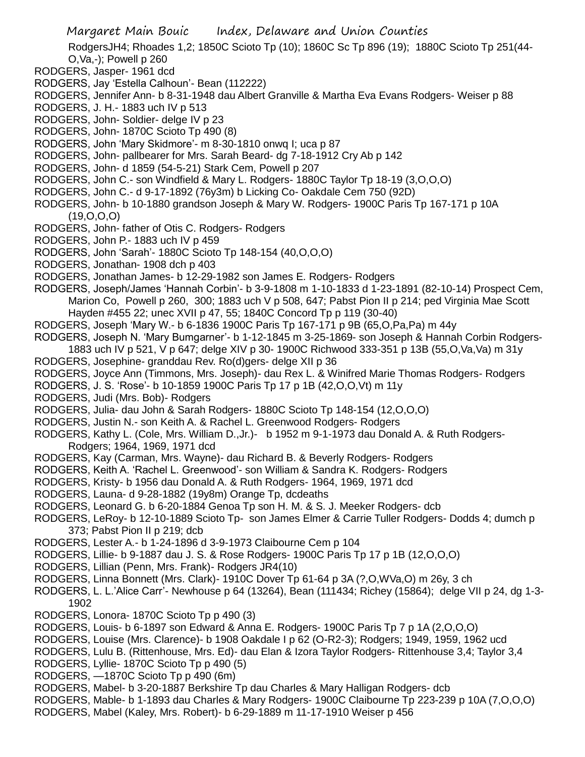RodgersJH4; Rhoades 1,2; 1850C Scioto Tp (10); 1860C Sc Tp 896 (19); 1880C Scioto Tp 251(44- O,Va,-); Powell p 260

- RODGERS, Jasper- 1961 dcd
- RODGERS, Jay 'Estella Calhoun'- Bean (112222)
- RODGERS, Jennifer Ann- b 8-31-1948 dau Albert Granville & Martha Eva Evans Rodgers- Weiser p 88
- RODGERS, J. H.- 1883 uch IV p 513
- RODGERS, John- Soldier- delge IV p 23
- RODGERS, John- 1870C Scioto Tp 490 (8)
- RODGERS, John 'Mary Skidmore'- m 8-30-1810 onwq I; uca p 87
- RODGERS, John- pallbearer for Mrs. Sarah Beard- dg 7-18-1912 Cry Ab p 142
- RODGERS, John- d 1859 (54-5-21) Stark Cem, Powell p 207
- RODGERS, John C.- son Windfield & Mary L. Rodgers- 1880C Taylor Tp 18-19 (3,O,O,O)
- RODGERS, John C.- d 9-17-1892 (76y3m) b Licking Co- Oakdale Cem 750 (92D)
- RODGERS, John- b 10-1880 grandson Joseph & Mary W. Rodgers- 1900C Paris Tp 167-171 p 10A (19,O,O,O)
- RODGERS, John- father of Otis C. Rodgers- Rodgers
- RODGERS, John P.- 1883 uch IV p 459
- RODGERS, John 'Sarah'- 1880C Scioto Tp 148-154 (40,O,O,O)
- RODGERS, Jonathan- 1908 dch p 403
- RODGERS, Jonathan James- b 12-29-1982 son James E. Rodgers- Rodgers
- RODGERS, Joseph/James 'Hannah Corbin'- b 3-9-1808 m 1-10-1833 d 1-23-1891 (82-10-14) Prospect Cem, Marion Co, Powell p 260, 300; 1883 uch V p 508, 647; Pabst Pion II p 214; ped Virginia Mae Scott Hayden #455 22; unec XVII p 47, 55; 1840C Concord Tp p 119 (30-40)
- RODGERS, Joseph 'Mary W.- b 6-1836 1900C Paris Tp 167-171 p 9B (65,O,Pa,Pa) m 44y
- RODGERS, Joseph N. 'Mary Bumgarner'- b 1-12-1845 m 3-25-1869- son Joseph & Hannah Corbin Rodgers-
- 1883 uch IV p 521, V p 647; delge XIV p 30- 1900C Richwood 333-351 p 13B (55,O,Va,Va) m 31y RODGERS, Josephine- granddau Rev. Ro(d)gers- delge XII p 36
- RODGERS, Joyce Ann (Timmons, Mrs. Joseph)- dau Rex L. & Winifred Marie Thomas Rodgers- Rodgers
- RODGERS, J. S. 'Rose'- b 10-1859 1900C Paris Tp 17 p 1B (42,O,O,Vt) m 11y
- RODGERS, Judi (Mrs. Bob)- Rodgers
- RODGERS, Julia- dau John & Sarah Rodgers- 1880C Scioto Tp 148-154 (12,O,O,O)
- RODGERS, Justin N.- son Keith A. & Rachel L. Greenwood Rodgers- Rodgers
- RODGERS, Kathy L. (Cole, Mrs. William D.,Jr.)- b 1952 m 9-1-1973 dau Donald A. & Ruth Rodgers-Rodgers; 1964, 1969, 1971 dcd
- RODGERS, Kay (Carman, Mrs. Wayne)- dau Richard B. & Beverly Rodgers- Rodgers
- RODGERS, Keith A. 'Rachel L. Greenwood'- son William & Sandra K. Rodgers- Rodgers
- RODGERS, Kristy- b 1956 dau Donald A. & Ruth Rodgers- 1964, 1969, 1971 dcd
- RODGERS, Launa- d 9-28-1882 (19y8m) Orange Tp, dcdeaths
- RODGERS, Leonard G. b 6-20-1884 Genoa Tp son H. M. & S. J. Meeker Rodgers- dcb
- RODGERS, LeRoy- b 12-10-1889 Scioto Tp- son James Elmer & Carrie Tuller Rodgers- Dodds 4; dumch p 373; Pabst Pion II p 219; dcb
- RODGERS, Lester A.- b 1-24-1896 d 3-9-1973 Claibourne Cem p 104
- RODGERS, Lillie- b 9-1887 dau J. S. & Rose Rodgers- 1900C Paris Tp 17 p 1B (12,O,O,O)
- RODGERS, Lillian (Penn, Mrs. Frank)- Rodgers JR4(10)
- RODGERS, Linna Bonnett (Mrs. Clark)- 1910C Dover Tp 61-64 p 3A (?,O,WVa,O) m 26y, 3 ch
- RODGERS, L. L.'Alice Carr'- Newhouse p 64 (13264), Bean (111434; Richey (15864); delge VII p 24, dg 1-3- 1902
- RODGERS, Lonora- 1870C Scioto Tp p 490 (3)
- RODGERS, Louis- b 6-1897 son Edward & Anna E. Rodgers- 1900C Paris Tp 7 p 1A (2,O,O,O)
- RODGERS, Louise (Mrs. Clarence)- b 1908 Oakdale I p 62 (O-R2-3); Rodgers; 1949, 1959, 1962 ucd
- RODGERS, Lulu B. (Rittenhouse, Mrs. Ed)- dau Elan & Izora Taylor Rodgers- Rittenhouse 3,4; Taylor 3,4
- RODGERS, Lyllie- 1870C Scioto Tp p 490 (5)
- RODGERS, —1870C Scioto Tp p 490 (6m)
- RODGERS, Mabel- b 3-20-1887 Berkshire Tp dau Charles & Mary Halligan Rodgers- dcb
- RODGERS, Mable- b 1-1893 dau Charles & Mary Rodgers- 1900C Claibourne Tp 223-239 p 10A (7,O,O,O)
- RODGERS, Mabel (Kaley, Mrs. Robert)- b 6-29-1889 m 11-17-1910 Weiser p 456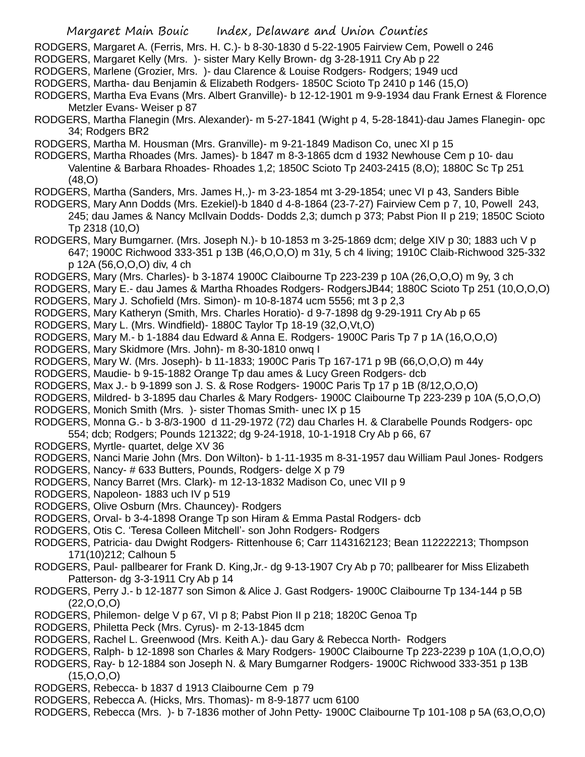Margaret Main Bouic Index, Delaware and Union Counties RODGERS, Margaret A. (Ferris, Mrs. H. C.)- b 8-30-1830 d 5-22-1905 Fairview Cem, Powell o 246 RODGERS, Margaret Kelly (Mrs. )- sister Mary Kelly Brown- dg 3-28-1911 Cry Ab p 22 RODGERS, Marlene (Grozier, Mrs. )- dau Clarence & Louise Rodgers- Rodgers; 1949 ucd RODGERS, Martha- dau Benjamin & Elizabeth Rodgers- 1850C Scioto Tp 2410 p 146 (15,O) RODGERS, Martha Eva Evans (Mrs. Albert Granville)- b 12-12-1901 m 9-9-1934 dau Frank Ernest & Florence Metzler Evans- Weiser p 87 RODGERS, Martha Flanegin (Mrs. Alexander)- m 5-27-1841 (Wight p 4, 5-28-1841)-dau James Flanegin- opc 34; Rodgers BR2 RODGERS, Martha M. Housman (Mrs. Granville)- m 9-21-1849 Madison Co, unec XI p 15 RODGERS, Martha Rhoades (Mrs. James)- b 1847 m 8-3-1865 dcm d 1932 Newhouse Cem p 10- dau Valentine & Barbara Rhoades- Rhoades 1,2; 1850C Scioto Tp 2403-2415 (8,O); 1880C Sc Tp 251 (48,O) RODGERS, Martha (Sanders, Mrs. James H,.)- m 3-23-1854 mt 3-29-1854; unec VI p 43, Sanders Bible RODGERS, Mary Ann Dodds (Mrs. Ezekiel)-b 1840 d 4-8-1864 (23-7-27) Fairview Cem p 7, 10, Powell 243, 245; dau James & Nancy McIlvain Dodds- Dodds 2,3; dumch p 373; Pabst Pion II p 219; 1850C Scioto Tp 2318 (10,O) RODGERS, Mary Bumgarner. (Mrs. Joseph N.)- b 10-1853 m 3-25-1869 dcm; delge XIV p 30; 1883 uch V p 647; 1900C Richwood 333-351 p 13B (46,O,O,O) m 31y, 5 ch 4 living; 1910C Claib-Richwood 325-332 p 12A (56,O,O,O) div, 4 ch RODGERS, Mary (Mrs. Charles)- b 3-1874 1900C Claibourne Tp 223-239 p 10A (26,O,O,O) m 9y, 3 ch RODGERS, Mary E.- dau James & Martha Rhoades Rodgers- RodgersJB44; 1880C Scioto Tp 251 (10,O,O,O) RODGERS, Mary J. Schofield (Mrs. Simon)- m 10-8-1874 ucm 5556; mt 3 p 2,3 RODGERS, Mary Katheryn (Smith, Mrs. Charles Horatio)- d 9-7-1898 dg 9-29-1911 Cry Ab p 65 RODGERS, Mary L. (Mrs. Windfield)- 1880C Taylor Tp 18-19 (32,O,Vt,O) RODGERS, Mary M.- b 1-1884 dau Edward & Anna E. Rodgers- 1900C Paris Tp 7 p 1A (16,O,O,O) RODGERS, Mary Skidmore (Mrs. John)- m 8-30-1810 onwq I RODGERS, Mary W. (Mrs. Joseph)- b 11-1833; 1900C Paris Tp 167-171 p 9B (66,O,O,O) m 44y RODGERS, Maudie- b 9-15-1882 Orange Tp dau ames & Lucy Green Rodgers- dcb RODGERS, Max J.- b 9-1899 son J. S. & Rose Rodgers- 1900C Paris Tp 17 p 1B (8/12,O,O,O) RODGERS, Mildred- b 3-1895 dau Charles & Mary Rodgers- 1900C Claibourne Tp 223-239 p 10A (5,O,O,O) RODGERS, Monich Smith (Mrs. )- sister Thomas Smith- unec IX p 15 RODGERS, Monna G.- b 3-8/3-1900 d 11-29-1972 (72) dau Charles H. & Clarabelle Pounds Rodgers- opc 554; dcb; Rodgers; Pounds 121322; dg 9-24-1918, 10-1-1918 Cry Ab p 66, 67 RODGERS, Myrtle- quartet, delge XV 36 RODGERS, Nanci Marie John (Mrs. Don Wilton)- b 1-11-1935 m 8-31-1957 dau William Paul Jones- Rodgers RODGERS, Nancy- # 633 Butters, Pounds, Rodgers- delge X p 79 RODGERS, Nancy Barret (Mrs. Clark)- m 12-13-1832 Madison Co, unec VII p 9 RODGERS, Napoleon- 1883 uch IV p 519 RODGERS, Olive Osburn (Mrs. Chauncey)- Rodgers RODGERS, Orval- b 3-4-1898 Orange Tp son Hiram & Emma Pastal Rodgers- dcb RODGERS, Otis C. 'Teresa Colleen Mitchell'- son John Rodgers- Rodgers

RODGERS, Patricia- dau Dwight Rodgers- Rittenhouse 6; Carr 1143162123; Bean 112222213; Thompson 171(10)212; Calhoun 5

- RODGERS, Paul- pallbearer for Frank D. King,Jr.- dg 9-13-1907 Cry Ab p 70; pallbearer for Miss Elizabeth Patterson- dg 3-3-1911 Cry Ab p 14
- RODGERS, Perry J.- b 12-1877 son Simon & Alice J. Gast Rodgers- 1900C Claibourne Tp 134-144 p 5B  $(22, 0, 0, 0)$
- RODGERS, Philemon- delge V p 67, VI p 8; Pabst Pion II p 218; 1820C Genoa Tp
- RODGERS, Philetta Peck (Mrs. Cyrus)- m 2-13-1845 dcm
- RODGERS, Rachel L. Greenwood (Mrs. Keith A.)- dau Gary & Rebecca North- Rodgers
- RODGERS, Ralph- b 12-1898 son Charles & Mary Rodgers- 1900C Claibourne Tp 223-2239 p 10A (1,O,O,O)
- RODGERS, Ray- b 12-1884 son Joseph N. & Mary Bumgarner Rodgers- 1900C Richwood 333-351 p 13B  $(15,0,0,0)$
- RODGERS, Rebecca- b 1837 d 1913 Claibourne Cem p 79
- RODGERS, Rebecca A. (Hicks, Mrs. Thomas)- m 8-9-1877 ucm 6100

RODGERS, Rebecca (Mrs. )- b 7-1836 mother of John Petty- 1900C Claibourne Tp 101-108 p 5A (63,O,O,O)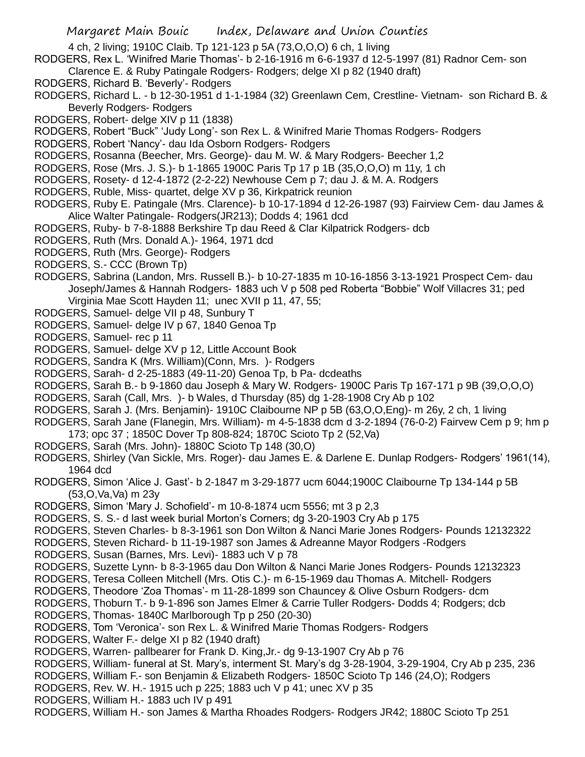4 ch, 2 living; 1910C Claib. Tp 121-123 p 5A (73,O,O,O) 6 ch, 1 living

RODGERS, Rex L. 'Winifred Marie Thomas'- b 2-16-1916 m 6-6-1937 d 12-5-1997 (81) Radnor Cem- son Clarence E. & Ruby Patingale Rodgers- Rodgers; delge XI p 82 (1940 draft)

- RODGERS, Richard B. 'Beverly'- Rodgers
- RODGERS, Richard L. b 12-30-1951 d 1-1-1984 (32) Greenlawn Cem, Crestline- Vietnam- son Richard B. & Beverly Rodgers- Rodgers
- RODGERS, Robert- delge XIV p 11 (1838)
- RODGERS, Robert "Buck" 'Judy Long'- son Rex L. & Winifred Marie Thomas Rodgers- Rodgers
- RODGERS, Robert 'Nancy'- dau Ida Osborn Rodgers- Rodgers
- RODGERS, Rosanna (Beecher, Mrs. George)- dau M. W. & Mary Rodgers- Beecher 1,2
- RODGERS, Rose (Mrs. J. S.)- b 1-1865 1900C Paris Tp 17 p 1B (35,O,O,O) m 11y, 1 ch
- RODGERS, Rosety- d 12-4-1872 (2-2-22) Newhouse Cem p 7; dau J. & M. A. Rodgers
- RODGERS, Ruble, Miss- quartet, delge XV p 36, Kirkpatrick reunion
- RODGERS, Ruby E. Patingale (Mrs. Clarence)- b 10-17-1894 d 12-26-1987 (93) Fairview Cem- dau James & Alice Walter Patingale- Rodgers(JR213); Dodds 4; 1961 dcd
- RODGERS, Ruby- b 7-8-1888 Berkshire Tp dau Reed & Clar Kilpatrick Rodgers- dcb
- RODGERS, Ruth (Mrs. Donald A.)- 1964, 1971 dcd
- RODGERS, Ruth (Mrs. George)- Rodgers
- RODGERS, S.- CCC (Brown Tp)
- RODGERS, Sabrina (Landon, Mrs. Russell B.)- b 10-27-1835 m 10-16-1856 3-13-1921 Prospect Cem- dau Joseph/James & Hannah Rodgers- 1883 uch V p 508 ped Roberta "Bobbie" Wolf Villacres 31; ped Virginia Mae Scott Hayden 11; unec XVII p 11, 47, 55;
- RODGERS, Samuel- delge VII p 48, Sunbury T
- RODGERS, Samuel- delge IV p 67, 1840 Genoa Tp
- RODGERS, Samuel- rec p 11
- RODGERS, Samuel- delge XV p 12, Little Account Book
- RODGERS, Sandra K (Mrs. William)(Conn, Mrs. )- Rodgers
- RODGERS, Sarah- d 2-25-1883 (49-11-20) Genoa Tp, b Pa- dcdeaths
- RODGERS, Sarah B.- b 9-1860 dau Joseph & Mary W. Rodgers- 1900C Paris Tp 167-171 p 9B (39,O,O,O)
- RODGERS, Sarah (Call, Mrs. )- b Wales, d Thursday (85) dg 1-28-1908 Cry Ab p 102
- RODGERS, Sarah J. (Mrs. Benjamin)- 1910C Claibourne NP p 5B (63,O,O,Eng)- m 26y, 2 ch, 1 living
- RODGERS, Sarah Jane (Flanegin, Mrs. William)- m 4-5-1838 dcm d 3-2-1894 (76-0-2) Fairvew Cem p 9; hm p 173; opc 37 ; 1850C Dover Tp 808-824; 1870C Scioto Tp 2 (52,Va)
- RODGERS, Sarah (Mrs. John)- 1880C Scioto Tp 148 (30,O)
- RODGERS, Shirley (Van Sickle, Mrs. Roger)- dau James E. & Darlene E. Dunlap Rodgers- Rodgers' 1961(14), 1964 dcd
- RODGERS, Simon 'Alice J. Gast'- b 2-1847 m 3-29-1877 ucm 6044;1900C Claibourne Tp 134-144 p 5B (53,O,Va,Va) m 23y
- RODGERS, Simon 'Mary J. Schofield'- m 10-8-1874 ucm 5556; mt 3 p 2,3
- RODGERS, S. S.- d last week burial Morton's Corners; dg 3-20-1903 Cry Ab p 175
- RODGERS, Steven Charles- b 8-3-1961 son Don Wilton & Nanci Marie Jones Rodgers- Pounds 12132322
- RODGERS, Steven Richard- b 11-19-1987 son James & Adreanne Mayor Rodgers -Rodgers
- RODGERS, Susan (Barnes, Mrs. Levi)- 1883 uch V p 78
- RODGERS, Suzette Lynn- b 8-3-1965 dau Don Wilton & Nanci Marie Jones Rodgers- Pounds 12132323
- RODGERS, Teresa Colleen Mitchell (Mrs. Otis C.)- m 6-15-1969 dau Thomas A. Mitchell- Rodgers
- RODGERS, Theodore 'Zoa Thomas'- m 11-28-1899 son Chauncey & Olive Osburn Rodgers- dcm
- RODGERS, Thoburn T.- b 9-1-896 son James Elmer & Carrie Tuller Rodgers- Dodds 4; Rodgers; dcb
- RODGERS, Thomas- 1840C Marlborough Tp p 250 (20-30)
- RODGERS, Tom 'Veronica'- son Rex L. & Winifred Marie Thomas Rodgers- Rodgers
- RODGERS, Walter F.- delge XI p 82 (1940 draft)
- RODGERS, Warren- pallbearer for Frank D. King,Jr.- dg 9-13-1907 Cry Ab p 76
- RODGERS, William- funeral at St. Mary's, interment St. Mary's dg 3-28-1904, 3-29-1904, Cry Ab p 235, 236
- RODGERS, William F.- son Benjamin & Elizabeth Rodgers- 1850C Scioto Tp 146 (24,O); Rodgers
- RODGERS, Rev. W. H.- 1915 uch p 225; 1883 uch V p 41; unec XV p 35
- RODGERS, William H.- 1883 uch IV p 491
- RODGERS, William H.- son James & Martha Rhoades Rodgers- Rodgers JR42; 1880C Scioto Tp 251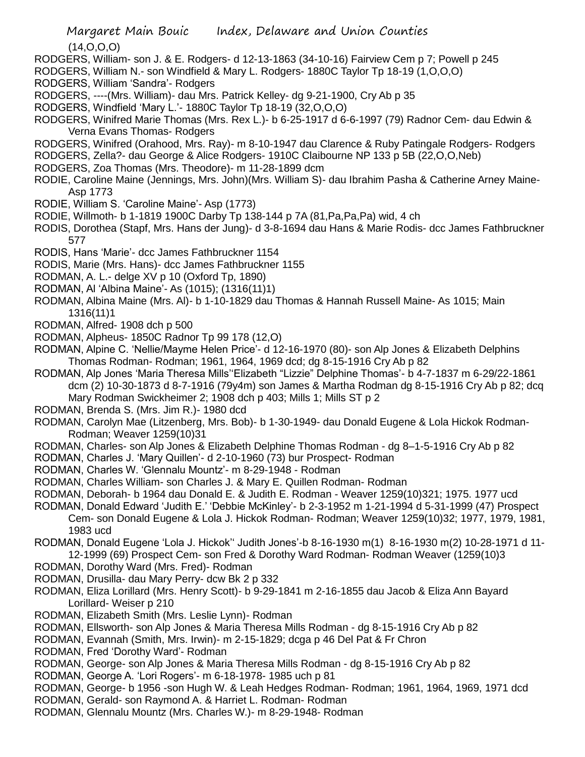(14,O,O,O)

RODGERS, William- son J. & E. Rodgers- d 12-13-1863 (34-10-16) Fairview Cem p 7; Powell p 245

RODGERS, William N.- son Windfield & Mary L. Rodgers- 1880C Taylor Tp 18-19 (1,O,O,O)

RODGERS, William 'Sandra'- Rodgers

RODGERS, ----(Mrs. William)- dau Mrs. Patrick Kelley- dg 9-21-1900, Cry Ab p 35

- RODGERS, Windfield 'Mary L.'- 1880C Taylor Tp 18-19 (32,O,O,O)
- RODGERS, Winifred Marie Thomas (Mrs. Rex L.)- b 6-25-1917 d 6-6-1997 (79) Radnor Cem- dau Edwin & Verna Evans Thomas- Rodgers
- RODGERS, Winifred (Orahood, Mrs. Ray)- m 8-10-1947 dau Clarence & Ruby Patingale Rodgers- Rodgers
- RODGERS, Zella?- dau George & Alice Rodgers- 1910C Claibourne NP 133 p 5B (22,O,O,Neb)
- RODGERS, Zoa Thomas (Mrs. Theodore)- m 11-28-1899 dcm
- RODIE, Caroline Maine (Jennings, Mrs. John)(Mrs. William S)- dau Ibrahim Pasha & Catherine Arney Maine-Asp 1773
- RODIE, William S. 'Caroline Maine'- Asp (1773)
- RODIE, Willmoth- b 1-1819 1900C Darby Tp 138-144 p 7A (81,Pa,Pa,Pa) wid, 4 ch
- RODIS, Dorothea (Stapf, Mrs. Hans der Jung)- d 3-8-1694 dau Hans & Marie Rodis- dcc James Fathbruckner 577
- RODIS, Hans 'Marie'- dcc James Fathbruckner 1154
- RODIS, Marie (Mrs. Hans)- dcc James Fathbruckner 1155
- RODMAN, A. L.- delge XV p 10 (Oxford Tp, 1890)
- RODMAN, Al 'Albina Maine'- As (1015); (1316(11)1)
- RODMAN, Albina Maine (Mrs. Al)- b 1-10-1829 dau Thomas & Hannah Russell Maine- As 1015; Main 1316(11)1
- RODMAN, Alfred- 1908 dch p 500
- RODMAN, Alpheus- 1850C Radnor Tp 99 178 (12,O)
- RODMAN, Alpine C. 'Nellie/Mayme Helen Price'- d 12-16-1970 (80)- son Alp Jones & Elizabeth Delphins Thomas Rodman- Rodman; 1961, 1964, 1969 dcd; dg 8-15-1916 Cry Ab p 82
- RODMAN, Alp Jones 'Maria Theresa Mills''Elizabeth "Lizzie" Delphine Thomas'- b 4-7-1837 m 6-29/22-1861 dcm (2) 10-30-1873 d 8-7-1916 (79y4m) son James & Martha Rodman dg 8-15-1916 Cry Ab p 82; dcq Mary Rodman Swickheimer 2; 1908 dch p 403; Mills 1; Mills ST p 2
- RODMAN, Brenda S. (Mrs. Jim R.)- 1980 dcd
- RODMAN, Carolyn Mae (Litzenberg, Mrs. Bob)- b 1-30-1949- dau Donald Eugene & Lola Hickok Rodman-Rodman; Weaver 1259(10)31
- RODMAN, Charles- son Alp Jones & Elizabeth Delphine Thomas Rodman dg 8–1-5-1916 Cry Ab p 82
- RODMAN, Charles J. 'Mary Quillen'- d 2-10-1960 (73) bur Prospect- Rodman
- RODMAN, Charles W. 'Glennalu Mountz'- m 8-29-1948 Rodman
- RODMAN, Charles William- son Charles J. & Mary E. Quillen Rodman- Rodman
- RODMAN, Deborah- b 1964 dau Donald E. & Judith E. Rodman Weaver 1259(10)321; 1975. 1977 ucd
- RODMAN, Donald Edward 'Judith E.' 'Debbie McKinley'- b 2-3-1952 m 1-21-1994 d 5-31-1999 (47) Prospect Cem- son Donald Eugene & Lola J. Hickok Rodman- Rodman; Weaver 1259(10)32; 1977, 1979, 1981, 1983 ucd
- RODMAN, Donald Eugene 'Lola J. Hickok'' Judith Jones'-b 8-16-1930 m(1) 8-16-1930 m(2) 10-28-1971 d 11- 12-1999 (69) Prospect Cem- son Fred & Dorothy Ward Rodman- Rodman Weaver (1259(10)3
- RODMAN, Dorothy Ward (Mrs. Fred)- Rodman
- RODMAN, Drusilla- dau Mary Perry- dcw Bk 2 p 332
- RODMAN, Eliza Lorillard (Mrs. Henry Scott)- b 9-29-1841 m 2-16-1855 dau Jacob & Eliza Ann Bayard Lorillard- Weiser p 210
- RODMAN, Elizabeth Smith (Mrs. Leslie Lynn)- Rodman
- RODMAN, Ellsworth- son Alp Jones & Maria Theresa Mills Rodman dg 8-15-1916 Cry Ab p 82
- RODMAN, Evannah (Smith, Mrs. Irwin)- m 2-15-1829; dcga p 46 Del Pat & Fr Chron
- RODMAN, Fred 'Dorothy Ward'- Rodman
- RODMAN, George- son Alp Jones & Maria Theresa Mills Rodman dg 8-15-1916 Cry Ab p 82
- RODMAN, George A. 'Lori Rogers'- m 6-18-1978- 1985 uch p 81
- RODMAN, George- b 1956 -son Hugh W. & Leah Hedges Rodman- Rodman; 1961, 1964, 1969, 1971 dcd
- RODMAN, Gerald- son Raymond A. & Harriet L. Rodman- Rodman
- RODMAN, Glennalu Mountz (Mrs. Charles W.)- m 8-29-1948- Rodman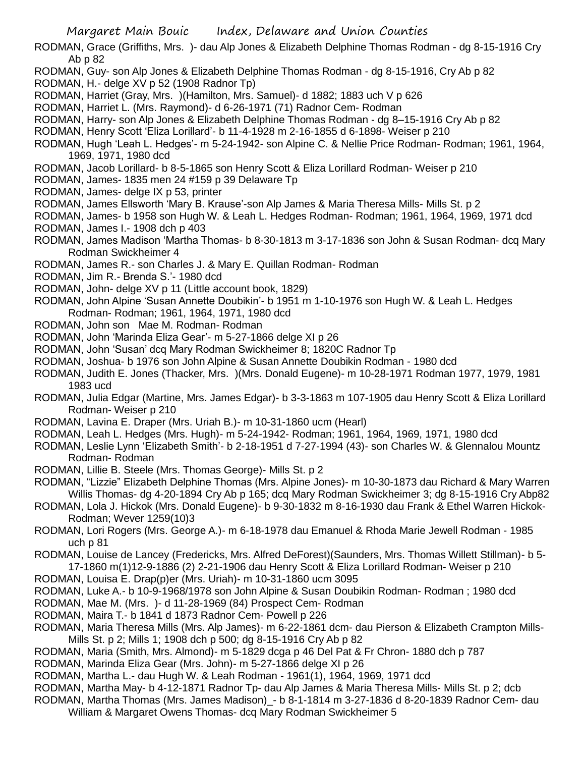- RODMAN, Grace (Griffiths, Mrs. )- dau Alp Jones & Elizabeth Delphine Thomas Rodman dg 8-15-1916 Cry Ab p 82
- RODMAN, Guy- son Alp Jones & Elizabeth Delphine Thomas Rodman dg 8-15-1916, Cry Ab p 82 RODMAN, H.- delge XV p 52 (1908 Radnor Tp)
- RODMAN, Harriet (Gray, Mrs. )(Hamilton, Mrs. Samuel)- d 1882; 1883 uch V p 626
- RODMAN, Harriet L. (Mrs. Raymond)- d 6-26-1971 (71) Radnor Cem- Rodman
- RODMAN, Harry- son Alp Jones & Elizabeth Delphine Thomas Rodman dg 8–15-1916 Cry Ab p 82
- RODMAN, Henry Scott 'Eliza Lorillard'- b 11-4-1928 m 2-16-1855 d 6-1898- Weiser p 210
- RODMAN, Hugh 'Leah L. Hedges'- m 5-24-1942- son Alpine C. & Nellie Price Rodman- Rodman; 1961, 1964, 1969, 1971, 1980 dcd
- RODMAN, Jacob Lorillard- b 8-5-1865 son Henry Scott & Eliza Lorillard Rodman- Weiser p 210
- RODMAN, James- 1835 men 24 #159 p 39 Delaware Tp
- RODMAN, James- delge IX p 53, printer
- RODMAN, James Ellsworth 'Mary B. Krause'-son Alp James & Maria Theresa Mills- Mills St. p 2
- RODMAN, James- b 1958 son Hugh W. & Leah L. Hedges Rodman- Rodman; 1961, 1964, 1969, 1971 dcd RODMAN, James I.- 1908 dch p 403
- RODMAN, James Madison 'Martha Thomas- b 8-30-1813 m 3-17-1836 son John & Susan Rodman- dcq Mary Rodman Swickheimer 4
- RODMAN, James R.- son Charles J. & Mary E. Quillan Rodman- Rodman
- RODMAN, Jim R.- Brenda S.'- 1980 dcd
- RODMAN, John- delge XV p 11 (Little account book, 1829)
- RODMAN, John Alpine 'Susan Annette Doubikin'- b 1951 m 1-10-1976 son Hugh W. & Leah L. Hedges Rodman- Rodman; 1961, 1964, 1971, 1980 dcd
- RODMAN, John son Mae M. Rodman- Rodman
- RODMAN, John 'Marinda Eliza Gear'- m 5-27-1866 delge XI p 26
- RODMAN, John 'Susan' dcq Mary Rodman Swickheimer 8; 1820C Radnor Tp
- RODMAN, Joshua- b 1976 son John Alpine & Susan Annette Doubikin Rodman 1980 dcd
- RODMAN, Judith E. Jones (Thacker, Mrs. )(Mrs. Donald Eugene)- m 10-28-1971 Rodman 1977, 1979, 1981 1983 ucd
- RODMAN, Julia Edgar (Martine, Mrs. James Edgar)- b 3-3-1863 m 107-1905 dau Henry Scott & Eliza Lorillard Rodman- Weiser p 210
- RODMAN, Lavina E. Draper (Mrs. Uriah B.)- m 10-31-1860 ucm (Hearl)
- RODMAN, Leah L. Hedges (Mrs. Hugh)- m 5-24-1942- Rodman; 1961, 1964, 1969, 1971, 1980 dcd
- RODMAN, Leslie Lynn 'Elizabeth Smith'- b 2-18-1951 d 7-27-1994 (43)- son Charles W. & Glennalou Mountz Rodman- Rodman
- RODMAN, Lillie B. Steele (Mrs. Thomas George)- Mills St. p 2
- RODMAN, "Lizzie" Elizabeth Delphine Thomas (Mrs. Alpine Jones)- m 10-30-1873 dau Richard & Mary Warren Willis Thomas- dg 4-20-1894 Cry Ab p 165; dcq Mary Rodman Swickheimer 3; dg 8-15-1916 Cry Abp82
- RODMAN, Lola J. Hickok (Mrs. Donald Eugene)- b 9-30-1832 m 8-16-1930 dau Frank & Ethel Warren Hickok-Rodman; Wever 1259(10)3
- RODMAN, Lori Rogers (Mrs. George A.)- m 6-18-1978 dau Emanuel & Rhoda Marie Jewell Rodman 1985 uch p 81
- RODMAN, Louise de Lancey (Fredericks, Mrs. Alfred DeForest)(Saunders, Mrs. Thomas Willett Stillman)- b 5- 17-1860 m(1)12-9-1886 (2) 2-21-1906 dau Henry Scott & Eliza Lorillard Rodman- Weiser p 210
- RODMAN, Louisa E. Drap(p)er (Mrs. Uriah)- m 10-31-1860 ucm 3095
- RODMAN, Luke A.- b 10-9-1968/1978 son John Alpine & Susan Doubikin Rodman- Rodman ; 1980 dcd
- RODMAN, Mae M. (Mrs. )- d 11-28-1969 (84) Prospect Cem- Rodman
- RODMAN, Maira T.- b 1841 d 1873 Radnor Cem- Powell p 226
- RODMAN, Maria Theresa Mills (Mrs. Alp James)- m 6-22-1861 dcm- dau Pierson & Elizabeth Crampton Mills-Mills St. p 2; Mills 1; 1908 dch p 500; dg 8-15-1916 Cry Ab p 82
- RODMAN, Maria (Smith, Mrs. Almond)- m 5-1829 dcga p 46 Del Pat & Fr Chron- 1880 dch p 787
- RODMAN, Marinda Eliza Gear (Mrs. John)- m 5-27-1866 delge XI p 26
- RODMAN, Martha L.- dau Hugh W. & Leah Rodman 1961(1), 1964, 1969, 1971 dcd
- RODMAN, Martha May- b 4-12-1871 Radnor Tp- dau Alp James & Maria Theresa Mills- Mills St. p 2; dcb
- RODMAN, Martha Thomas (Mrs. James Madison)\_- b 8-1-1814 m 3-27-1836 d 8-20-1839 Radnor Cem- dau William & Margaret Owens Thomas- dcq Mary Rodman Swickheimer 5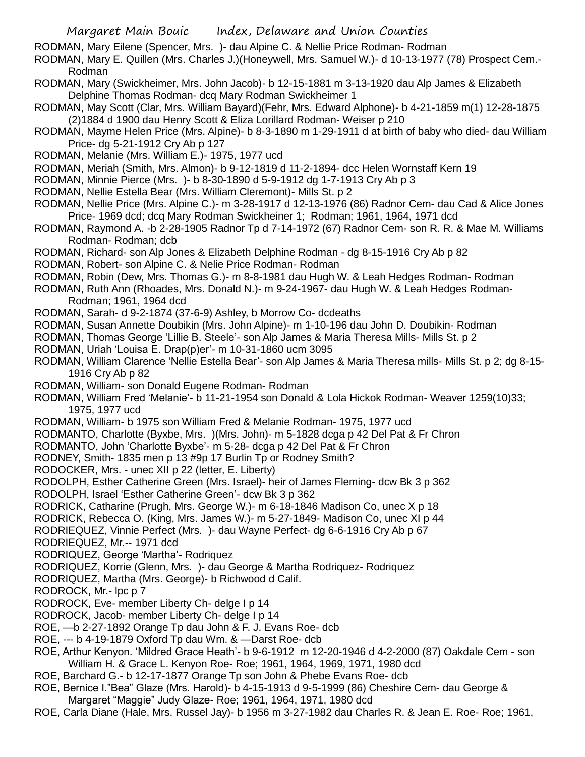RODMAN, Mary Eilene (Spencer, Mrs. )- dau Alpine C. & Nellie Price Rodman- Rodman

RODMAN, Mary E. Quillen (Mrs. Charles J.)(Honeywell, Mrs. Samuel W.)- d 10-13-1977 (78) Prospect Cem.- Rodman

RODMAN, Mary (Swickheimer, Mrs. John Jacob)- b 12-15-1881 m 3-13-1920 dau Alp James & Elizabeth Delphine Thomas Rodman- dcq Mary Rodman Swickheimer 1

RODMAN, May Scott (Clar, Mrs. William Bayard)(Fehr, Mrs. Edward Alphone)- b 4-21-1859 m(1) 12-28-1875 (2)1884 d 1900 dau Henry Scott & Eliza Lorillard Rodman- Weiser p 210

RODMAN, Mayme Helen Price (Mrs. Alpine)- b 8-3-1890 m 1-29-1911 d at birth of baby who died- dau William Price- dg 5-21-1912 Cry Ab p 127

RODMAN, Melanie (Mrs. William E.)- 1975, 1977 ucd

RODMAN, Meriah (Smith, Mrs. Almon)- b 9-12-1819 d 11-2-1894- dcc Helen Wornstaff Kern 19

RODMAN, Minnie Pierce (Mrs. )- b 8-30-1890 d 5-9-1912 dg 1-7-1913 Cry Ab p 3

- RODMAN, Nellie Estella Bear (Mrs. William Cleremont)- Mills St. p 2
- RODMAN, Nellie Price (Mrs. Alpine C.)- m 3-28-1917 d 12-13-1976 (86) Radnor Cem- dau Cad & Alice Jones Price- 1969 dcd; dcq Mary Rodman Swickheiner 1; Rodman; 1961, 1964, 1971 dcd
- RODMAN, Raymond A. -b 2-28-1905 Radnor Tp d 7-14-1972 (67) Radnor Cem- son R. R. & Mae M. Williams Rodman- Rodman; dcb
- RODMAN, Richard- son Alp Jones & Elizabeth Delphine Rodman dg 8-15-1916 Cry Ab p 82
- RODMAN, Robert- son Alpine C. & Nelie Price Rodman- Rodman

RODMAN, Robin (Dew, Mrs. Thomas G.)- m 8-8-1981 dau Hugh W. & Leah Hedges Rodman- Rodman

RODMAN, Ruth Ann (Rhoades, Mrs. Donald N.)- m 9-24-1967- dau Hugh W. & Leah Hedges Rodman-Rodman; 1961, 1964 dcd

RODMAN, Sarah- d 9-2-1874 (37-6-9) Ashley, b Morrow Co- dcdeaths

RODMAN, Susan Annette Doubikin (Mrs. John Alpine)- m 1-10-196 dau John D. Doubikin- Rodman

RODMAN, Thomas George 'Lillie B. Steele'- son Alp James & Maria Theresa Mills- Mills St. p 2

- RODMAN, Uriah 'Louisa E. Drap(p)er'- m 10-31-1860 ucm 3095
- RODMAN, William Clarence 'Nellie Estella Bear'- son Alp James & Maria Theresa mills- Mills St. p 2; dg 8-15- 1916 Cry Ab p 82
- RODMAN, William- son Donald Eugene Rodman- Rodman

RODMAN, William Fred 'Melanie'- b 11-21-1954 son Donald & Lola Hickok Rodman- Weaver 1259(10)33; 1975, 1977 ucd

RODMAN, William- b 1975 son William Fred & Melanie Rodman- 1975, 1977 ucd

RODMANTO, Charlotte (Byxbe, Mrs. )(Mrs. John)- m 5-1828 dcga p 42 Del Pat & Fr Chron

RODMANTO, John 'Charlotte Byxbe'- m 5-28- dcga p 42 Del Pat & Fr Chron

- RODNEY, Smith- 1835 men p 13 #9p 17 Burlin Tp or Rodney Smith?
- RODOCKER, Mrs. unec XII p 22 (letter, E. Liberty)

RODOLPH, Esther Catherine Green (Mrs. Israel)- heir of James Fleming- dcw Bk 3 p 362

RODOLPH, Israel 'Esther Catherine Green'- dcw Bk 3 p 362

RODRICK, Catharine (Prugh, Mrs. George W.)- m 6-18-1846 Madison Co, unec X p 18

- RODRICK, Rebecca O. (King, Mrs. James W.)- m 5-27-1849- Madison Co, unec XI p 44
- RODRIEQUEZ, Vinnie Perfect (Mrs. )- dau Wayne Perfect- dg 6-6-1916 Cry Ab p 67

RODRIEQUEZ, Mr.-- 1971 dcd

RODRIQUEZ, George 'Martha'- Rodriquez

RODRIQUEZ, Korrie (Glenn, Mrs. )- dau George & Martha Rodriquez- Rodriquez

RODRIQUEZ, Martha (Mrs. George)- b Richwood d Calif.

RODROCK, Mr.- lpc p 7

RODROCK, Eve- member Liberty Ch- delge I p 14

RODROCK, Jacob- member Liberty Ch- delge I p 14

ROE, —b 2-27-1892 Orange Tp dau John & F. J. Evans Roe- dcb

ROE, --- b 4-19-1879 Oxford Tp dau Wm. & —Darst Roe- dcb

- ROE, Arthur Kenyon. 'Mildred Grace Heath'- b 9-6-1912 m 12-20-1946 d 4-2-2000 (87) Oakdale Cem son William H. & Grace L. Kenyon Roe- Roe; 1961, 1964, 1969, 1971, 1980 dcd
- ROE, Barchard G.- b 12-17-1877 Orange Tp son John & Phebe Evans Roe- dcb
- ROE, Bernice I."Bea" Glaze (Mrs. Harold)- b 4-15-1913 d 9-5-1999 (86) Cheshire Cem- dau George & Margaret "Maggie" Judy Glaze- Roe; 1961, 1964, 1971, 1980 dcd
- ROE, Carla Diane (Hale, Mrs. Russel Jay)- b 1956 m 3-27-1982 dau Charles R. & Jean E. Roe- Roe; 1961,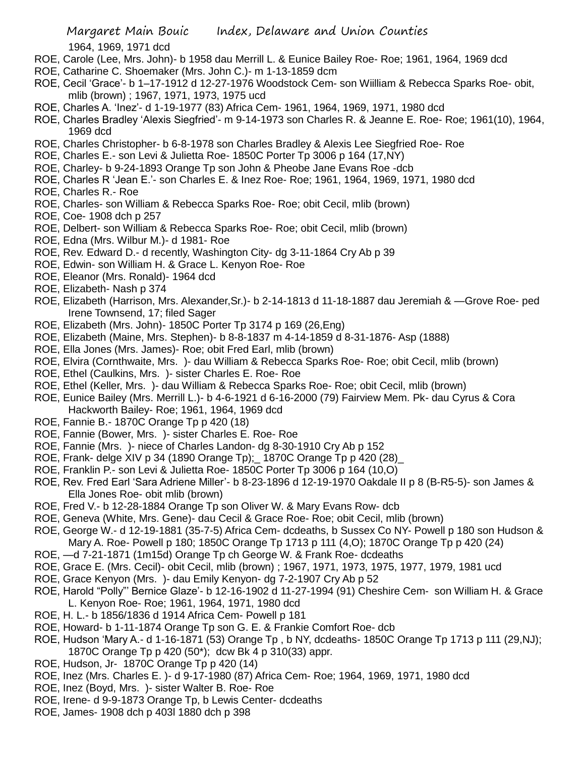1964, 1969, 1971 dcd

- ROE, Carole (Lee, Mrs. John)- b 1958 dau Merrill L. & Eunice Bailey Roe- Roe; 1961, 1964, 1969 dcd
- ROE, Catharine C. Shoemaker (Mrs. John C.)- m 1-13-1859 dcm
- ROE, Cecil 'Grace'- b 1–17-1912 d 12-27-1976 Woodstock Cem- son Wiilliam & Rebecca Sparks Roe- obit, mlib (brown) ; 1967, 1971, 1973, 1975 ucd
- ROE, Charles A. 'Inez'- d 1-19-1977 (83) Africa Cem- 1961, 1964, 1969, 1971, 1980 dcd
- ROE, Charles Bradley 'Alexis Siegfried'- m 9-14-1973 son Charles R. & Jeanne E. Roe- Roe; 1961(10), 1964, 1969 dcd
- ROE, Charles Christopher- b 6-8-1978 son Charles Bradley & Alexis Lee Siegfried Roe- Roe
- ROE, Charles E.- son Levi & Julietta Roe- 1850C Porter Tp 3006 p 164 (17,NY)
- ROE, Charley- b 9-24-1893 Orange Tp son John & Pheobe Jane Evans Roe -dcb
- ROE, Charles R 'Jean E.'- son Charles E. & Inez Roe- Roe; 1961, 1964, 1969, 1971, 1980 dcd
- ROE, Charles R.- Roe
- ROE, Charles- son William & Rebecca Sparks Roe- Roe; obit Cecil, mlib (brown)
- ROE, Coe- 1908 dch p 257
- ROE, Delbert- son William & Rebecca Sparks Roe- Roe; obit Cecil, mlib (brown)
- ROE, Edna (Mrs. Wilbur M.)- d 1981- Roe
- ROE, Rev. Edward D.- d recently, Washington City- dg 3-11-1864 Cry Ab p 39
- ROE, Edwin- son William H. & Grace L. Kenyon Roe- Roe
- ROE, Eleanor (Mrs. Ronald)- 1964 dcd
- ROE, Elizabeth- Nash p 374
- ROE, Elizabeth (Harrison, Mrs. Alexander,Sr.)- b 2-14-1813 d 11-18-1887 dau Jeremiah & —Grove Roe- ped Irene Townsend, 17; filed Sager
- ROE, Elizabeth (Mrs. John)- 1850C Porter Tp 3174 p 169 (26,Eng)
- ROE, Elizabeth (Maine, Mrs. Stephen)- b 8-8-1837 m 4-14-1859 d 8-31-1876- Asp (1888)
- ROE, Ella Jones (Mrs. James)- Roe; obit Fred Earl, mlib (brown)
- ROE, Elvira (Cornthwaite, Mrs. )- dau William & Rebecca Sparks Roe- Roe; obit Cecil, mlib (brown)
- ROE, Ethel (Caulkins, Mrs. )- sister Charles E. Roe- Roe
- ROE, Ethel (Keller, Mrs. )- dau William & Rebecca Sparks Roe- Roe; obit Cecil, mlib (brown)
- ROE, Eunice Bailey (Mrs. Merrill L.)- b 4-6-1921 d 6-16-2000 (79) Fairview Mem. Pk- dau Cyrus & Cora Hackworth Bailey- Roe; 1961, 1964, 1969 dcd
- ROE, Fannie B.- 1870C Orange Tp p 420 (18)
- ROE, Fannie (Bower, Mrs. )- sister Charles E. Roe- Roe
- ROE, Fannie (Mrs. )- niece of Charles Landon- dg 8-30-1910 Cry Ab p 152
- ROE, Frank- delge XIV p 34 (1890 Orange Tp);\_ 1870C Orange Tp p 420 (28)\_
- ROE, Franklin P.- son Levi & Julietta Roe- 1850C Porter Tp 3006 p 164 (10,O)
- ROE, Rev. Fred Earl 'Sara Adriene Miller'- b 8-23-1896 d 12-19-1970 Oakdale II p 8 (B-R5-5)- son James & Ella Jones Roe- obit mlib (brown)
- ROE, Fred V.- b 12-28-1884 Orange Tp son Oliver W. & Mary Evans Row- dcb
- ROE, Geneva (White, Mrs. Gene)- dau Cecil & Grace Roe- Roe; obit Cecil, mlib (brown)
- ROE, George W.- d 12-19-1881 (35-7-5) Africa Cem- dcdeaths, b Sussex Co NY- Powell p 180 son Hudson & Mary A. Roe- Powell p 180; 1850C Orange Tp 1713 p 111 (4,O); 1870C Orange Tp p 420 (24)
- ROE, —d 7-21-1871 (1m15d) Orange Tp ch George W. & Frank Roe- dcdeaths
- ROE, Grace E. (Mrs. Cecil)- obit Cecil, mlib (brown) ; 1967, 1971, 1973, 1975, 1977, 1979, 1981 ucd
- ROE, Grace Kenyon (Mrs. )- dau Emily Kenyon- dg 7-2-1907 Cry Ab p 52
- ROE, Harold "Polly"' Bernice Glaze'- b 12-16-1902 d 11-27-1994 (91) Cheshire Cem- son William H. & Grace L. Kenyon Roe- Roe; 1961, 1964, 1971, 1980 dcd
- ROE, H. L.- b 1856/1836 d 1914 Africa Cem- Powell p 181
- ROE, Howard- b 1-11-1874 Orange Tp son G. E. & Frankie Comfort Roe- dcb
- ROE, Hudson 'Mary A.- d 1-16-1871 (53) Orange Tp , b NY, dcdeaths- 1850C Orange Tp 1713 p 111 (29,NJ); 1870C Orange Tp p 420 (50\*); dcw Bk 4 p 310(33) appr.
- ROE, Hudson, Jr- 1870C Orange Tp p 420 (14)
- ROE, Inez (Mrs. Charles E. )- d 9-17-1980 (87) Africa Cem- Roe; 1964, 1969, 1971, 1980 dcd
- ROE, Inez (Boyd, Mrs. )- sister Walter B. Roe- Roe
- ROE, Irene- d 9-9-1873 Orange Tp, b Lewis Center- dcdeaths
- ROE, James- 1908 dch p 403l 1880 dch p 398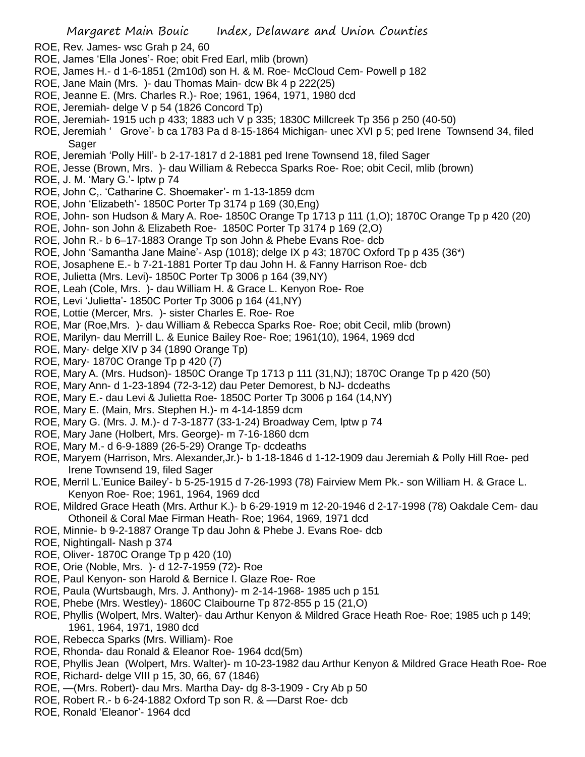- ROE, Rev. James- wsc Grah p 24, 60
- ROE, James 'Ella Jones'- Roe; obit Fred Earl, mlib (brown)
- ROE, James H.- d 1-6-1851 (2m10d) son H. & M. Roe- McCloud Cem- Powell p 182
- ROE, Jane Main (Mrs. )- dau Thomas Main- dcw Bk 4 p 222(25)
- ROE, Jeanne E. (Mrs. Charles R.)- Roe; 1961, 1964, 1971, 1980 dcd
- ROE, Jeremiah- delge V p 54 (1826 Concord Tp)
- ROE, Jeremiah- 1915 uch p 433; 1883 uch V p 335; 1830C Millcreek Tp 356 p 250 (40-50)
- ROE, Jeremiah ' Grove'- b ca 1783 Pa d 8-15-1864 Michigan- unec XVI p 5; ped Irene Townsend 34, filed Sager
- ROE, Jeremiah 'Polly Hill'- b 2-17-1817 d 2-1881 ped Irene Townsend 18, filed Sager
- ROE, Jesse (Brown, Mrs. )- dau William & Rebecca Sparks Roe- Roe; obit Cecil, mlib (brown)
- ROE, J. M. 'Mary G.'- lptw p 74
- ROE, John C,. 'Catharine C. Shoemaker'- m 1-13-1859 dcm
- ROE, John 'Elizabeth'- 1850C Porter Tp 3174 p 169 (30,Eng)
- ROE, John- son Hudson & Mary A. Roe- 1850C Orange Tp 1713 p 111 (1,O); 1870C Orange Tp p 420 (20)
- ROE, John- son John & Elizabeth Roe- 1850C Porter Tp 3174 p 169 (2,O)
- ROE, John R.- b 6–17-1883 Orange Tp son John & Phebe Evans Roe- dcb
- ROE, John 'Samantha Jane Maine'- Asp (1018); delge IX p 43; 1870C Oxford Tp p 435 (36\*)
- ROE, Josaphene E.- b 7-21-1881 Porter Tp dau John H. & Fanny Harrison Roe- dcb
- ROE, Julietta (Mrs. Levi)- 1850C Porter Tp 3006 p 164 (39,NY)
- ROE, Leah (Cole, Mrs. )- dau William H. & Grace L. Kenyon Roe- Roe
- ROE, Levi 'Julietta'- 1850C Porter Tp 3006 p 164 (41,NY)
- ROE, Lottie (Mercer, Mrs. )- sister Charles E. Roe- Roe
- ROE, Mar (Roe,Mrs. )- dau William & Rebecca Sparks Roe- Roe; obit Cecil, mlib (brown)
- ROE, Marilyn- dau Merrill L. & Eunice Bailey Roe- Roe; 1961(10), 1964, 1969 dcd
- ROE, Mary- delge XIV p 34 (1890 Orange Tp)
- ROE, Mary- 1870C Orange Tp p 420 (7)
- ROE, Mary A. (Mrs. Hudson)- 1850C Orange Tp 1713 p 111 (31,NJ); 1870C Orange Tp p 420 (50)
- ROE, Mary Ann- d 1-23-1894 (72-3-12) dau Peter Demorest, b NJ- dcdeaths
- ROE, Mary E.- dau Levi & Julietta Roe- 1850C Porter Tp 3006 p 164 (14,NY)
- ROE, Mary E. (Main, Mrs. Stephen H.)- m 4-14-1859 dcm
- ROE, Mary G. (Mrs. J. M.)- d 7-3-1877 (33-1-24) Broadway Cem, lptw p 74
- ROE, Mary Jane (Holbert, Mrs. George)- m 7-16-1860 dcm
- ROE, Mary M.- d 6-9-1889 (26-5-29) Orange Tp- dcdeaths
- ROE, Maryem (Harrison, Mrs. Alexander,Jr.)- b 1-18-1846 d 1-12-1909 dau Jeremiah & Polly Hill Roe- ped Irene Townsend 19, filed Sager
- ROE, Merril L.'Eunice Bailey'- b 5-25-1915 d 7-26-1993 (78) Fairview Mem Pk.- son William H. & Grace L. Kenyon Roe- Roe; 1961, 1964, 1969 dcd
- ROE, Mildred Grace Heath (Mrs. Arthur K.)- b 6-29-1919 m 12-20-1946 d 2-17-1998 (78) Oakdale Cem- dau Othoneil & Coral Mae Firman Heath- Roe; 1964, 1969, 1971 dcd
- ROE, Minnie- b 9-2-1887 Orange Tp dau John & Phebe J. Evans Roe- dcb
- ROE, Nightingall- Nash p 374
- ROE, Oliver- 1870C Orange Tp p 420 (10)
- ROE, Orie (Noble, Mrs. )- d 12-7-1959 (72)- Roe
- ROE, Paul Kenyon- son Harold & Bernice I. Glaze Roe- Roe
- ROE, Paula (Wurtsbaugh, Mrs. J. Anthony)- m 2-14-1968- 1985 uch p 151
- ROE, Phebe (Mrs. Westley)- 1860C Claibourne Tp 872-855 p 15 (21,O)
- ROE, Phyllis (Wolpert, Mrs. Walter)- dau Arthur Kenyon & Mildred Grace Heath Roe- Roe; 1985 uch p 149; 1961, 1964, 1971, 1980 dcd
- ROE, Rebecca Sparks (Mrs. William)- Roe
- ROE, Rhonda- dau Ronald & Eleanor Roe- 1964 dcd(5m)
- ROE, Phyllis Jean (Wolpert, Mrs. Walter)- m 10-23-1982 dau Arthur Kenyon & Mildred Grace Heath Roe- Roe
- ROE, Richard- delge VIII p 15, 30, 66, 67 (1846)
- ROE, —(Mrs. Robert)- dau Mrs. Martha Day- dg 8-3-1909 Cry Ab p 50
- ROE, Robert R.- b 6-24-1882 Oxford Tp son R. & —Darst Roe- dcb
- ROE, Ronald 'Eleanor'- 1964 dcd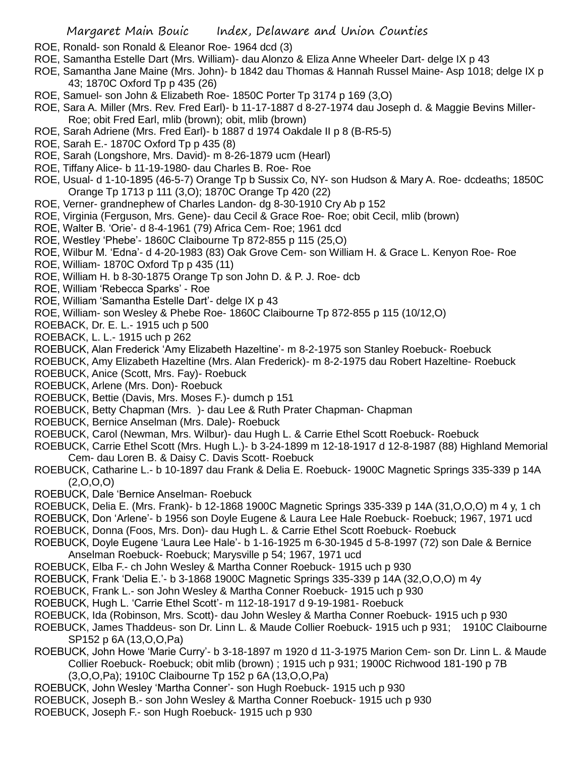- ROE, Ronald- son Ronald & Eleanor Roe- 1964 dcd (3)
- ROE, Samantha Estelle Dart (Mrs. William)- dau Alonzo & Eliza Anne Wheeler Dart- delge IX p 43
- ROE, Samantha Jane Maine (Mrs. John)- b 1842 dau Thomas & Hannah Russel Maine- Asp 1018; delge IX p 43; 1870C Oxford Tp p 435 (26)
- ROE, Samuel- son John & Elizabeth Roe- 1850C Porter Tp 3174 p 169 (3,O)
- ROE, Sara A. Miller (Mrs. Rev. Fred Earl)- b 11-17-1887 d 8-27-1974 dau Joseph d. & Maggie Bevins Miller-Roe; obit Fred Earl, mlib (brown); obit, mlib (brown)
- ROE, Sarah Adriene (Mrs. Fred Earl)- b 1887 d 1974 Oakdale II p 8 (B-R5-5)
- ROE, Sarah E.- 1870C Oxford Tp p 435 (8)
- ROE, Sarah (Longshore, Mrs. David)- m 8-26-1879 ucm (Hearl)
- ROE, Tiffany Alice- b 11-19-1980- dau Charles B. Roe- Roe
- ROE, Usual- d 1-10-1895 (46-5-7) Orange Tp b Sussix Co, NY- son Hudson & Mary A. Roe- dcdeaths; 1850C Orange Tp 1713 p 111 (3,O); 1870C Orange Tp 420 (22)
- ROE, Verner- grandnephew of Charles Landon- dg 8-30-1910 Cry Ab p 152
- ROE, Virginia (Ferguson, Mrs. Gene)- dau Cecil & Grace Roe- Roe; obit Cecil, mlib (brown)
- ROE, Walter B. 'Orie'- d 8-4-1961 (79) Africa Cem- Roe; 1961 dcd
- ROE, Westley 'Phebe'- 1860C Claibourne Tp 872-855 p 115 (25,O)
- ROE, Wilbur M. 'Edna'- d 4-20-1983 (83) Oak Grove Cem- son William H. & Grace L. Kenyon Roe- Roe
- ROE, William- 1870C Oxford Tp p 435 (11)
- ROE, William H. b 8-30-1875 Orange Tp son John D. & P. J. Roe- dcb
- ROE, William 'Rebecca Sparks' Roe
- ROE, William 'Samantha Estelle Dart'- delge IX p 43
- ROE, William- son Wesley & Phebe Roe- 1860C Claibourne Tp 872-855 p 115 (10/12,O)
- ROEBACK, Dr. E. L.- 1915 uch p 500
- ROEBACK, L. L.- 1915 uch p 262
- ROEBUCK, Alan Frederick 'Amy Elizabeth Hazeltine'- m 8-2-1975 son Stanley Roebuck- Roebuck
- ROEBUCK, Amy Elizabeth Hazeltine (Mrs. Alan Frederick)- m 8-2-1975 dau Robert Hazeltine- Roebuck
- ROEBUCK, Anice (Scott, Mrs. Fay)- Roebuck
- ROEBUCK, Arlene (Mrs. Don)- Roebuck
- ROEBUCK, Bettie (Davis, Mrs. Moses F.)- dumch p 151
- ROEBUCK, Betty Chapman (Mrs. )- dau Lee & Ruth Prater Chapman- Chapman
- ROEBUCK, Bernice Anselman (Mrs. Dale)- Roebuck
- ROEBUCK, Carol (Newman, Mrs. Wilbur)- dau Hugh L. & Carrie Ethel Scott Roebuck- Roebuck
- ROEBUCK, Carrie Ethel Scott (Mrs. Hugh L.)- b 3-24-1899 m 12-18-1917 d 12-8-1987 (88) Highland Memorial Cem- dau Loren B. & Daisy C. Davis Scott- Roebuck
- ROEBUCK, Catharine L.- b 10-1897 dau Frank & Delia E. Roebuck- 1900C Magnetic Springs 335-339 p 14A  $(2,0,0,0)$
- ROEBUCK, Dale 'Bernice Anselman- Roebuck
- ROEBUCK, Delia E. (Mrs. Frank)- b 12-1868 1900C Magnetic Springs 335-339 p 14A (31,O,O,O) m 4 y, 1 ch
- ROEBUCK, Don 'Arlene'- b 1956 son Doyle Eugene & Laura Lee Hale Roebuck- Roebuck; 1967, 1971 ucd
- ROEBUCK, Donna (Foos, Mrs. Don)- dau Hugh L. & Carrie Ethel Scott Roebuck- Roebuck
- ROEBUCK, Doyle Eugene 'Laura Lee Hale'- b 1-16-1925 m 6-30-1945 d 5-8-1997 (72) son Dale & Bernice Anselman Roebuck- Roebuck; Marysville p 54; 1967, 1971 ucd
- ROEBUCK, Elba F.- ch John Wesley & Martha Conner Roebuck- 1915 uch p 930
- ROEBUCK, Frank 'Delia E.'- b 3-1868 1900C Magnetic Springs 335-339 p 14A (32,O,O,O) m 4y
- ROEBUCK, Frank L.- son John Wesley & Martha Conner Roebuck- 1915 uch p 930
- ROEBUCK, Hugh L. 'Carrie Ethel Scott'- m 112-18-1917 d 9-19-1981- Roebuck
- ROEBUCK, Ida (Robinson, Mrs. Scott)- dau John Wesley & Martha Conner Roebuck- 1915 uch p 930
- ROEBUCK, James Thaddeus- son Dr. Linn L. & Maude Collier Roebuck- 1915 uch p 931; 1910C Claibourne SP152 p 6A (13,O,O,Pa)
- ROEBUCK, John Howe 'Marie Curry'- b 3-18-1897 m 1920 d 11-3-1975 Marion Cem- son Dr. Linn L. & Maude Collier Roebuck- Roebuck; obit mlib (brown) ; 1915 uch p 931; 1900C Richwood 181-190 p 7B (3,O,O,Pa); 1910C Claibourne Tp 152 p 6A (13,O,O,Pa)
- ROEBUCK, John Wesley 'Martha Conner'- son Hugh Roebuck- 1915 uch p 930
- ROEBUCK, Joseph B.- son John Wesley & Martha Conner Roebuck- 1915 uch p 930
- ROEBUCK, Joseph F.- son Hugh Roebuck- 1915 uch p 930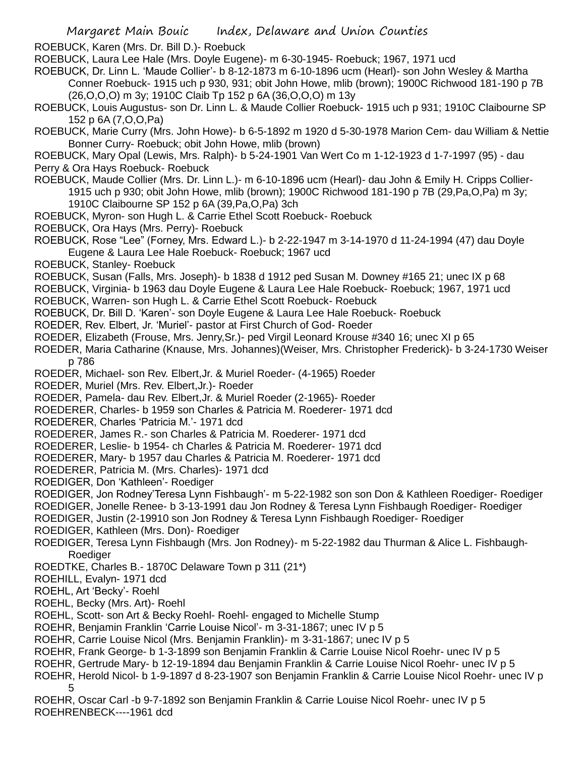ROEBUCK, Karen (Mrs. Dr. Bill D.)- Roebuck

ROEBUCK, Laura Lee Hale (Mrs. Doyle Eugene)- m 6-30-1945- Roebuck; 1967, 1971 ucd

ROEBUCK, Dr. Linn L. 'Maude Collier'- b 8-12-1873 m 6-10-1896 ucm (Hearl)- son John Wesley & Martha Conner Roebuck- 1915 uch p 930, 931; obit John Howe, mlib (brown); 1900C Richwood 181-190 p 7B (26,O,O,O) m 3y; 1910C Claib Tp 152 p 6A (36,O,O,O) m 13y

ROEBUCK, Louis Augustus- son Dr. Linn L. & Maude Collier Roebuck- 1915 uch p 931; 1910C Claibourne SP 152 p 6A (7,O,O,Pa)

ROEBUCK, Marie Curry (Mrs. John Howe)- b 6-5-1892 m 1920 d 5-30-1978 Marion Cem- dau William & Nettie Bonner Curry- Roebuck; obit John Howe, mlib (brown)

ROEBUCK, Mary Opal (Lewis, Mrs. Ralph)- b 5-24-1901 Van Wert Co m 1-12-1923 d 1-7-1997 (95) - dau Perry & Ora Hays Roebuck- Roebuck

ROEBUCK, Maude Collier (Mrs. Dr. Linn L.)- m 6-10-1896 ucm (Hearl)- dau John & Emily H. Cripps Collier-1915 uch p 930; obit John Howe, mlib (brown); 1900C Richwood 181-190 p 7B (29,Pa,O,Pa) m 3y; 1910C Claibourne SP 152 p 6A (39,Pa,O,Pa) 3ch

ROEBUCK, Myron- son Hugh L. & Carrie Ethel Scott Roebuck- Roebuck

ROEBUCK, Ora Hays (Mrs. Perry)- Roebuck

ROEBUCK, Rose "Lee" (Forney, Mrs. Edward L.)- b 2-22-1947 m 3-14-1970 d 11-24-1994 (47) dau Doyle Eugene & Laura Lee Hale Roebuck- Roebuck; 1967 ucd

ROEBUCK, Stanley- Roebuck

ROEBUCK, Susan (Falls, Mrs. Joseph)- b 1838 d 1912 ped Susan M. Downey #165 21; unec IX p 68

ROEBUCK, Virginia- b 1963 dau Doyle Eugene & Laura Lee Hale Roebuck- Roebuck; 1967, 1971 ucd

ROEBUCK, Warren- son Hugh L. & Carrie Ethel Scott Roebuck- Roebuck

ROEBUCK, Dr. Bill D. 'Karen'- son Doyle Eugene & Laura Lee Hale Roebuck- Roebuck

ROEDER, Rev. Elbert, Jr. 'Muriel'- pastor at First Church of God- Roeder

ROEDER, Elizabeth (Frouse, Mrs. Jenry,Sr.)- ped Virgil Leonard Krouse #340 16; unec XI p 65

ROEDER, Maria Catharine (Knause, Mrs. Johannes)(Weiser, Mrs. Christopher Frederick)- b 3-24-1730 Weiser p 786

ROEDER, Michael- son Rev. Elbert,Jr. & Muriel Roeder- (4-1965) Roeder

ROEDER, Muriel (Mrs. Rev. Elbert,Jr.)- Roeder

ROEDER, Pamela- dau Rev. Elbert,Jr. & Muriel Roeder (2-1965)- Roeder

ROEDERER, Charles- b 1959 son Charles & Patricia M. Roederer- 1971 dcd

ROEDERER, Charles 'Patricia M.'- 1971 dcd

ROEDERER, James R.- son Charles & Patricia M. Roederer- 1971 dcd

ROEDERER, Leslie- b 1954- ch Charles & Patricia M. Roederer- 1971 dcd

ROEDERER, Mary- b 1957 dau Charles & Patricia M. Roederer- 1971 dcd

ROEDERER, Patricia M. (Mrs. Charles)- 1971 dcd

ROEDIGER, Don 'Kathleen'- Roediger

ROEDIGER, Jon Rodney'Teresa Lynn Fishbaugh'- m 5-22-1982 son son Don & Kathleen Roediger- Roediger

ROEDIGER, Jonelle Renee- b 3-13-1991 dau Jon Rodney & Teresa Lynn Fishbaugh Roediger- Roediger

ROEDIGER, Justin (2-19910 son Jon Rodney & Teresa Lynn Fishbaugh Roediger- Roediger

ROEDIGER, Kathleen (Mrs. Don)- Roediger

ROEDIGER, Teresa Lynn Fishbaugh (Mrs. Jon Rodney)- m 5-22-1982 dau Thurman & Alice L. Fishbaugh-**Roediger** 

ROEDTKE, Charles B.- 1870C Delaware Town p 311 (21\*)

ROEHILL, Evalyn- 1971 dcd

ROEHL, Art 'Becky'- Roehl

ROEHL, Becky (Mrs. Art)- Roehl

ROEHL, Scott- son Art & Becky Roehl- Roehl- engaged to Michelle Stump

ROEHR, Benjamin Franklin 'Carrie Louise Nicol'- m 3-31-1867; unec IV p 5

ROEHR, Carrie Louise Nicol (Mrs. Benjamin Franklin)- m 3-31-1867; unec IV p 5

ROEHR, Frank George- b 1-3-1899 son Benjamin Franklin & Carrie Louise Nicol Roehr- unec IV p 5

ROEHR, Gertrude Mary- b 12-19-1894 dau Benjamin Franklin & Carrie Louise Nicol Roehr- unec IV p 5

ROEHR, Herold Nicol- b 1-9-1897 d 8-23-1907 son Benjamin Franklin & Carrie Louise Nicol Roehr- unec IV p 5

ROEHR, Oscar Carl -b 9-7-1892 son Benjamin Franklin & Carrie Louise Nicol Roehr- unec IV p 5 ROEHRENBECK----1961 dcd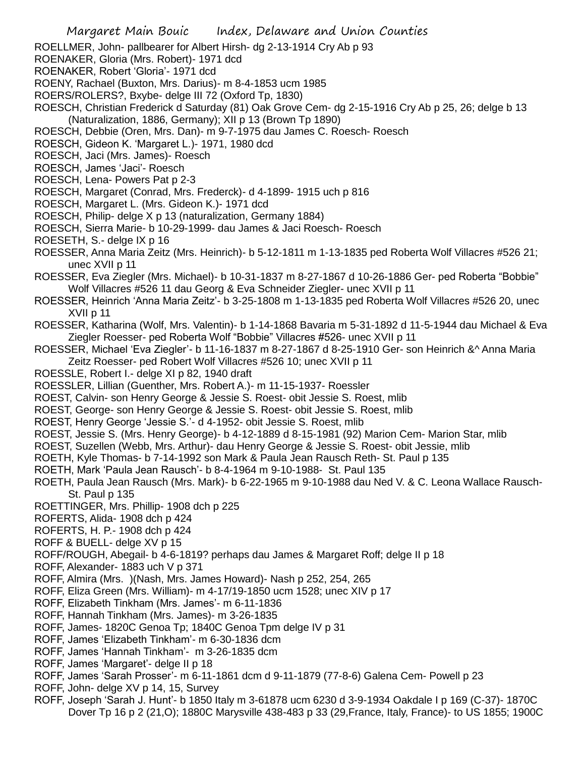- ROELLMER, John- pallbearer for Albert Hirsh- dg 2-13-1914 Cry Ab p 93
- ROENAKER, Gloria (Mrs. Robert)- 1971 dcd
- ROENAKER, Robert 'Gloria'- 1971 dcd
- ROENY, Rachael (Buxton, Mrs. Darius)- m 8-4-1853 ucm 1985
- ROERS/ROLERS?, Bxybe- delge III 72 (Oxford Tp, 1830)
- ROESCH, Christian Frederick d Saturday (81) Oak Grove Cem- dg 2-15-1916 Cry Ab p 25, 26; delge b 13 (Naturalization, 1886, Germany); XII p 13 (Brown Tp 1890)
- ROESCH, Debbie (Oren, Mrs. Dan)- m 9-7-1975 dau James C. Roesch- Roesch
- ROESCH, Gideon K. 'Margaret L.)- 1971, 1980 dcd
- ROESCH, Jaci (Mrs. James)- Roesch
- ROESCH, James 'Jaci'- Roesch
- ROESCH, Lena- Powers Pat p 2-3
- ROESCH, Margaret (Conrad, Mrs. Frederck)- d 4-1899- 1915 uch p 816
- ROESCH, Margaret L. (Mrs. Gideon K.)- 1971 dcd
- ROESCH, Philip- delge X p 13 (naturalization, Germany 1884)
- ROESCH, Sierra Marie- b 10-29-1999- dau James & Jaci Roesch- Roesch
- ROESETH, S.- delge IX p 16
- ROESSER, Anna Maria Zeitz (Mrs. Heinrich)- b 5-12-1811 m 1-13-1835 ped Roberta Wolf Villacres #526 21; unec XVII p 11
- ROESSER, Eva Ziegler (Mrs. Michael)- b 10-31-1837 m 8-27-1867 d 10-26-1886 Ger- ped Roberta "Bobbie" Wolf Villacres #526 11 dau Georg & Eva Schneider Ziegler- unec XVII p 11
- ROESSER, Heinrich 'Anna Maria Zeitz'- b 3-25-1808 m 1-13-1835 ped Roberta Wolf Villacres #526 20, unec XVII p 11
- ROESSER, Katharina (Wolf, Mrs. Valentin)- b 1-14-1868 Bavaria m 5-31-1892 d 11-5-1944 dau Michael & Eva Ziegler Roesser- ped Roberta Wolf "Bobbie" Villacres #526- unec XVII p 11
- ROESSER, Michael 'Eva Ziegler'- b 11-16-1837 m 8-27-1867 d 8-25-1910 Ger- son Heinrich &^ Anna Maria Zeitz Roesser- ped Robert Wolf Villacres #526 10; unec XVII p 11
- ROESSLE, Robert I.- delge XI p 82, 1940 draft
- ROESSLER, Lillian (Guenther, Mrs. Robert A.)- m 11-15-1937- Roessler
- ROEST, Calvin- son Henry George & Jessie S. Roest- obit Jessie S. Roest, mlib
- ROEST, George- son Henry George & Jessie S. Roest- obit Jessie S. Roest, mlib
- ROEST, Henry George 'Jessie S.'- d 4-1952- obit Jessie S. Roest, mlib
- ROEST, Jessie S. (Mrs. Henry George)- b 4-12-1889 d 8-15-1981 (92) Marion Cem- Marion Star, mlib
- ROEST, Suzellen (Webb, Mrs. Arthur)- dau Henry George & Jessie S. Roest- obit Jessie, mlib
- ROETH, Kyle Thomas- b 7-14-1992 son Mark & Paula Jean Rausch Reth- St. Paul p 135
- ROETH, Mark 'Paula Jean Rausch'- b 8-4-1964 m 9-10-1988- St. Paul 135
- ROETH, Paula Jean Rausch (Mrs. Mark)- b 6-22-1965 m 9-10-1988 dau Ned V. & C. Leona Wallace Rausch-St. Paul p 135
- ROETTINGER, Mrs. Phillip- 1908 dch p 225
- ROFERTS, Alida- 1908 dch p 424
- ROFERTS, H. P.- 1908 dch p 424
- ROFF & BUELL- delge XV p 15
- ROFF/ROUGH, Abegail- b 4-6-1819? perhaps dau James & Margaret Roff; delge II p 18
- ROFF, Alexander- 1883 uch V p 371
- ROFF, Almira (Mrs. )(Nash, Mrs. James Howard)- Nash p 252, 254, 265
- ROFF, Eliza Green (Mrs. William)- m 4-17/19-1850 ucm 1528; unec XIV p 17
- ROFF, Elizabeth Tinkham (Mrs. James'- m 6-11-1836
- ROFF, Hannah Tinkham (Mrs. James)- m 3-26-1835
- ROFF, James- 1820C Genoa Tp; 1840C Genoa Tpm delge IV p 31
- ROFF, James 'Elizabeth Tinkham'- m 6-30-1836 dcm
- ROFF, James 'Hannah Tinkham'- m 3-26-1835 dcm
- ROFF, James 'Margaret'- delge II p 18
- ROFF, James 'Sarah Prosser'- m 6-11-1861 dcm d 9-11-1879 (77-8-6) Galena Cem- Powell p 23
- ROFF, John- delge XV p 14, 15, Survey
- ROFF, Joseph 'Sarah J. Hunt'- b 1850 Italy m 3-61878 ucm 6230 d 3-9-1934 Oakdale I p 169 (C-37)- 1870C Dover Tp 16 p 2 (21,O); 1880C Marysville 438-483 p 33 (29,France, Italy, France)- to US 1855; 1900C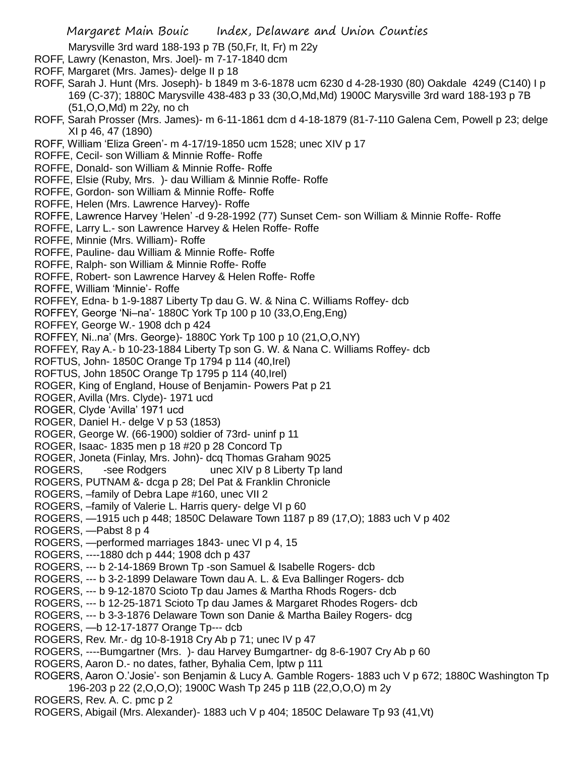Marysville 3rd ward 188-193 p 7B (50,Fr, It, Fr) m 22y

- ROFF, Lawry (Kenaston, Mrs. Joel)- m 7-17-1840 dcm
- ROFF, Margaret (Mrs. James)- delge II p 18
- ROFF, Sarah J. Hunt (Mrs. Joseph)- b 1849 m 3-6-1878 ucm 6230 d 4-28-1930 (80) Oakdale 4249 (C140) I p 169 (C-37); 1880C Marysville 438-483 p 33 (30,O,Md,Md) 1900C Marysville 3rd ward 188-193 p 7B (51,O,O,Md) m 22y, no ch
- ROFF, Sarah Prosser (Mrs. James)- m 6-11-1861 dcm d 4-18-1879 (81-7-110 Galena Cem, Powell p 23; delge XI p 46, 47 (1890)
- ROFF, William 'Eliza Green'- m 4-17/19-1850 ucm 1528; unec XIV p 17
- ROFFE, Cecil- son William & Minnie Roffe- Roffe
- ROFFE, Donald- son William & Minnie Roffe- Roffe
- ROFFE, Elsie (Ruby, Mrs. )- dau William & Minnie Roffe- Roffe
- ROFFE, Gordon- son William & Minnie Roffe- Roffe
- ROFFE, Helen (Mrs. Lawrence Harvey)- Roffe
- ROFFE, Lawrence Harvey 'Helen' -d 9-28-1992 (77) Sunset Cem- son William & Minnie Roffe- Roffe
- ROFFE, Larry L.- son Lawrence Harvey & Helen Roffe- Roffe
- ROFFE, Minnie (Mrs. William)- Roffe
- ROFFE, Pauline- dau William & Minnie Roffe- Roffe
- ROFFE, Ralph- son William & Minnie Roffe- Roffe
- ROFFE, Robert- son Lawrence Harvey & Helen Roffe- Roffe
- ROFFE, William 'Minnie'- Roffe
- ROFFEY, Edna- b 1-9-1887 Liberty Tp dau G. W. & Nina C. Williams Roffey- dcb
- ROFFEY, George 'Ni–na'- 1880C York Tp 100 p 10 (33,O,Eng,Eng)
- ROFFEY, George W.- 1908 dch p 424
- ROFFEY, Ni..na' (Mrs. George)- 1880C York Tp 100 p 10 (21,O,O,NY)
- ROFFEY, Ray A.- b 10-23-1884 Liberty Tp son G. W. & Nana C. Williams Roffey- dcb
- ROFTUS, John- 1850C Orange Tp 1794 p 114 (40,Irel)
- ROFTUS, John 1850C Orange Tp 1795 p 114 (40,Irel)
- ROGER, King of England, House of Benjamin- Powers Pat p 21
- ROGER, Avilla (Mrs. Clyde)- 1971 ucd
- ROGER, Clyde 'Avilla' 1971 ucd
- ROGER, Daniel H.- delge V p 53 (1853)
- ROGER, George W. (66-1900) soldier of 73rd- uninf p 11
- ROGER, Isaac- 1835 men p 18 #20 p 28 Concord Tp
- ROGER, Joneta (Finlay, Mrs. John)- dcq Thomas Graham 9025
- ROGERS, -see Rodgers unec XIV p 8 Liberty Tp land
- ROGERS, PUTNAM &- dcga p 28; Del Pat & Franklin Chronicle
- ROGERS, –family of Debra Lape #160, unec VII 2
- ROGERS, –family of Valerie L. Harris query- delge VI p 60
- ROGERS, —1915 uch p 448; 1850C Delaware Town 1187 p 89 (17,O); 1883 uch V p 402
- ROGERS, —Pabst 8 p 4
- ROGERS, —performed marriages 1843- unec VI p 4, 15
- ROGERS, ----1880 dch p 444; 1908 dch p 437
- ROGERS, --- b 2-14-1869 Brown Tp -son Samuel & Isabelle Rogers- dcb
- ROGERS, --- b 3-2-1899 Delaware Town dau A. L. & Eva Ballinger Rogers- dcb
- ROGERS, --- b 9-12-1870 Scioto Tp dau James & Martha Rhods Rogers- dcb
- ROGERS, --- b 12-25-1871 Scioto Tp dau James & Margaret Rhodes Rogers- dcb
- ROGERS, --- b 3-3-1876 Delaware Town son Danie & Martha Bailey Rogers- dcg
- ROGERS, —b 12-17-1877 Orange Tp--- dcb
- ROGERS, Rev. Mr.- dg 10-8-1918 Cry Ab p 71; unec IV p 47
- ROGERS, ----Bumgartner (Mrs. )- dau Harvey Bumgartner- dg 8-6-1907 Cry Ab p 60
- ROGERS, Aaron D.- no dates, father, Byhalia Cem, lptw p 111
- ROGERS, Aaron O.'Josie'- son Benjamin & Lucy A. Gamble Rogers- 1883 uch V p 672; 1880C Washington Tp 196-203 p 22 (2,O,O,O); 1900C Wash Tp 245 p 11B (22,O,O,O) m 2y
- ROGERS, Rev. A. C. pmc p 2
- ROGERS, Abigail (Mrs. Alexander)- 1883 uch V p 404; 1850C Delaware Tp 93 (41,Vt)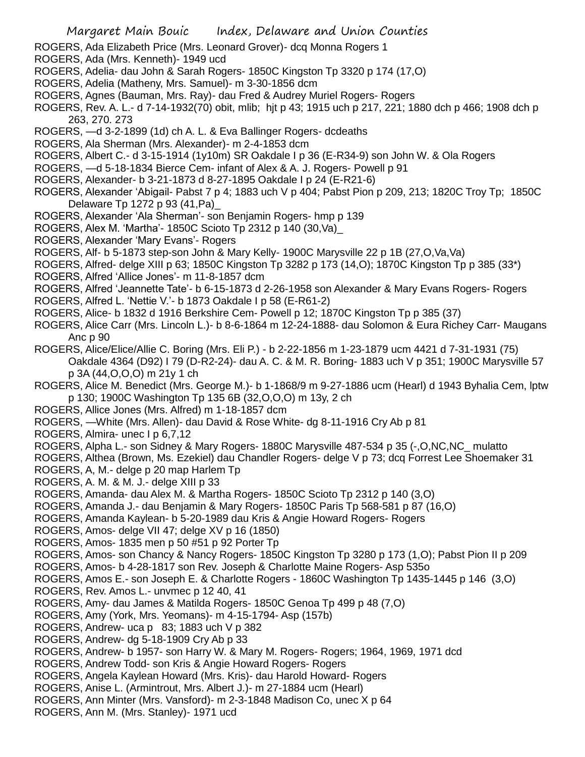- ROGERS, Ada Elizabeth Price (Mrs. Leonard Grover)- dcq Monna Rogers 1
- ROGERS, Ada (Mrs. Kenneth)- 1949 ucd
- ROGERS, Adelia- dau John & Sarah Rogers- 1850C Kingston Tp 3320 p 174 (17,O)
- ROGERS, Adelia (Matheny, Mrs. Samuel)- m 3-30-1856 dcm
- ROGERS, Agnes (Bauman, Mrs. Ray)- dau Fred & Audrey Muriel Rogers- Rogers
- ROGERS, Rev. A. L.- d 7-14-1932(70) obit, mlib; hjt p 43; 1915 uch p 217, 221; 1880 dch p 466; 1908 dch p 263, 270. 273
- ROGERS, —d 3-2-1899 (1d) ch A. L. & Eva Ballinger Rogers- dcdeaths
- ROGERS, Ala Sherman (Mrs. Alexander)- m 2-4-1853 dcm
- ROGERS, Albert C.- d 3-15-1914 (1y10m) SR Oakdale I p 36 (E-R34-9) son John W. & Ola Rogers
- ROGERS, —d 5-18-1834 Bierce Cem- infant of Alex & A. J. Rogers- Powell p 91
- ROGERS, Alexander- b 3-21-1873 d 8-27-1895 Oakdale I p 24 (E-R21-6)
- ROGERS, Alexander 'Abigail- Pabst 7 p 4; 1883 uch V p 404; Pabst Pion p 209, 213; 1820C Troy Tp; 1850C Delaware Tp 1272 p 93 (41,Pa)\_
- ROGERS, Alexander 'Ala Sherman'- son Benjamin Rogers- hmp p 139
- ROGERS, Alex M. 'Martha'- 1850C Scioto Tp 2312 p 140 (30,Va)\_
- ROGERS, Alexander 'Mary Evans'- Rogers
- ROGERS, Alf- b 5-1873 step-son John & Mary Kelly- 1900C Marysville 22 p 1B (27,O,Va,Va)
- ROGERS, Alfred- delge XIII p 63; 1850C Kingston Tp 3282 p 173 (14,O); 1870C Kingston Tp p 385 (33\*)
- ROGERS, Alfred 'Allice Jones'- m 11-8-1857 dcm
- ROGERS, Alfred 'Jeannette Tate'- b 6-15-1873 d 2-26-1958 son Alexander & Mary Evans Rogers- Rogers
- ROGERS, Alfred L. 'Nettie V.'- b 1873 Oakdale I p 58 (E-R61-2)
- ROGERS, Alice- b 1832 d 1916 Berkshire Cem- Powell p 12; 1870C Kingston Tp p 385 (37)
- ROGERS, Alice Carr (Mrs. Lincoln L.)- b 8-6-1864 m 12-24-1888- dau Solomon & Eura Richey Carr- Maugans Anc p 90
- ROGERS, Alice/Elice/Allie C. Boring (Mrs. Eli P.) b 2-22-1856 m 1-23-1879 ucm 4421 d 7-31-1931 (75) Oakdale 4364 (D92) I 79 (D-R2-24)- dau A. C. & M. R. Boring- 1883 uch V p 351; 1900C Marysville 57 p 3A (44,O,O,O) m 21y 1 ch
- ROGERS, Alice M. Benedict (Mrs. George M.)- b 1-1868/9 m 9-27-1886 ucm (Hearl) d 1943 Byhalia Cem, lptw p 130; 1900C Washington Tp 135 6B (32,O,O,O) m 13y, 2 ch
- ROGERS, Allice Jones (Mrs. Alfred) m 1-18-1857 dcm
- ROGERS, —White (Mrs. Allen)- dau David & Rose White- dg 8-11-1916 Cry Ab p 81
- ROGERS, Almira- unec I p 6,7,12
- ROGERS, Alpha L.- son Sidney & Mary Rogers- 1880C Marysville 487-534 p 35 (-,O,NC,NC\_ mulatto
- ROGERS, Althea (Brown, Ms. Ezekiel) dau Chandler Rogers- delge V p 73; dcq Forrest Lee Shoemaker 31
- ROGERS, A, M.- delge p 20 map Harlem Tp
- ROGERS, A. M. & M. J.- delge XIII p 33
- ROGERS, Amanda- dau Alex M. & Martha Rogers- 1850C Scioto Tp 2312 p 140 (3,O)
- ROGERS, Amanda J.- dau Benjamin & Mary Rogers- 1850C Paris Tp 568-581 p 87 (16,O)
- ROGERS, Amanda Kaylean- b 5-20-1989 dau Kris & Angie Howard Rogers- Rogers
- ROGERS, Amos- delge VII 47; delge XV p 16 (1850)
- ROGERS, Amos- 1835 men p 50 #51 p 92 Porter Tp
- ROGERS, Amos- son Chancy & Nancy Rogers- 1850C Kingston Tp 3280 p 173 (1,O); Pabst Pion II p 209
- ROGERS, Amos- b 4-28-1817 son Rev. Joseph & Charlotte Maine Rogers- Asp 535o
- ROGERS, Amos E.- son Joseph E. & Charlotte Rogers 1860C Washington Tp 1435-1445 p 146 (3,O)
- ROGERS, Rev. Amos L.- unvmec p 12 40, 41
- ROGERS, Amy- dau James & Matilda Rogers- 1850C Genoa Tp 499 p 48 (7,O)
- ROGERS, Amy (York, Mrs. Yeomans)- m 4-15-1794- Asp (157b)
- ROGERS, Andrew- uca p 83; 1883 uch V p 382
- ROGERS, Andrew- dg 5-18-1909 Cry Ab p 33
- ROGERS, Andrew- b 1957- son Harry W. & Mary M. Rogers- Rogers; 1964, 1969, 1971 dcd
- ROGERS, Andrew Todd- son Kris & Angie Howard Rogers- Rogers
- ROGERS, Angela Kaylean Howard (Mrs. Kris)- dau Harold Howard- Rogers
- ROGERS, Anise L. (Armintrout, Mrs. Albert J.)- m 27-1884 ucm (Hearl)
- ROGERS, Ann Minter (Mrs. Vansford)- m 2-3-1848 Madison Co, unec X p 64
- ROGERS, Ann M. (Mrs. Stanley)- 1971 ucd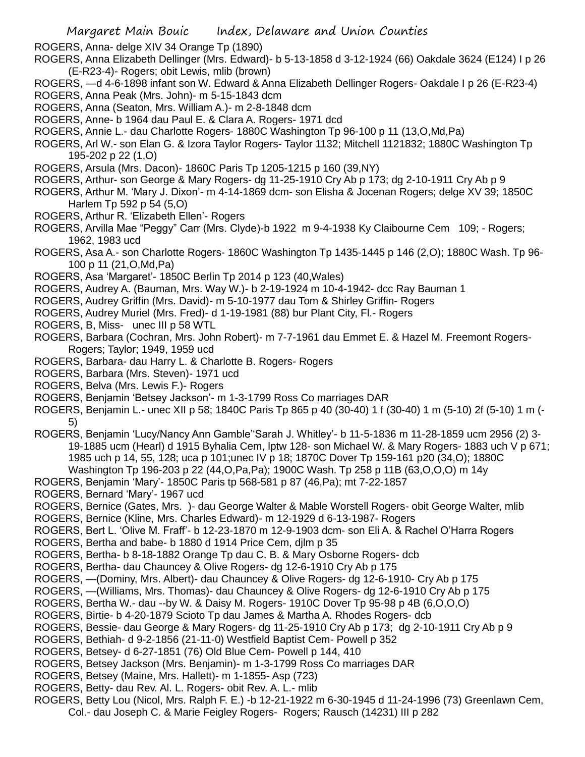ROGERS, Anna- delge XIV 34 Orange Tp (1890)

- ROGERS, Anna Elizabeth Dellinger (Mrs. Edward)- b 5-13-1858 d 3-12-1924 (66) Oakdale 3624 (E124) I p 26 (E-R23-4)- Rogers; obit Lewis, mlib (brown)
- ROGERS, —d 4-6-1898 infant son W. Edward & Anna Elizabeth Dellinger Rogers- Oakdale I p 26 (E-R23-4)
- ROGERS, Anna Peak (Mrs. John)- m 5-15-1843 dcm
- ROGERS, Anna (Seaton, Mrs. William A.)- m 2-8-1848 dcm
- ROGERS, Anne- b 1964 dau Paul E. & Clara A. Rogers- 1971 dcd
- ROGERS, Annie L.- dau Charlotte Rogers- 1880C Washington Tp 96-100 p 11 (13,O,Md,Pa)
- ROGERS, Arl W.- son Elan G. & Izora Taylor Rogers- Taylor 1132; Mitchell 1121832; 1880C Washington Tp 195-202 p 22 (1,O)
- ROGERS, Arsula (Mrs. Dacon)- 1860C Paris Tp 1205-1215 p 160 (39,NY)
- ROGERS, Arthur- son George & Mary Rogers- dg 11-25-1910 Cry Ab p 173; dg 2-10-1911 Cry Ab p 9
- ROGERS, Arthur M. 'Mary J. Dixon'- m 4-14-1869 dcm- son Elisha & Jocenan Rogers; delge XV 39; 1850C Harlem Tp 592 p 54 (5,O)
- ROGERS, Arthur R. 'Elizabeth Ellen'- Rogers
- ROGERS, Arvilla Mae "Peggy" Carr (Mrs. Clyde)-b 1922 m 9-4-1938 Ky Claibourne Cem 109; Rogers; 1962, 1983 ucd
- ROGERS, Asa A.- son Charlotte Rogers- 1860C Washington Tp 1435-1445 p 146 (2,O); 1880C Wash. Tp 96- 100 p 11 (21,O,Md,Pa)
- ROGERS, Asa 'Margaret'- 1850C Berlin Tp 2014 p 123 (40,Wales)
- ROGERS, Audrey A. (Bauman, Mrs. Way W.)- b 2-19-1924 m 10-4-1942- dcc Ray Bauman 1
- ROGERS, Audrey Griffin (Mrs. David)- m 5-10-1977 dau Tom & Shirley Griffin- Rogers
- ROGERS, Audrey Muriel (Mrs. Fred)- d 1-19-1981 (88) bur Plant City, Fl.- Rogers
- ROGERS, B, Miss- unec III p 58 WTL
- ROGERS, Barbara (Cochran, Mrs. John Robert)- m 7-7-1961 dau Emmet E. & Hazel M. Freemont Rogers-Rogers; Taylor; 1949, 1959 ucd
- ROGERS, Barbara- dau Harry L. & Charlotte B. Rogers- Rogers
- ROGERS, Barbara (Mrs. Steven)- 1971 ucd
- ROGERS, Belva (Mrs. Lewis F.)- Rogers
- ROGERS, Benjamin 'Betsey Jackson'- m 1-3-1799 Ross Co marriages DAR
- ROGERS, Benjamin L.- unec XII p 58; 1840C Paris Tp 865 p 40 (30-40) 1 f (30-40) 1 m (5-10) 2f (5-10) 1 m (- 5)
- ROGERS, Benjamin 'Lucy/Nancy Ann Gamble''Sarah J. Whitley'- b 11-5-1836 m 11-28-1859 ucm 2956 (2) 3- 19-1885 ucm (Hearl) d 1915 Byhalia Cem, lptw 128- son Michael W. & Mary Rogers- 1883 uch V p 671; 1985 uch p 14, 55, 128; uca p 101;unec IV p 18; 1870C Dover Tp 159-161 p20 (34,O); 1880C Washington Tp 196-203 p 22 (44,O,Pa,Pa); 1900C Wash. Tp 258 p 11B (63,O,O,O) m 14y
- ROGERS, Benjamin 'Mary'- 1850C Paris tp 568-581 p 87 (46,Pa); mt 7-22-1857
- ROGERS, Bernard 'Mary'- 1967 ucd
- ROGERS, Bernice (Gates, Mrs. )- dau George Walter & Mable Worstell Rogers- obit George Walter, mlib
- ROGERS, Bernice (Kline, Mrs. Charles Edward)- m 12-1929 d 6-13-1987- Rogers
- ROGERS, Bert L. 'Olive M. Fraff'- b 12-23-1870 m 12-9-1903 dcm- son Eli A. & Rachel O'Harra Rogers
- ROGERS, Bertha and babe- b 1880 d 1914 Price Cem, djlm p 35
- ROGERS, Bertha- b 8-18-1882 Orange Tp dau C. B. & Mary Osborne Rogers- dcb
- ROGERS, Bertha- dau Chauncey & Olive Rogers- dg 12-6-1910 Cry Ab p 175
- ROGERS, —(Dominy, Mrs. Albert)- dau Chauncey & Olive Rogers- dg 12-6-1910- Cry Ab p 175
- ROGERS, —(Williams, Mrs. Thomas)- dau Chauncey & Olive Rogers- dg 12-6-1910 Cry Ab p 175
- ROGERS, Bertha W.- dau --by W. & Daisy M. Rogers- 1910C Dover Tp 95-98 p 4B (6,O,O,O)
- ROGERS, Birtie- b 4-20-1879 Scioto Tp dau James & Martha A. Rhodes Rogers- dcb
- ROGERS, Bessie- dau George & Mary Rogers- dg 11-25-1910 Cry Ab p 173; dg 2-10-1911 Cry Ab p 9
- ROGERS, Bethiah- d 9-2-1856 (21-11-0) Westfield Baptist Cem- Powell p 352
- ROGERS, Betsey- d 6-27-1851 (76) Old Blue Cem- Powell p 144, 410
- ROGERS, Betsey Jackson (Mrs. Benjamin)- m 1-3-1799 Ross Co marriages DAR
- ROGERS, Betsey (Maine, Mrs. Hallett)- m 1-1855- Asp (723)
- ROGERS, Betty- dau Rev. Al. L. Rogers- obit Rev. A. L.- mlib
- ROGERS, Betty Lou (Nicol, Mrs. Ralph F. E.) -b 12-21-1922 m 6-30-1945 d 11-24-1996 (73) Greenlawn Cem, Col.- dau Joseph C. & Marie Feigley Rogers- Rogers; Rausch (14231) III p 282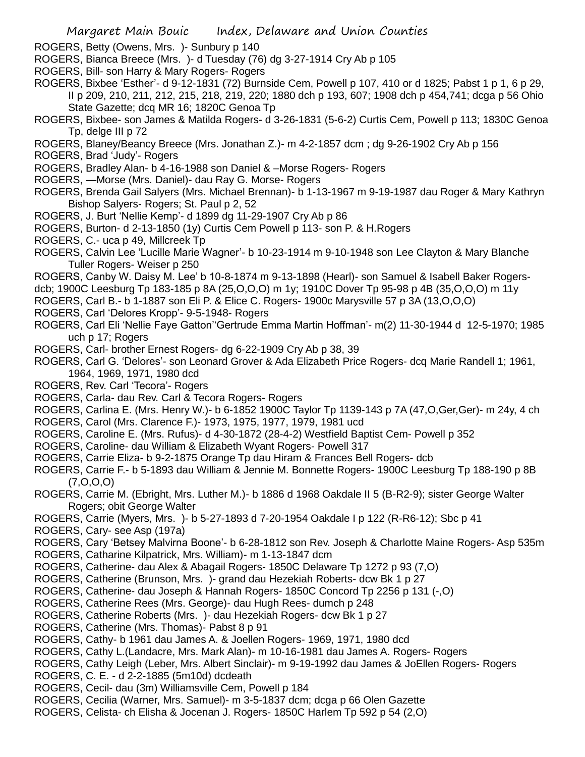- ROGERS, Betty (Owens, Mrs. )- Sunbury p 140
- ROGERS, Bianca Breece (Mrs. )- d Tuesday (76) dg 3-27-1914 Cry Ab p 105
- ROGERS, Bill- son Harry & Mary Rogers- Rogers
- ROGERS, Bixbee 'Esther'- d 9-12-1831 (72) Burnside Cem, Powell p 107, 410 or d 1825; Pabst 1 p 1, 6 p 29, II p 209, 210, 211, 212, 215, 218, 219, 220; 1880 dch p 193, 607; 1908 dch p 454,741; dcga p 56 Ohio State Gazette; dcq MR 16; 1820C Genoa Tp
- ROGERS, Bixbee- son James & Matilda Rogers- d 3-26-1831 (5-6-2) Curtis Cem, Powell p 113; 1830C Genoa Tp, delge III p 72
- ROGERS, Blaney/Beancy Breece (Mrs. Jonathan Z.)- m 4-2-1857 dcm ; dg 9-26-1902 Cry Ab p 156
- ROGERS, Brad 'Judy'- Rogers
- ROGERS, Bradley Alan- b 4-16-1988 son Daniel & –Morse Rogers- Rogers
- ROGERS, —Morse (Mrs. Daniel)- dau Ray G. Morse- Rogers
- ROGERS, Brenda Gail Salyers (Mrs. Michael Brennan)- b 1-13-1967 m 9-19-1987 dau Roger & Mary Kathryn Bishop Salyers- Rogers; St. Paul p 2, 52
- ROGERS, J. Burt 'Nellie Kemp'- d 1899 dg 11-29-1907 Cry Ab p 86
- ROGERS, Burton- d 2-13-1850 (1y) Curtis Cem Powell p 113- son P. & H.Rogers
- ROGERS, C.- uca p 49, Millcreek Tp
- ROGERS, Calvin Lee 'Lucille Marie Wagner'- b 10-23-1914 m 9-10-1948 son Lee Clayton & Mary Blanche Tuller Rogers- Weiser p 250
- ROGERS, Canby W. Daisy M. Lee' b 10-8-1874 m 9-13-1898 (Hearl)- son Samuel & Isabell Baker Rogers-
- dcb; 1900C Leesburg Tp 183-185 p 8A (25,O,O,O) m 1y; 1910C Dover Tp 95-98 p 4B (35,O,O,O) m 11y
- ROGERS, Carl B.- b 1-1887 son Eli P. & Elice C. Rogers- 1900c Marysville 57 p 3A (13,O,O,O)
- ROGERS, Carl 'Delores Kropp'- 9-5-1948- Rogers
- ROGERS, Carl Eli 'Nellie Faye Gatton''Gertrude Emma Martin Hoffman'- m(2) 11-30-1944 d 12-5-1970; 1985 uch p 17; Rogers
- ROGERS, Carl- brother Ernest Rogers- dg 6-22-1909 Cry Ab p 38, 39
- ROGERS, Carl G. 'Delores'- son Leonard Grover & Ada Elizabeth Price Rogers- dcq Marie Randell 1; 1961, 1964, 1969, 1971, 1980 dcd
- ROGERS, Rev. Carl 'Tecora'- Rogers
- ROGERS, Carla- dau Rev. Carl & Tecora Rogers- Rogers
- ROGERS, Carlina E. (Mrs. Henry W.)- b 6-1852 1900C Taylor Tp 1139-143 p 7A (47,O,Ger,Ger)- m 24y, 4 ch
- ROGERS, Carol (Mrs. Clarence F.)- 1973, 1975, 1977, 1979, 1981 ucd
- ROGERS, Caroline E. (Mrs. Rufus)- d 4-30-1872 (28-4-2) Westfield Baptist Cem- Powell p 352
- ROGERS, Caroline- dau William & Elizabeth Wyant Rogers- Powell 317
- ROGERS, Carrie Eliza- b 9-2-1875 Orange Tp dau Hiram & Frances Bell Rogers- dcb
- ROGERS, Carrie F.- b 5-1893 dau William & Jennie M. Bonnette Rogers- 1900C Leesburg Tp 188-190 p 8B (7,O,O,O)
- ROGERS, Carrie M. (Ebright, Mrs. Luther M.)- b 1886 d 1968 Oakdale II 5 (B-R2-9); sister George Walter Rogers; obit George Walter
- ROGERS, Carrie (Myers, Mrs. )- b 5-27-1893 d 7-20-1954 Oakdale I p 122 (R-R6-12); Sbc p 41
- ROGERS, Cary- see Asp (197a)
- ROGERS, Cary 'Betsey Malvirna Boone'- b 6-28-1812 son Rev. Joseph & Charlotte Maine Rogers- Asp 535m
- ROGERS, Catharine Kilpatrick, Mrs. William)- m 1-13-1847 dcm
- ROGERS, Catherine- dau Alex & Abagail Rogers- 1850C Delaware Tp 1272 p 93 (7,O)
- ROGERS, Catherine (Brunson, Mrs. )- grand dau Hezekiah Roberts- dcw Bk 1 p 27
- ROGERS, Catherine- dau Joseph & Hannah Rogers- 1850C Concord Tp 2256 p 131 (-,O)
- ROGERS, Catherine Rees (Mrs. George)- dau Hugh Rees- dumch p 248
- ROGERS, Catherine Roberts (Mrs. )- dau Hezekiah Rogers- dcw Bk 1 p 27
- ROGERS, Catherine (Mrs. Thomas)- Pabst 8 p 91
- ROGERS, Cathy- b 1961 dau James A. & Joellen Rogers- 1969, 1971, 1980 dcd
- ROGERS, Cathy L.(Landacre, Mrs. Mark Alan)- m 10-16-1981 dau James A. Rogers- Rogers
- ROGERS, Cathy Leigh (Leber, Mrs. Albert Sinclair)- m 9-19-1992 dau James & JoEllen Rogers- Rogers
- ROGERS, C. E. d 2-2-1885 (5m10d) dcdeath
- ROGERS, Cecil- dau (3m) Williamsville Cem, Powell p 184
- ROGERS, Cecilia (Warner, Mrs. Samuel)- m 3-5-1837 dcm; dcga p 66 Olen Gazette
- ROGERS, Celista- ch Elisha & Jocenan J. Rogers- 1850C Harlem Tp 592 p 54 (2,O)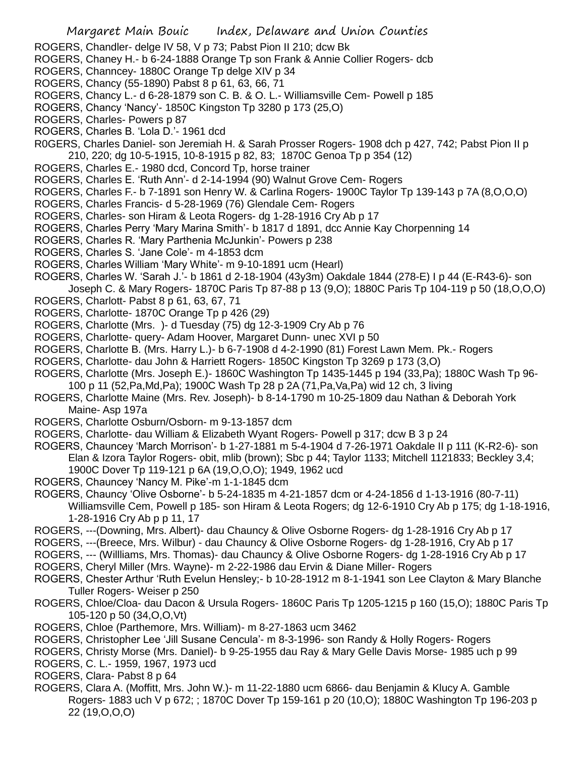- ROGERS, Chandler- delge IV 58, V p 73; Pabst Pion II 210; dcw Bk
- ROGERS, Chaney H.- b 6-24-1888 Orange Tp son Frank & Annie Collier Rogers- dcb
- ROGERS, Channcey- 1880C Orange Tp delge XIV p 34
- ROGERS, Chancy (55-1890) Pabst 8 p 61, 63, 66, 71
- ROGERS, Chancy L.- d 6-28-1879 son C. B. & O. L.- Williamsville Cem- Powell p 185
- ROGERS, Chancy 'Nancy'- 1850C Kingston Tp 3280 p 173 (25,O)
- ROGERS, Charles- Powers p 87
- ROGERS, Charles B. 'Lola D.'- 1961 dcd
- R0GERS, Charles Daniel- son Jeremiah H. & Sarah Prosser Rogers- 1908 dch p 427, 742; Pabst Pion II p 210, 220; dg 10-5-1915, 10-8-1915 p 82, 83; 1870C Genoa Tp p 354 (12)
- ROGERS, Charles E.- 1980 dcd, Concord Tp, horse trainer
- ROGERS, Charles E. 'Ruth Ann'- d 2-14-1994 (90) Walnut Grove Cem- Rogers
- ROGERS, Charles F.- b 7-1891 son Henry W. & Carlina Rogers- 1900C Taylor Tp 139-143 p 7A (8,O,O,O)
- ROGERS, Charles Francis- d 5-28-1969 (76) Glendale Cem- Rogers
- ROGERS, Charles- son Hiram & Leota Rogers- dg 1-28-1916 Cry Ab p 17
- ROGERS, Charles Perry 'Mary Marina Smith'- b 1817 d 1891, dcc Annie Kay Chorpenning 14
- ROGERS, Charles R. 'Mary Parthenia McJunkin'- Powers p 238
- ROGERS, Charles S. 'Jane Cole'- m 4-1853 dcm
- ROGERS, Charles William 'Mary White'- m 9-10-1891 ucm (Hearl)
- ROGERS, Charles W. 'Sarah J.'- b 1861 d 2-18-1904 (43y3m) Oakdale 1844 (278-E) I p 44 (E-R43-6)- son Joseph C. & Mary Rogers- 1870C Paris Tp 87-88 p 13 (9,O); 1880C Paris Tp 104-119 p 50 (18,O,O,O)
- ROGERS, Charlott- Pabst 8 p 61, 63, 67, 71
- ROGERS, Charlotte- 1870C Orange Tp p 426 (29)
- ROGERS, Charlotte (Mrs. )- d Tuesday (75) dg 12-3-1909 Cry Ab p 76
- ROGERS, Charlotte- query- Adam Hoover, Margaret Dunn- unec XVI p 50
- ROGERS, Charlotte B. (Mrs. Harry L.)- b 6-7-1908 d 4-2-1990 (81) Forest Lawn Mem. Pk.- Rogers
- ROGERS, Charlotte- dau John & Harriett Rogers- 1850C Kingston Tp 3269 p 173 (3,O)
- ROGERS, Charlotte (Mrs. Joseph E.)- 1860C Washington Tp 1435-1445 p 194 (33,Pa); 1880C Wash Tp 96-
- 100 p 11 (52,Pa,Md,Pa); 1900C Wash Tp 28 p 2A (71,Pa,Va,Pa) wid 12 ch, 3 living
- ROGERS, Charlotte Maine (Mrs. Rev. Joseph)- b 8-14-1790 m 10-25-1809 dau Nathan & Deborah York Maine- Asp 197a
- ROGERS, Charlotte Osburn/Osborn- m 9-13-1857 dcm
- ROGERS, Charlotte- dau William & Elizabeth Wyant Rogers- Powell p 317; dcw B 3 p 24
- ROGERS, Chauncey 'March Morrison'- b 1-27-1881 m 5-4-1904 d 7-26-1971 Oakdale II p 111 (K-R2-6)- son Elan & Izora Taylor Rogers- obit, mlib (brown); Sbc p 44; Taylor 1133; Mitchell 1121833; Beckley 3,4; 1900C Dover Tp 119-121 p 6A (19,O,O,O); 1949, 1962 ucd
- ROGERS, Chauncey 'Nancy M. Pike'-m 1-1-1845 dcm
- ROGERS, Chauncy 'Olive Osborne'- b 5-24-1835 m 4-21-1857 dcm or 4-24-1856 d 1-13-1916 (80-7-11) Williamsville Cem, Powell p 185- son Hiram & Leota Rogers; dg 12-6-1910 Cry Ab p 175; dg 1-18-1916, 1-28-1916 Cry Ab p p 11, 17
- ROGERS, ---(Downing, Mrs. Albert)- dau Chauncy & Olive Osborne Rogers- dg 1-28-1916 Cry Ab p 17
- ROGERS, ---(Breece, Mrs. Wilbur) dau Chauncy & Olive Osborne Rogers- dg 1-28-1916, Cry Ab p 17
- ROGERS, --- (Willliams, Mrs. Thomas)- dau Chauncy & Olive Osborne Rogers- dg 1-28-1916 Cry Ab p 17
- ROGERS, Cheryl Miller (Mrs. Wayne)- m 2-22-1986 dau Ervin & Diane Miller- Rogers
- ROGERS, Chester Arthur 'Ruth Evelun Hensley;- b 10-28-1912 m 8-1-1941 son Lee Clayton & Mary Blanche Tuller Rogers- Weiser p 250
- ROGERS, Chloe/Cloa- dau Dacon & Ursula Rogers- 1860C Paris Tp 1205-1215 p 160 (15,O); 1880C Paris Tp 105-120 p 50 (34,O,O,Vt)
- ROGERS, Chloe (Parthemore, Mrs. William)- m 8-27-1863 ucm 3462
- ROGERS, Christopher Lee 'Jill Susane Cencula'- m 8-3-1996- son Randy & Holly Rogers- Rogers
- ROGERS, Christy Morse (Mrs. Daniel)- b 9-25-1955 dau Ray & Mary Gelle Davis Morse- 1985 uch p 99
- ROGERS, C. L.- 1959, 1967, 1973 ucd
- ROGERS, Clara- Pabst 8 p 64
- ROGERS, Clara A. (Moffitt, Mrs. John W.)- m 11-22-1880 ucm 6866- dau Benjamin & Klucy A. Gamble Rogers- 1883 uch V p 672; ; 1870C Dover Tp 159-161 p 20 (10,O); 1880C Washington Tp 196-203 p 22 (19,O,O,O)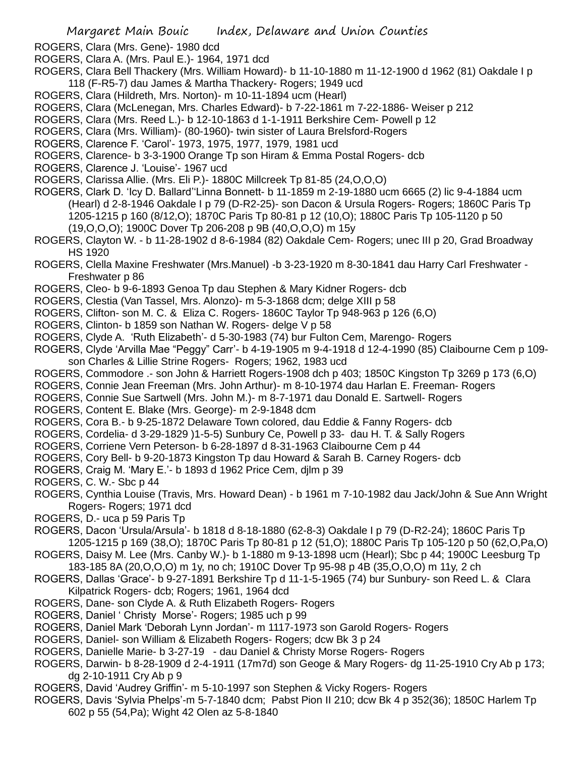- ROGERS, Clara (Mrs. Gene)- 1980 dcd
- ROGERS, Clara A. (Mrs. Paul E.)- 1964, 1971 dcd
- ROGERS, Clara Bell Thackery (Mrs. William Howard)- b 11-10-1880 m 11-12-1900 d 1962 (81) Oakdale I p 118 (F-R5-7) dau James & Martha Thackery- Rogers; 1949 ucd
- ROGERS, Clara (Hildreth, Mrs. Norton)- m 10-11-1894 ucm (Hearl)
- ROGERS, Clara (McLenegan, Mrs. Charles Edward)- b 7-22-1861 m 7-22-1886- Weiser p 212
- ROGERS, Clara (Mrs. Reed L.)- b 12-10-1863 d 1-1-1911 Berkshire Cem- Powell p 12
- ROGERS, Clara (Mrs. William)- (80-1960)- twin sister of Laura Brelsford-Rogers
- ROGERS, Clarence F. 'Carol'- 1973, 1975, 1977, 1979, 1981 ucd
- ROGERS, Clarence- b 3-3-1900 Orange Tp son Hiram & Emma Postal Rogers- dcb
- ROGERS, Clarence J. 'Louise'- 1967 ucd
- ROGERS, Clarissa Allie. (Mrs. Eli P.)- 1880C Millcreek Tp 81-85 (24,O,O,O)
- ROGERS, Clark D. 'Icy D. Ballard''Linna Bonnett- b 11-1859 m 2-19-1880 ucm 6665 (2) lic 9-4-1884 ucm (Hearl) d 2-8-1946 Oakdale I p 79 (D-R2-25)- son Dacon & Ursula Rogers- Rogers; 1860C Paris Tp 1205-1215 p 160 (8/12,O); 1870C Paris Tp 80-81 p 12 (10,O); 1880C Paris Tp 105-1120 p 50 (19,O,O,O); 1900C Dover Tp 206-208 p 9B (40,O,O,O) m 15y
- ROGERS, Clayton W. b 11-28-1902 d 8-6-1984 (82) Oakdale Cem- Rogers; unec III p 20, Grad Broadway HS 1920
- ROGERS, Clella Maxine Freshwater (Mrs.Manuel) -b 3-23-1920 m 8-30-1841 dau Harry Carl Freshwater Freshwater p 86
- ROGERS, Cleo- b 9-6-1893 Genoa Tp dau Stephen & Mary Kidner Rogers- dcb
- ROGERS, Clestia (Van Tassel, Mrs. Alonzo)- m 5-3-1868 dcm; delge XIII p 58
- ROGERS, Clifton- son M. C. & Eliza C. Rogers- 1860C Taylor Tp 948-963 p 126 (6,O)
- ROGERS, Clinton- b 1859 son Nathan W. Rogers- delge V p 58
- ROGERS, Clyde A. 'Ruth Elizabeth'- d 5-30-1983 (74) bur Fulton Cem, Marengo- Rogers
- ROGERS, Clyde 'Arvilla Mae "Peggy" Carr'- b 4-19-1905 m 9-4-1918 d 12-4-1990 (85) Claibourne Cem p 109 son Charles & Lillie Strine Rogers- Rogers; 1962, 1983 ucd
- ROGERS, Commodore .- son John & Harriett Rogers-1908 dch p 403; 1850C Kingston Tp 3269 p 173 (6,O)
- ROGERS, Connie Jean Freeman (Mrs. John Arthur)- m 8-10-1974 dau Harlan E. Freeman- Rogers
- ROGERS, Connie Sue Sartwell (Mrs. John M.)- m 8-7-1971 dau Donald E. Sartwell- Rogers
- ROGERS, Content E. Blake (Mrs. George)- m 2-9-1848 dcm
- ROGERS, Cora B.- b 9-25-1872 Delaware Town colored, dau Eddie & Fanny Rogers- dcb
- ROGERS, Cordelia- d 3-29-1829 )1-5-5) Sunbury Ce, Powell p 33- dau H. T. & Sally Rogers
- ROGERS, Corriene Vern Peterson- b 6-28-1897 d 8-31-1963 Claibourne Cem p 44
- ROGERS, Cory Bell- b 9-20-1873 Kingston Tp dau Howard & Sarah B. Carney Rogers- dcb
- ROGERS, Craig M. 'Mary E.'- b 1893 d 1962 Price Cem, djlm p 39
- ROGERS, C. W.- Sbc p 44
- ROGERS, Cynthia Louise (Travis, Mrs. Howard Dean) b 1961 m 7-10-1982 dau Jack/John & Sue Ann Wright Rogers- Rogers; 1971 dcd
- ROGERS, D.- uca p 59 Paris Tp
- ROGERS, Dacon 'Ursula/Arsula'- b 1818 d 8-18-1880 (62-8-3) Oakdale I p 79 (D-R2-24); 1860C Paris Tp 1205-1215 p 169 (38,O); 1870C Paris Tp 80-81 p 12 (51,O); 1880C Paris Tp 105-120 p 50 (62,O,Pa,O)
- ROGERS, Daisy M. Lee (Mrs. Canby W.)- b 1-1880 m 9-13-1898 ucm (Hearl); Sbc p 44; 1900C Leesburg Tp 183-185 8A (20,O,O,O) m 1y, no ch; 1910C Dover Tp 95-98 p 4B (35,O,O,O) m 11y, 2 ch
- ROGERS, Dallas 'Grace'- b 9-27-1891 Berkshire Tp d 11-1-5-1965 (74) bur Sunbury- son Reed L. & Clara Kilpatrick Rogers- dcb; Rogers; 1961, 1964 dcd
- ROGERS, Dane- son Clyde A. & Ruth Elizabeth Rogers- Rogers
- ROGERS, Daniel ' Christy Morse'- Rogers; 1985 uch p 99
- ROGERS, Daniel Mark 'Deborah Lynn Jordan'- m 1117-1973 son Garold Rogers- Rogers
- ROGERS, Daniel- son William & Elizabeth Rogers- Rogers; dcw Bk 3 p 24
- ROGERS, Danielle Marie- b 3-27-19 dau Daniel & Christy Morse Rogers- Rogers
- ROGERS, Darwin- b 8-28-1909 d 2-4-1911 (17m7d) son Geoge & Mary Rogers- dg 11-25-1910 Cry Ab p 173; dg 2-10-1911 Cry Ab p 9
- ROGERS, David 'Audrey Griffin'- m 5-10-1997 son Stephen & Vicky Rogers- Rogers
- ROGERS, Davis 'Sylvia Phelps'-m 5-7-1840 dcm; Pabst Pion II 210; dcw Bk 4 p 352(36); 1850C Harlem Tp 602 p 55 (54,Pa); Wight 42 Olen az 5-8-1840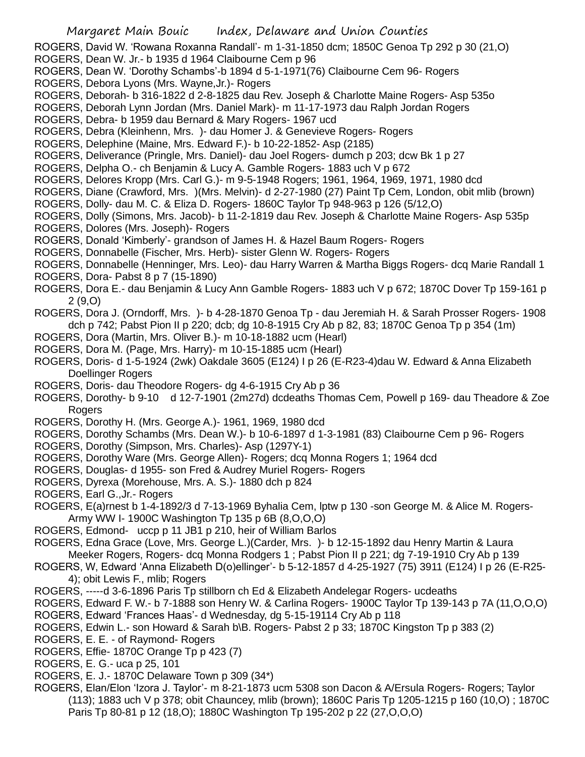- ROGERS, David W. 'Rowana Roxanna Randall'- m 1-31-1850 dcm; 1850C Genoa Tp 292 p 30 (21,O)
- ROGERS, Dean W. Jr.- b 1935 d 1964 Claibourne Cem p 96
- ROGERS, Dean W. 'Dorothy Schambs'-b 1894 d 5-1-1971(76) Claibourne Cem 96- Rogers
- ROGERS, Debora Lyons (Mrs. Wayne,Jr.)- Rogers
- ROGERS, Deborah- b 316-1822 d 2-8-1825 dau Rev. Joseph & Charlotte Maine Rogers- Asp 535o
- ROGERS, Deborah Lynn Jordan (Mrs. Daniel Mark)- m 11-17-1973 dau Ralph Jordan Rogers
- ROGERS, Debra- b 1959 dau Bernard & Mary Rogers- 1967 ucd
- ROGERS, Debra (Kleinhenn, Mrs. )- dau Homer J. & Genevieve Rogers- Rogers
- ROGERS, Delephine (Maine, Mrs. Edward F.)- b 10-22-1852- Asp (2185)
- ROGERS, Deliverance (Pringle, Mrs. Daniel)- dau Joel Rogers- dumch p 203; dcw Bk 1 p 27
- ROGERS, Delpha O.- ch Benjamin & Lucy A. Gamble Rogers- 1883 uch V p 672
- ROGERS, Delores Kropp (Mrs. Carl G.)- m 9-5-1948 Rogers; 1961, 1964, 1969, 1971, 1980 dcd
- ROGERS, Diane (Crawford, Mrs. )(Mrs. Melvin)- d 2-27-1980 (27) Paint Tp Cem, London, obit mlib (brown)
- ROGERS, Dolly- dau M. C. & Eliza D. Rogers- 1860C Taylor Tp 948-963 p 126 (5/12,O)
- ROGERS, Dolly (Simons, Mrs. Jacob)- b 11-2-1819 dau Rev. Joseph & Charlotte Maine Rogers- Asp 535p ROGERS, Dolores (Mrs. Joseph)- Rogers
- ROGERS, Donald 'Kimberly'- grandson of James H. & Hazel Baum Rogers- Rogers
- ROGERS, Donnabelle (Fischer, Mrs. Herb)- sister Glenn W. Rogers- Rogers
- ROGERS, Donnabelle (Henninger, Mrs. Leo)- dau Harry Warren & Martha Biggs Rogers- dcq Marie Randall 1
- ROGERS, Dora- Pabst 8 p 7 (15-1890)
- ROGERS, Dora E.- dau Benjamin & Lucy Ann Gamble Rogers- 1883 uch V p 672; 1870C Dover Tp 159-161 p 2 (9,O)
- ROGERS, Dora J. (Orndorff, Mrs. )- b 4-28-1870 Genoa Tp dau Jeremiah H. & Sarah Prosser Rogers- 1908 dch p 742; Pabst Pion II p 220; dcb; dg 10-8-1915 Cry Ab p 82, 83; 1870C Genoa Tp p 354 (1m)
- ROGERS, Dora (Martin, Mrs. Oliver B.)- m 10-18-1882 ucm (Hearl)
- ROGERS, Dora M. (Page, Mrs. Harry)- m 10-15-1885 ucm (Hearl)
- ROGERS, Doris- d 1-5-1924 (2wk) Oakdale 3605 (E124) I p 26 (E-R23-4)dau W. Edward & Anna Elizabeth Doellinger Rogers
- ROGERS, Doris- dau Theodore Rogers- dg 4-6-1915 Cry Ab p 36
- ROGERS, Dorothy- b 9-10 d 12-7-1901 (2m27d) dcdeaths Thomas Cem, Powell p 169- dau Theadore & Zoe Rogers
- ROGERS, Dorothy H. (Mrs. George A.)- 1961, 1969, 1980 dcd
- ROGERS, Dorothy Schambs (Mrs. Dean W.)- b 10-6-1897 d 1-3-1981 (83) Claibourne Cem p 96- Rogers
- ROGERS, Dorothy (Simpson, Mrs. Charles)- Asp (1297Y-1)
- ROGERS, Dorothy Ware (Mrs. George Allen)- Rogers; dcq Monna Rogers 1; 1964 dcd
- ROGERS, Douglas- d 1955- son Fred & Audrey Muriel Rogers- Rogers
- ROGERS, Dyrexa (Morehouse, Mrs. A. S.)- 1880 dch p 824
- ROGERS, Earl G.,Jr.- Rogers
- ROGERS, E(a)rnest b 1-4-1892/3 d 7-13-1969 Byhalia Cem, lptw p 130 -son George M. & Alice M. Rogers-Army WW I- 1900C Washington Tp 135 p 6B (8,O,O,O)
- ROGERS, Edmond- uccp p 11 JB1 p 210, heir of William Barlos
- ROGERS, Edna Grace (Love, Mrs. George L.)(Carder, Mrs. )- b 12-15-1892 dau Henry Martin & Laura Meeker Rogers, Rogers- dcq Monna Rodgers 1 ; Pabst Pion II p 221; dg 7-19-1910 Cry Ab p 139
- ROGERS, W, Edward 'Anna Elizabeth D(o)ellinger'- b 5-12-1857 d 4-25-1927 (75) 3911 (E124) I p 26 (E-R25- 4); obit Lewis F., mlib; Rogers
- ROGERS, -----d 3-6-1896 Paris Tp stillborn ch Ed & Elizabeth Andelegar Rogers- ucdeaths
- ROGERS, Edward F. W.- b 7-1888 son Henry W. & Carlina Rogers- 1900C Taylor Tp 139-143 p 7A (11,O,O,O)
- ROGERS, Edward 'Frances Haas'- d Wednesday, dg 5-15-19114 Cry Ab p 118
- ROGERS, Edwin L.- son Howard & Sarah b\B. Rogers- Pabst 2 p 33; 1870C Kingston Tp p 383 (2)
- ROGERS, E. E. of Raymond- Rogers
- ROGERS, Effie- 1870C Orange Tp p 423 (7)
- ROGERS, E. G.- uca p 25, 101
- ROGERS, E. J.- 1870C Delaware Town p 309 (34\*)
- ROGERS, Elan/Elon 'Izora J. Taylor'- m 8-21-1873 ucm 5308 son Dacon & A/Ersula Rogers- Rogers; Taylor (113); 1883 uch V p 378; obit Chauncey, mlib (brown); 1860C Paris Tp 1205-1215 p 160 (10,O) ; 1870C Paris Tp 80-81 p 12 (18,O); 1880C Washington Tp 195-202 p 22 (27,O,O,O)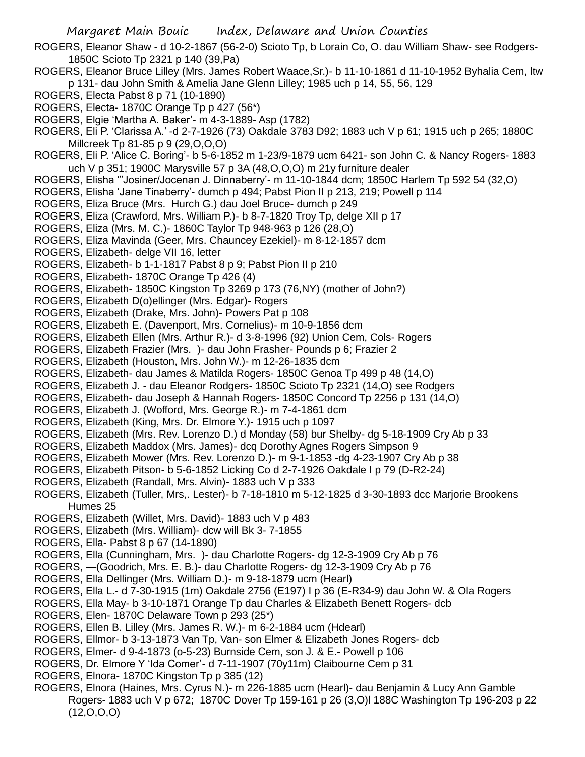ROGERS, Eleanor Shaw - d 10-2-1867 (56-2-0) Scioto Tp, b Lorain Co, O. dau William Shaw- see Rodgers-1850C Scioto Tp 2321 p 140 (39,Pa)

- ROGERS, Eleanor Bruce Lilley (Mrs. James Robert Waace,Sr.)- b 11-10-1861 d 11-10-1952 Byhalia Cem, ltw p 131- dau John Smith & Amelia Jane Glenn Lilley; 1985 uch p 14, 55, 56, 129
- ROGERS, Electa Pabst 8 p 71 (10-1890)
- ROGERS, Electa- 1870C Orange Tp p 427 (56\*)
- ROGERS, Elgie 'Martha A. Baker'- m 4-3-1889- Asp (1782)
- ROGERS, Eli P. 'Clarissa A.' -d 2-7-1926 (73) Oakdale 3783 D92; 1883 uch V p 61; 1915 uch p 265; 1880C Millcreek Tp 81-85 p 9 (29,O,O,O)
- ROGERS, Eli P. 'Alice C. Boring'- b 5-6-1852 m 1-23/9-1879 ucm 6421- son John C. & Nancy Rogers- 1883 uch V p 351; 1900C Marysville 57 p 3A (48,O,O,O) m 21y furniture dealer
- ROGERS, Elisha '"Josiner/Jocenan J. Dinnaberry'- m 11-10-1844 dcm; 1850C Harlem Tp 592 54 (32,O)
- ROGERS, Elisha 'Jane Tinaberry'- dumch p 494; Pabst Pion II p 213, 219; Powell p 114
- ROGERS, Eliza Bruce (Mrs. Hurch G.) dau Joel Bruce- dumch p 249
- ROGERS, Eliza (Crawford, Mrs. William P.)- b 8-7-1820 Troy Tp, delge XII p 17
- ROGERS, Eliza (Mrs. M. C.)- 1860C Taylor Tp 948-963 p 126 (28,O)
- ROGERS, Eliza Mavinda (Geer, Mrs. Chauncey Ezekiel)- m 8-12-1857 dcm
- ROGERS, Elizabeth- delge VII 16, letter
- ROGERS, Elizabeth- b 1-1-1817 Pabst 8 p 9; Pabst Pion II p 210
- ROGERS, Elizabeth- 1870C Orange Tp 426 (4)
- ROGERS, Elizabeth- 1850C Kingston Tp 3269 p 173 (76,NY) (mother of John?)
- ROGERS, Elizabeth D(o)ellinger (Mrs. Edgar)- Rogers
- ROGERS, Elizabeth (Drake, Mrs. John)- Powers Pat p 108
- ROGERS, Elizabeth E. (Davenport, Mrs. Cornelius)- m 10-9-1856 dcm
- ROGERS, Elizabeth Ellen (Mrs. Arthur R.)- d 3-8-1996 (92) Union Cem, Cols- Rogers
- ROGERS, Elizabeth Frazier (Mrs. )- dau John Frasher- Pounds p 6; Frazier 2
- ROGERS, Elizabeth (Houston, Mrs. John W.)- m 12-26-1835 dcm
- ROGERS, Elizabeth- dau James & Matilda Rogers- 1850C Genoa Tp 499 p 48 (14,O)
- ROGERS, Elizabeth J. dau Eleanor Rodgers- 1850C Scioto Tp 2321 (14,O) see Rodgers
- ROGERS, Elizabeth- dau Joseph & Hannah Rogers- 1850C Concord Tp 2256 p 131 (14,O)
- ROGERS, Elizabeth J. (Wofford, Mrs. George R.)- m 7-4-1861 dcm
- ROGERS, Elizabeth (King, Mrs. Dr. Elmore Y.)- 1915 uch p 1097
- ROGERS, Elizabeth (Mrs. Rev. Lorenzo D.) d Monday (58) bur Shelby- dg 5-18-1909 Cry Ab p 33
- ROGERS, Elizabeth Maddox (Mrs. James)- dcq Dorothy Agnes Rogers Simpson 9
- ROGERS, Elizabeth Mower (Mrs. Rev. Lorenzo D.)- m 9-1-1853 -dg 4-23-1907 Cry Ab p 38
- ROGERS, Elizabeth Pitson- b 5-6-1852 Licking Co d 2-7-1926 Oakdale I p 79 (D-R2-24)
- ROGERS, Elizabeth (Randall, Mrs. Alvin)- 1883 uch V p 333
- ROGERS, Elizabeth (Tuller, Mrs,. Lester)- b 7-18-1810 m 5-12-1825 d 3-30-1893 dcc Marjorie Brookens Humes 25
- ROGERS, Elizabeth (Willet, Mrs. David)- 1883 uch V p 483
- ROGERS, Elizabeth (Mrs. William)- dcw will Bk 3- 7-1855
- ROGERS, Ella- Pabst 8 p 67 (14-1890)
- ROGERS, Ella (Cunningham, Mrs. )- dau Charlotte Rogers- dg 12-3-1909 Cry Ab p 76
- ROGERS, —(Goodrich, Mrs. E. B.)- dau Charlotte Rogers- dg 12-3-1909 Cry Ab p 76
- ROGERS, Ella Dellinger (Mrs. William D.)- m 9-18-1879 ucm (Hearl)
- ROGERS, Ella L.- d 7-30-1915 (1m) Oakdale 2756 (E197) I p 36 (E-R34-9) dau John W. & Ola Rogers
- ROGERS, Ella May- b 3-10-1871 Orange Tp dau Charles & Elizabeth Benett Rogers- dcb
- ROGERS, Elen- 1870C Delaware Town p 293 (25\*)
- ROGERS, Ellen B. Lilley (Mrs. James R. W.)- m 6-2-1884 ucm (Hdearl)
- ROGERS, Ellmor- b 3-13-1873 Van Tp, Van- son Elmer & Elizabeth Jones Rogers- dcb
- ROGERS, Elmer- d 9-4-1873 (o-5-23) Burnside Cem, son J. & E.- Powell p 106
- ROGERS, Dr. Elmore Y 'Ida Comer'- d 7-11-1907 (70y11m) Claibourne Cem p 31
- ROGERS, Elnora- 1870C Kingston Tp p 385 (12)
- ROGERS, Elnora (Haines, Mrs. Cyrus N.)- m 226-1885 ucm (Hearl)- dau Benjamin & Lucy Ann Gamble Rogers- 1883 uch V p 672; 1870C Dover Tp 159-161 p 26 (3,O)l 188C Washington Tp 196-203 p 22  $(12,0,0,0)$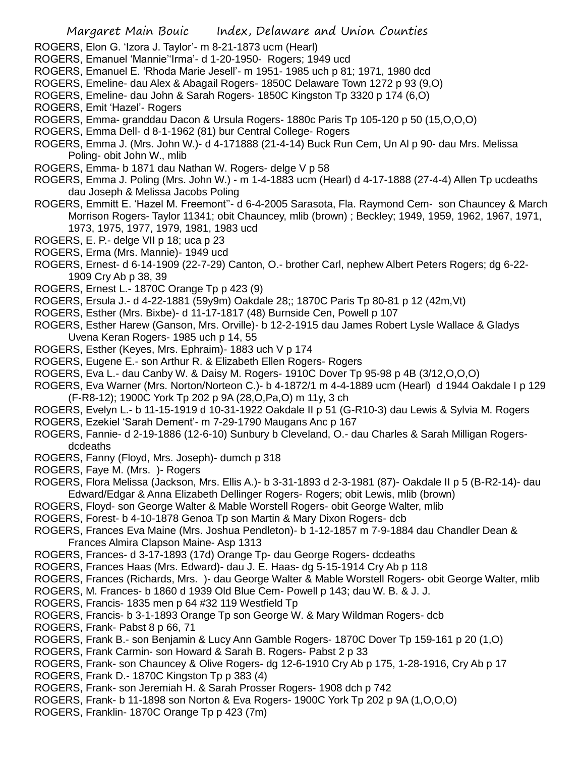- ROGERS, Elon G. 'Izora J. Taylor'- m 8-21-1873 ucm (Hearl)
- ROGERS, Emanuel 'Mannie''Irma'- d 1-20-1950- Rogers; 1949 ucd
- ROGERS, Emanuel E. 'Rhoda Marie Jesell'- m 1951- 1985 uch p 81; 1971, 1980 dcd
- ROGERS, Emeline- dau Alex & Abagail Rogers- 1850C Delaware Town 1272 p 93 (9,O)
- ROGERS, Emeline- dau John & Sarah Rogers- 1850C Kingston Tp 3320 p 174 (6,O)
- ROGERS, Emit 'Hazel'- Rogers
- ROGERS, Emma- granddau Dacon & Ursula Rogers- 1880c Paris Tp 105-120 p 50 (15,O,O,O)
- ROGERS, Emma Dell- d 8-1-1962 (81) bur Central College- Rogers
- ROGERS, Emma J. (Mrs. John W.)- d 4-171888 (21-4-14) Buck Run Cem, Un Al p 90- dau Mrs. Melissa Poling- obit John W., mlib
- ROGERS, Emma- b 1871 dau Nathan W. Rogers- delge V p 58
- ROGERS, Emma J. Poling (Mrs. John W.) m 1-4-1883 ucm (Hearl) d 4-17-1888 (27-4-4) Allen Tp ucdeaths dau Joseph & Melissa Jacobs Poling
- ROGERS, Emmitt E. 'Hazel M. Freemont''- d 6-4-2005 Sarasota, Fla. Raymond Cem- son Chauncey & March Morrison Rogers- Taylor 11341; obit Chauncey, mlib (brown) ; Beckley; 1949, 1959, 1962, 1967, 1971, 1973, 1975, 1977, 1979, 1981, 1983 ucd
- ROGERS, E. P.- delge VII p 18; uca p 23
- ROGERS, Erma (Mrs. Mannie)- 1949 ucd
- ROGERS, Ernest- d 6-14-1909 (22-7-29) Canton, O.- brother Carl, nephew Albert Peters Rogers; dg 6-22- 1909 Cry Ab p 38, 39
- ROGERS, Ernest L.- 1870C Orange Tp p 423 (9)
- ROGERS, Ersula J.- d 4-22-1881 (59y9m) Oakdale 28;; 1870C Paris Tp 80-81 p 12 (42m,Vt)
- ROGERS, Esther (Mrs. Bixbe)- d 11-17-1817 (48) Burnside Cen, Powell p 107
- ROGERS, Esther Harew (Ganson, Mrs. Orville)- b 12-2-1915 dau James Robert Lysle Wallace & Gladys Uvena Keran Rogers- 1985 uch p 14, 55
- ROGERS, Esther (Keyes, Mrs. Ephraim)- 1883 uch V p 174
- ROGERS, Eugene E.- son Arthur R. & Elizabeth Ellen Rogers- Rogers
- ROGERS, Eva L.- dau Canby W. & Daisy M. Rogers- 1910C Dover Tp 95-98 p 4B (3/12,O,O,O)
- ROGERS, Eva Warner (Mrs. Norton/Norteon C.)- b 4-1872/1 m 4-4-1889 ucm (Hearl) d 1944 Oakdale I p 129 (F-R8-12); 1900C York Tp 202 p 9A (28,O,Pa,O) m 11y, 3 ch
- ROGERS, Evelyn L.- b 11-15-1919 d 10-31-1922 Oakdale II p 51 (G-R10-3) dau Lewis & Sylvia M. Rogers
- ROGERS, Ezekiel 'Sarah Dement'- m 7-29-1790 Maugans Anc p 167
- ROGERS, Fannie- d 2-19-1886 (12-6-10) Sunbury b Cleveland, O.- dau Charles & Sarah Milligan Rogersdcdeaths
- ROGERS, Fanny (Floyd, Mrs. Joseph)- dumch p 318
- ROGERS, Faye M. (Mrs. )- Rogers
- ROGERS, Flora Melissa (Jackson, Mrs. Ellis A.)- b 3-31-1893 d 2-3-1981 (87)- Oakdale II p 5 (B-R2-14)- dau Edward/Edgar & Anna Elizabeth Dellinger Rogers- Rogers; obit Lewis, mlib (brown)
- ROGERS, Floyd- son George Walter & Mable Worstell Rogers- obit George Walter, mlib
- ROGERS, Forest- b 4-10-1878 Genoa Tp son Martin & Mary Dixon Rogers- dcb
- ROGERS, Frances Eva Maine (Mrs. Joshua Pendleton)- b 1-12-1857 m 7-9-1884 dau Chandler Dean & Frances Almira Clapson Maine- Asp 1313
- ROGERS, Frances- d 3-17-1893 (17d) Orange Tp- dau George Rogers- dcdeaths
- ROGERS, Frances Haas (Mrs. Edward)- dau J. E. Haas- dg 5-15-1914 Cry Ab p 118
- ROGERS, Frances (Richards, Mrs. )- dau George Walter & Mable Worstell Rogers- obit George Walter, mlib
- ROGERS, M. Frances- b 1860 d 1939 Old Blue Cem- Powell p 143; dau W. B. & J. J.
- ROGERS, Francis- 1835 men p 64 #32 119 Westfield Tp
- ROGERS, Francis- b 3-1-1893 Orange Tp son George W. & Mary Wildman Rogers- dcb
- ROGERS, Frank- Pabst 8 p 66, 71
- ROGERS, Frank B.- son Benjamin & Lucy Ann Gamble Rogers- 1870C Dover Tp 159-161 p 20 (1,O)
- ROGERS, Frank Carmin- son Howard & Sarah B. Rogers- Pabst 2 p 33
- ROGERS, Frank- son Chauncey & Olive Rogers- dg 12-6-1910 Cry Ab p 175, 1-28-1916, Cry Ab p 17
- ROGERS, Frank D.- 1870C Kingston Tp p 383 (4)
- ROGERS, Frank- son Jeremiah H. & Sarah Prosser Rogers- 1908 dch p 742
- ROGERS, Frank- b 11-1898 son Norton & Eva Rogers- 1900C York Tp 202 p 9A (1,O,O,O)
- ROGERS, Franklin- 1870C Orange Tp p 423 (7m)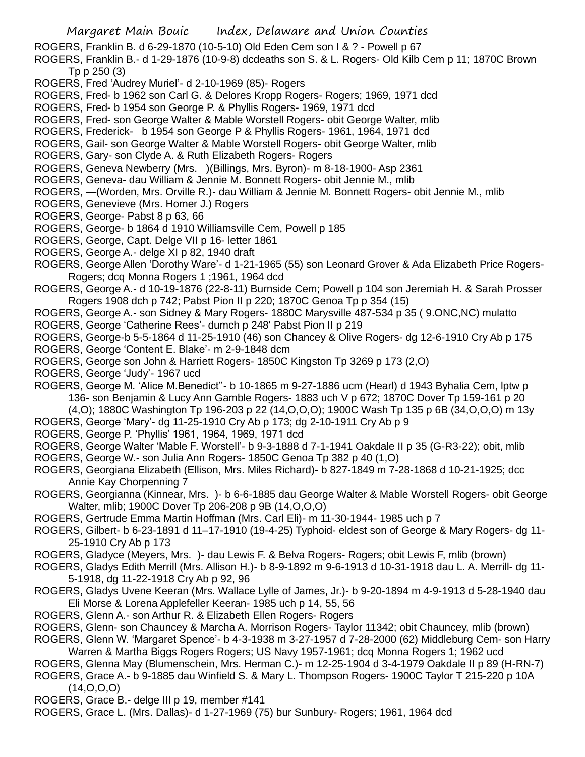ROGERS, Franklin B. d 6-29-1870 (10-5-10) Old Eden Cem son I & ? - Powell p 67

ROGERS, Franklin B.- d 1-29-1876 (10-9-8) dcdeaths son S. & L. Rogers- Old Kilb Cem p 11; 1870C Brown Tp p 250 (3)

- ROGERS, Fred 'Audrey Muriel'- d 2-10-1969 (85)- Rogers
- ROGERS, Fred- b 1962 son Carl G. & Delores Kropp Rogers- Rogers; 1969, 1971 dcd
- ROGERS, Fred- b 1954 son George P. & Phyllis Rogers- 1969, 1971 dcd
- ROGERS, Fred- son George Walter & Mable Worstell Rogers- obit George Walter, mlib
- ROGERS, Frederick- b 1954 son George P & Phyllis Rogers- 1961, 1964, 1971 dcd
- ROGERS, Gail- son George Walter & Mable Worstell Rogers- obit George Walter, mlib
- ROGERS, Gary- son Clyde A. & Ruth Elizabeth Rogers- Rogers
- ROGERS, Geneva Newberry (Mrs. )(Billings, Mrs. Byron)- m 8-18-1900- Asp 2361
- ROGERS, Geneva- dau William & Jennie M. Bonnett Rogers- obit Jennie M., mlib
- ROGERS, —(Worden, Mrs. Orville R.)- dau William & Jennie M. Bonnett Rogers- obit Jennie M., mlib
- ROGERS, Genevieve (Mrs. Homer J.) Rogers
- ROGERS, George- Pabst 8 p 63, 66
- ROGERS, George- b 1864 d 1910 Williamsville Cem, Powell p 185
- ROGERS, George, Capt. Delge VII p 16- letter 1861
- ROGERS, George A.- delge XI p 82, 1940 draft
- ROGERS, George Allen 'Dorothy Ware'- d 1-21-1965 (55) son Leonard Grover & Ada Elizabeth Price Rogers-Rogers; dcq Monna Rogers 1 ;1961, 1964 dcd
- ROGERS, George A.- d 10-19-1876 (22-8-11) Burnside Cem; Powell p 104 son Jeremiah H. & Sarah Prosser Rogers 1908 dch p 742; Pabst Pion II p 220; 1870C Genoa Tp p 354 (15)
- ROGERS, George A.- son Sidney & Mary Rogers- 1880C Marysville 487-534 p 35 ( 9.ONC,NC) mulatto
- ROGERS, George 'Catherine Rees'- dumch p 248' Pabst Pion II p 219
- ROGERS, George-b 5-5-1864 d 11-25-1910 (46) son Chancey & Olive Rogers- dg 12-6-1910 Cry Ab p 175
- ROGERS, George 'Content E. Blake'- m 2-9-1848 dcm
- ROGERS, George son John & Harriett Rogers- 1850C Kingston Tp 3269 p 173 (2,O)
- ROGERS, George 'Judy'- 1967 ucd
- ROGERS, George M. 'Alice M.Benedict"- b 10-1865 m 9-27-1886 ucm (Hearl) d 1943 Byhalia Cem, lptw p 136- son Benjamin & Lucy Ann Gamble Rogers- 1883 uch V p 672; 1870C Dover Tp 159-161 p 20 (4,O); 1880C Washington Tp 196-203 p 22 (14,O,O,O); 1900C Wash Tp 135 p 6B (34,O,O,O) m 13y
- ROGERS, George 'Mary'- dg 11-25-1910 Cry Ab p 173; dg 2-10-1911 Cry Ab p 9
- ROGERS, George P. 'Phyllis' 1961, 1964, 1969, 1971 dcd
- ROGERS, George Walter 'Mable F. Worstell'- b 9-3-1888 d 7-1-1941 Oakdale II p 35 (G-R3-22); obit, mlib
- ROGERS, George W.- son Julia Ann Rogers- 1850C Genoa Tp 382 p 40 (1,O)
- ROGERS, Georgiana Elizabeth (Ellison, Mrs. Miles Richard)- b 827-1849 m 7-28-1868 d 10-21-1925; dcc Annie Kay Chorpenning 7
- ROGERS, Georgianna (Kinnear, Mrs. )- b 6-6-1885 dau George Walter & Mable Worstell Rogers- obit George Walter, mlib; 1900C Dover Tp 206-208 p 9B (14,O,O,O)
- ROGERS, Gertrude Emma Martin Hoffman (Mrs. Carl Eli)- m 11-30-1944- 1985 uch p 7
- ROGERS, Gilbert- b 6-23-1891 d 11–17-1910 (19-4-25) Typhoid- eldest son of George & Mary Rogers- dg 11- 25-1910 Cry Ab p 173
- ROGERS, Gladyce (Meyers, Mrs. )- dau Lewis F. & Belva Rogers- Rogers; obit Lewis F, mlib (brown)
- ROGERS, Gladys Edith Merrill (Mrs. Allison H.)- b 8-9-1892 m 9-6-1913 d 10-31-1918 dau L. A. Merrill- dg 11- 5-1918, dg 11-22-1918 Cry Ab p 92, 96
- ROGERS, Gladys Uvene Keeran (Mrs. Wallace Lylle of James, Jr.)- b 9-20-1894 m 4-9-1913 d 5-28-1940 dau Eli Morse & Lorena Applefeller Keeran- 1985 uch p 14, 55, 56
- ROGERS, Glenn A.- son Arthur R. & Elizabeth Ellen Rogers- Rogers
- ROGERS, Glenn- son Chauncey & Marcha A. Morrison Rogers- Taylor 11342; obit Chauncey, mlib (brown)
- ROGERS, Glenn W. 'Margaret Spence'- b 4-3-1938 m 3-27-1957 d 7-28-2000 (62) Middleburg Cem- son Harry Warren & Martha Biggs Rogers Rogers; US Navy 1957-1961; dcq Monna Rogers 1; 1962 ucd
- ROGERS, Glenna May (Blumenschein, Mrs. Herman C.)- m 12-25-1904 d 3-4-1979 Oakdale II p 89 (H-RN-7)
- ROGERS, Grace A.- b 9-1885 dau Winfield S. & Mary L. Thompson Rogers- 1900C Taylor T 215-220 p 10A  $(14, 0, 0, 0)$
- ROGERS, Grace B.- delge III p 19, member #141
- ROGERS, Grace L. (Mrs. Dallas)- d 1-27-1969 (75) bur Sunbury- Rogers; 1961, 1964 dcd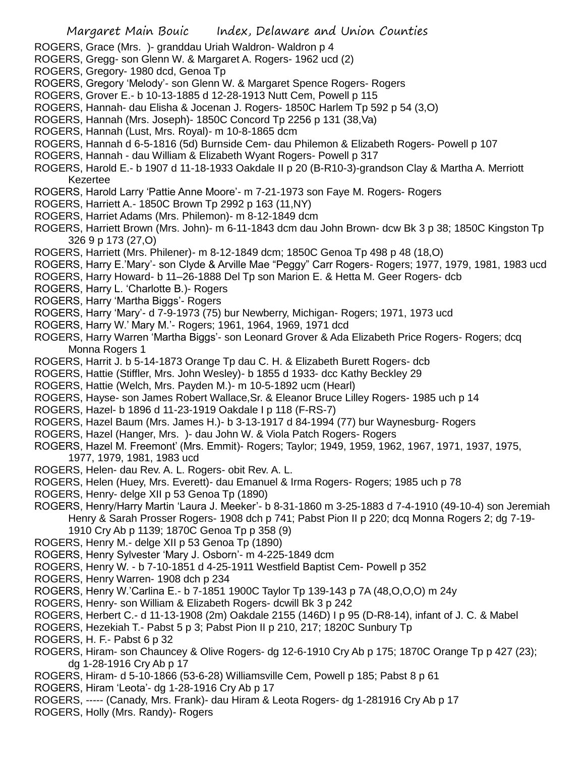- ROGERS, Grace (Mrs. )- granddau Uriah Waldron- Waldron p 4
- ROGERS, Gregg- son Glenn W. & Margaret A. Rogers- 1962 ucd (2)
- ROGERS, Gregory- 1980 dcd, Genoa Tp
- ROGERS, Gregory 'Melody'- son Glenn W. & Margaret Spence Rogers- Rogers
- ROGERS, Grover E.- b 10-13-1885 d 12-28-1913 Nutt Cem, Powell p 115
- ROGERS, Hannah- dau Elisha & Jocenan J. Rogers- 1850C Harlem Tp 592 p 54 (3,O)
- ROGERS, Hannah (Mrs. Joseph)- 1850C Concord Tp 2256 p 131 (38,Va)
- ROGERS, Hannah (Lust, Mrs. Royal)- m 10-8-1865 dcm
- ROGERS, Hannah d 6-5-1816 (5d) Burnside Cem- dau Philemon & Elizabeth Rogers- Powell p 107
- ROGERS, Hannah dau William & Elizabeth Wyant Rogers- Powell p 317
- ROGERS, Harold E.- b 1907 d 11-18-1933 Oakdale II p 20 (B-R10-3)-grandson Clay & Martha A. Merriott Kezertee
- ROGERS, Harold Larry 'Pattie Anne Moore'- m 7-21-1973 son Faye M. Rogers- Rogers
- ROGERS, Harriett A.- 1850C Brown Tp 2992 p 163 (11,NY)
- ROGERS, Harriet Adams (Mrs. Philemon)- m 8-12-1849 dcm
- ROGERS, Harriett Brown (Mrs. John)- m 6-11-1843 dcm dau John Brown- dcw Bk 3 p 38; 1850C Kingston Tp 326 9 p 173 (27,O)
- ROGERS, Harriett (Mrs. Philener)- m 8-12-1849 dcm; 1850C Genoa Tp 498 p 48 (18,O)
- ROGERS, Harry E.'Mary'- son Clyde & Arville Mae "Peggy" Carr Rogers- Rogers; 1977, 1979, 1981, 1983 ucd
- ROGERS, Harry Howard- b 11–26-1888 Del Tp son Marion E. & Hetta M. Geer Rogers- dcb
- ROGERS, Harry L. 'Charlotte B.)- Rogers
- ROGERS, Harry 'Martha Biggs'- Rogers
- ROGERS, Harry 'Mary'- d 7-9-1973 (75) bur Newberry, Michigan- Rogers; 1971, 1973 ucd
- ROGERS, Harry W.' Mary M.'- Rogers; 1961, 1964, 1969, 1971 dcd
- ROGERS, Harry Warren 'Martha Biggs'- son Leonard Grover & Ada Elizabeth Price Rogers- Rogers; dcq Monna Rogers 1
- ROGERS, Harrit J. b 5-14-1873 Orange Tp dau C. H. & Elizabeth Burett Rogers- dcb
- ROGERS, Hattie (Stiffler, Mrs. John Wesley)- b 1855 d 1933- dcc Kathy Beckley 29
- ROGERS, Hattie (Welch, Mrs. Payden M.)- m 10-5-1892 ucm (Hearl)
- ROGERS, Hayse- son James Robert Wallace,Sr. & Eleanor Bruce Lilley Rogers- 1985 uch p 14
- ROGERS, Hazel- b 1896 d 11-23-1919 Oakdale I p 118 (F-RS-7)
- ROGERS, Hazel Baum (Mrs. James H.)- b 3-13-1917 d 84-1994 (77) bur Waynesburg- Rogers
- ROGERS, Hazel (Hanger, Mrs. )- dau John W. & Viola Patch Rogers- Rogers
- ROGERS, Hazel M. Freemont' (Mrs. Emmit)- Rogers; Taylor; 1949, 1959, 1962, 1967, 1971, 1937, 1975, 1977, 1979, 1981, 1983 ucd
- ROGERS, Helen- dau Rev. A. L. Rogers- obit Rev. A. L.
- ROGERS, Helen (Huey, Mrs. Everett)- dau Emanuel & Irma Rogers- Rogers; 1985 uch p 78
- ROGERS, Henry- delge XII p 53 Genoa Tp (1890)
- ROGERS, Henry/Harry Martin 'Laura J. Meeker'- b 8-31-1860 m 3-25-1883 d 7-4-1910 (49-10-4) son Jeremiah Henry & Sarah Prosser Rogers- 1908 dch p 741; Pabst Pion II p 220; dcq Monna Rogers 2; dg 7-19- 1910 Cry Ab p 1139; 1870C Genoa Tp p 358 (9)
- ROGERS, Henry M.- delge XII p 53 Genoa Tp (1890)
- ROGERS, Henry Sylvester 'Mary J. Osborn'- m 4-225-1849 dcm
- ROGERS, Henry W. b 7-10-1851 d 4-25-1911 Westfield Baptist Cem- Powell p 352
- ROGERS, Henry Warren- 1908 dch p 234
- ROGERS, Henry W.'Carlina E.- b 7-1851 1900C Taylor Tp 139-143 p 7A (48,O,O,O) m 24y
- ROGERS, Henry- son William & Elizabeth Rogers- dcwill Bk 3 p 242
- ROGERS, Herbert C.- d 11-13-1908 (2m) Oakdale 2155 (146D) I p 95 (D-R8-14), infant of J. C. & Mabel
- ROGERS, Hezekiah T.- Pabst 5 p 3; Pabst Pion II p 210, 217; 1820C Sunbury Tp
- ROGERS, H. F.- Pabst 6 p 32
- ROGERS, Hiram- son Chauncey & Olive Rogers- dg 12-6-1910 Cry Ab p 175; 1870C Orange Tp p 427 (23); dg 1-28-1916 Cry Ab p 17
- ROGERS, Hiram- d 5-10-1866 (53-6-28) Williamsville Cem, Powell p 185; Pabst 8 p 61
- ROGERS, Hiram 'Leota'- dg 1-28-1916 Cry Ab p 17
- ROGERS, ----- (Canady, Mrs. Frank)- dau Hiram & Leota Rogers- dg 1-281916 Cry Ab p 17
- ROGERS, Holly (Mrs. Randy)- Rogers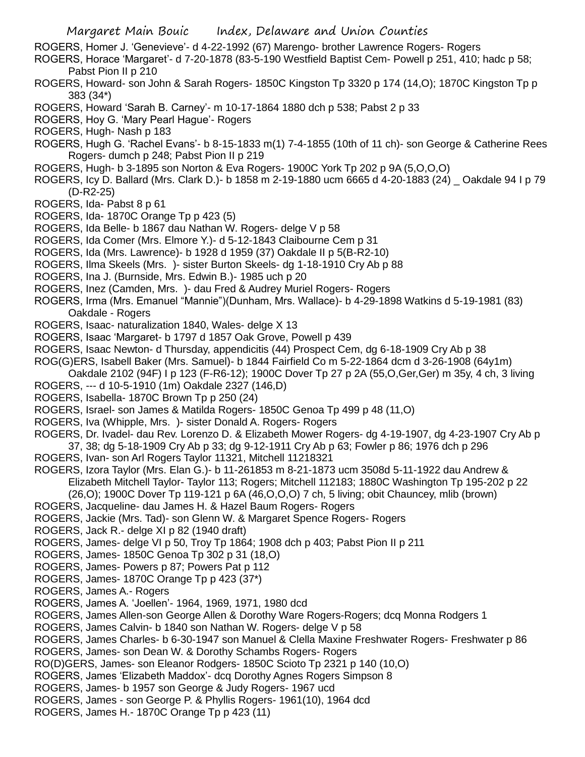Margaret Main Bouic Index, Delaware and Union Counties ROGERS, Homer J. 'Genevieve'- d 4-22-1992 (67) Marengo- brother Lawrence Rogers- Rogers ROGERS, Horace 'Margaret'- d 7-20-1878 (83-5-190 Westfield Baptist Cem- Powell p 251, 410; hadc p 58; Pabst Pion II p 210 ROGERS, Howard- son John & Sarah Rogers- 1850C Kingston Tp 3320 p 174 (14,O); 1870C Kingston Tp p 383 (34\*) ROGERS, Howard 'Sarah B. Carney'- m 10-17-1864 1880 dch p 538; Pabst 2 p 33 ROGERS, Hoy G. 'Mary Pearl Hague'- Rogers ROGERS, Hugh- Nash p 183 ROGERS, Hugh G. 'Rachel Evans'- b 8-15-1833 m(1) 7-4-1855 (10th of 11 ch)- son George & Catherine Rees Rogers- dumch p 248; Pabst Pion II p 219 ROGERS, Hugh- b 3-1895 son Norton & Eva Rogers- 1900C York Tp 202 p 9A (5,O,O,O) ROGERS, Icy D. Ballard (Mrs. Clark D.)- b 1858 m 2-19-1880 ucm 6665 d 4-20-1883 (24) \_ Oakdale 94 I p 79 (D-R2-25) ROGERS, Ida- Pabst 8 p 61 ROGERS, Ida- 1870C Orange Tp p 423 (5) ROGERS, Ida Belle- b 1867 dau Nathan W. Rogers- delge V p 58 ROGERS, Ida Comer (Mrs. Elmore Y.)- d 5-12-1843 Claibourne Cem p 31 ROGERS, Ida (Mrs. Lawrence)- b 1928 d 1959 (37) Oakdale II p 5(B-R2-10) ROGERS, Ilma Skeels (Mrs. )- sister Burton Skeels- dg 1-18-1910 Cry Ab p 88 ROGERS, Ina J. (Burnside, Mrs. Edwin B.)- 1985 uch p 20 ROGERS, Inez (Camden, Mrs. )- dau Fred & Audrey Muriel Rogers- Rogers ROGERS, Irma (Mrs. Emanuel "Mannie")(Dunham, Mrs. Wallace)- b 4-29-1898 Watkins d 5-19-1981 (83) Oakdale - Rogers ROGERS, Isaac- naturalization 1840, Wales- delge X 13 ROGERS, Isaac 'Margaret- b 1797 d 1857 Oak Grove, Powell p 439 ROGERS, Isaac Newton- d Thursday, appendicitis (44) Prospect Cem, dg 6-18-1909 Cry Ab p 38 ROG(G)ERS, Isabell Baker (Mrs. Samuel)- b 1844 Fairfield Co m 5-22-1864 dcm d 3-26-1908 (64y1m) Oakdale 2102 (94F) I p 123 (F-R6-12); 1900C Dover Tp 27 p 2A (55,O,Ger,Ger) m 35y, 4 ch, 3 living ROGERS, --- d 10-5-1910 (1m) Oakdale 2327 (146,D) ROGERS, Isabella- 1870C Brown Tp p 250 (24) ROGERS, Israel- son James & Matilda Rogers- 1850C Genoa Tp 499 p 48 (11,O) ROGERS, Iva (Whipple, Mrs. )- sister Donald A. Rogers- Rogers ROGERS, Dr. Ivadel- dau Rev. Lorenzo D. & Elizabeth Mower Rogers- dg 4-19-1907, dg 4-23-1907 Cry Ab p 37, 38; dg 5-18-1909 Cry Ab p 33; dg 9-12-1911 Cry Ab p 63; Fowler p 86; 1976 dch p 296 ROGERS, Ivan- son Arl Rogers Taylor 11321, Mitchell 11218321 ROGERS, Izora Taylor (Mrs. Elan G.)- b 11-261853 m 8-21-1873 ucm 3508d 5-11-1922 dau Andrew & Elizabeth Mitchell Taylor- Taylor 113; Rogers; Mitchell 112183; 1880C Washington Tp 195-202 p 22 (26,O); 1900C Dover Tp 119-121 p 6A (46,O,O,O) 7 ch, 5 living; obit Chauncey, mlib (brown) ROGERS, Jacqueline- dau James H. & Hazel Baum Rogers- Rogers ROGERS, Jackie (Mrs. Tad)- son Glenn W. & Margaret Spence Rogers- Rogers ROGERS, Jack R.- delge XI p 82 (1940 draft) ROGERS, James- delge VI p 50, Troy Tp 1864; 1908 dch p 403; Pabst Pion II p 211 ROGERS, James- 1850C Genoa Tp 302 p 31 (18,O) ROGERS, James- Powers p 87; Powers Pat p 112 ROGERS, James- 1870C Orange Tp p 423 (37\*) ROGERS, James A.- Rogers ROGERS, James A. 'Joellen'- 1964, 1969, 1971, 1980 dcd ROGERS, James Allen-son George Allen & Dorothy Ware Rogers-Rogers; dcq Monna Rodgers 1 ROGERS, James Calvin- b 1840 son Nathan W. Rogers- delge V p 58 ROGERS, James Charles- b 6-30-1947 son Manuel & Clella Maxine Freshwater Rogers- Freshwater p 86 ROGERS, James- son Dean W. & Dorothy Schambs Rogers- Rogers RO(D)GERS, James- son Eleanor Rodgers- 1850C Scioto Tp 2321 p 140 (10,O) ROGERS, James 'Elizabeth Maddox'- dcq Dorothy Agnes Rogers Simpson 8 ROGERS, James- b 1957 son George & Judy Rogers- 1967 ucd ROGERS, James - son George P. & Phyllis Rogers- 1961(10), 1964 dcd ROGERS, James H.- 1870C Orange Tp p 423 (11)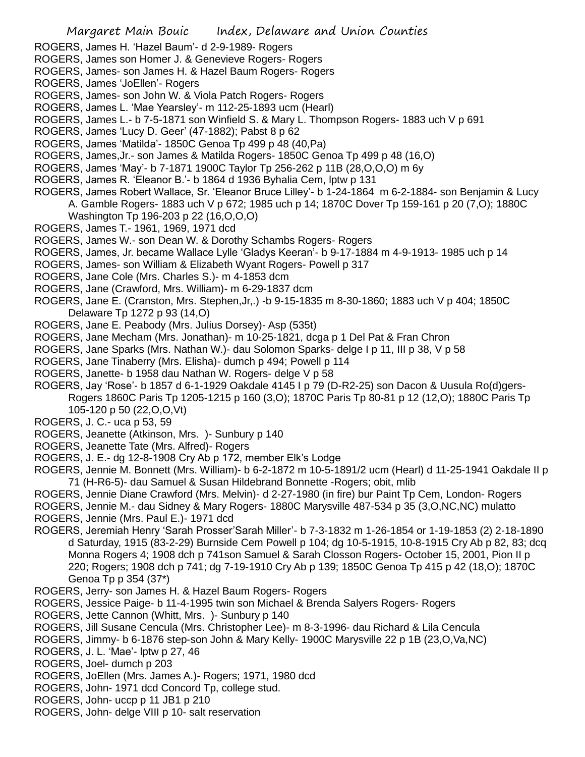- ROGERS, James H. 'Hazel Baum'- d 2-9-1989- Rogers
- ROGERS, James son Homer J. & Genevieve Rogers- Rogers
- ROGERS, James- son James H. & Hazel Baum Rogers- Rogers
- ROGERS, James 'JoEllen'- Rogers
- ROGERS, James- son John W. & Viola Patch Rogers- Rogers
- ROGERS, James L. 'Mae Yearsley'- m 112-25-1893 ucm (Hearl)
- ROGERS, James L.- b 7-5-1871 son Winfield S. & Mary L. Thompson Rogers- 1883 uch V p 691
- ROGERS, James 'Lucy D. Geer' (47-1882); Pabst 8 p 62
- ROGERS, James 'Matilda'- 1850C Genoa Tp 499 p 48 (40,Pa)
- ROGERS, James,Jr.- son James & Matilda Rogers- 1850C Genoa Tp 499 p 48 (16,O)
- ROGERS, James 'May'- b 7-1871 1900C Taylor Tp 256-262 p 11B (28,O,O,O) m 6y
- ROGERS, James R. 'Eleanor B.'- b 1864 d 1936 Byhalia Cem, lptw p 131
- ROGERS, James Robert Wallace, Sr. 'Eleanor Bruce Lilley'- b 1-24-1864 m 6-2-1884- son Benjamin & Lucy A. Gamble Rogers- 1883 uch V p 672; 1985 uch p 14; 1870C Dover Tp 159-161 p 20 (7,O); 1880C Washington Tp 196-203 p 22 (16,O,O,O)
- ROGERS, James T.- 1961, 1969, 1971 dcd
- ROGERS, James W.- son Dean W. & Dorothy Schambs Rogers- Rogers
- ROGERS, James, Jr. became Wallace Lylle 'Gladys Keeran'- b 9-17-1884 m 4-9-1913- 1985 uch p 14
- ROGERS, James- son William & Elizabeth Wyant Rogers- Powell p 317
- ROGERS, Jane Cole (Mrs. Charles S.)- m 4-1853 dcm
- ROGERS, Jane (Crawford, Mrs. William)- m 6-29-1837 dcm
- ROGERS, Jane E. (Cranston, Mrs. Stephen,Jr,.) -b 9-15-1835 m 8-30-1860; 1883 uch V p 404; 1850C Delaware Tp 1272 p 93 (14,O)
- ROGERS, Jane E. Peabody (Mrs. Julius Dorsey)- Asp (535t)
- ROGERS, Jane Mecham (Mrs. Jonathan)- m 10-25-1821, dcga p 1 Del Pat & Fran Chron
- ROGERS, Jane Sparks (Mrs. Nathan W.)- dau Solomon Sparks- delge I p 11, III p 38, V p 58
- ROGERS, Jane Tinaberry (Mrs. Elisha)- dumch p 494; Powell p 114
- ROGERS, Janette- b 1958 dau Nathan W. Rogers- delge V p 58
- ROGERS, Jay 'Rose'- b 1857 d 6-1-1929 Oakdale 4145 I p 79 (D-R2-25) son Dacon & Uusula Ro(d)gers-Rogers 1860C Paris Tp 1205-1215 p 160 (3,O); 1870C Paris Tp 80-81 p 12 (12,O); 1880C Paris Tp 105-120 p 50 (22,O,O,Vt)
- ROGERS, J. C.- uca p 53, 59
- ROGERS, Jeanette (Atkinson, Mrs. )- Sunbury p 140
- ROGERS, Jeanette Tate (Mrs. Alfred)- Rogers
- ROGERS, J. E.- dg 12-8-1908 Cry Ab p 172, member Elk's Lodge
- ROGERS, Jennie M. Bonnett (Mrs. William)- b 6-2-1872 m 10-5-1891/2 ucm (Hearl) d 11-25-1941 Oakdale II p 71 (H-R6-5)- dau Samuel & Susan Hildebrand Bonnette -Rogers; obit, mlib
- ROGERS, Jennie Diane Crawford (Mrs. Melvin)- d 2-27-1980 (in fire) bur Paint Tp Cem, London- Rogers
- ROGERS, Jennie M.- dau Sidney & Mary Rogers- 1880C Marysville 487-534 p 35 (3,O,NC,NC) mulatto
- ROGERS, Jennie (Mrs. Paul E.)- 1971 dcd
- ROGERS, Jeremiah Henry 'Sarah Prosser'Sarah Miller'- b 7-3-1832 m 1-26-1854 or 1-19-1853 (2) 2-18-1890 d Saturday, 1915 (83-2-29) Burnside Cem Powell p 104; dg 10-5-1915, 10-8-1915 Cry Ab p 82, 83; dcq Monna Rogers 4; 1908 dch p 741son Samuel & Sarah Closson Rogers- October 15, 2001, Pion II p 220; Rogers; 1908 dch p 741; dg 7-19-1910 Cry Ab p 139; 1850C Genoa Tp 415 p 42 (18,O); 1870C Genoa Tp p 354 (37\*)
- ROGERS, Jerry- son James H. & Hazel Baum Rogers- Rogers
- ROGERS, Jessice Paige- b 11-4-1995 twin son Michael & Brenda Salyers Rogers- Rogers
- ROGERS, Jette Cannon (Whitt, Mrs. )- Sunbury p 140
- ROGERS, Jill Susane Cencula (Mrs. Christopher Lee)- m 8-3-1996- dau Richard & Lila Cencula
- ROGERS, Jimmy- b 6-1876 step-son John & Mary Kelly- 1900C Marysville 22 p 1B (23,O,Va,NC)
- ROGERS, J. L. 'Mae'- lptw p 27, 46
- ROGERS, Joel- dumch p 203
- ROGERS, JoEllen (Mrs. James A.)- Rogers; 1971, 1980 dcd
- ROGERS, John- 1971 dcd Concord Tp, college stud.
- ROGERS, John- uccp p 11 JB1 p 210
- ROGERS, John- delge VIII p 10- salt reservation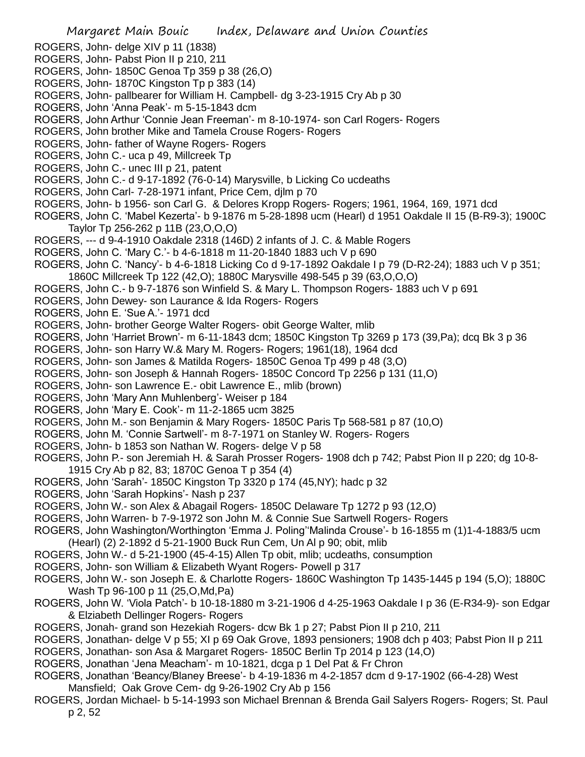- ROGERS, John- delge XIV p 11 (1838)
- ROGERS, John- Pabst Pion II p 210, 211
- ROGERS, John- 1850C Genoa Tp 359 p 38 (26,O)
- ROGERS, John- 1870C Kingston Tp p 383 (14)
- ROGERS, John- pallbearer for William H. Campbell- dg 3-23-1915 Cry Ab p 30
- ROGERS, John 'Anna Peak'- m 5-15-1843 dcm
- ROGERS, John Arthur 'Connie Jean Freeman'- m 8-10-1974- son Carl Rogers- Rogers
- ROGERS, John brother Mike and Tamela Crouse Rogers- Rogers
- ROGERS, John- father of Wayne Rogers- Rogers
- ROGERS, John C.- uca p 49, Millcreek Tp
- ROGERS, John C.- unec III p 21, patent
- ROGERS, John C.- d 9-17-1892 (76-0-14) Marysville, b Licking Co ucdeaths
- ROGERS, John Carl- 7-28-1971 infant, Price Cem, djlm p 70
- ROGERS, John- b 1956- son Carl G. & Delores Kropp Rogers- Rogers; 1961, 1964, 169, 1971 dcd
- ROGERS, John C. 'Mabel Kezerta'- b 9-1876 m 5-28-1898 ucm (Hearl) d 1951 Oakdale II 15 (B-R9-3); 1900C Taylor Tp 256-262 p 11B (23,O,O,O)
- ROGERS, --- d 9-4-1910 Oakdale 2318 (146D) 2 infants of J. C. & Mable Rogers
- ROGERS, John C. 'Mary C.'- b 4-6-1818 m 11-20-1840 1883 uch V p 690
- ROGERS, John C. 'Nancy'- b 4-6-1818 Licking Co d 9-17-1892 Oakdale I p 79 (D-R2-24); 1883 uch V p 351;
- 1860C Millcreek Tp 122 (42,O); 1880C Marysville 498-545 p 39 (63,O,O,O)
- ROGERS, John C.- b 9-7-1876 son Winfield S. & Mary L. Thompson Rogers- 1883 uch V p 691
- ROGERS, John Dewey- son Laurance & Ida Rogers- Rogers
- ROGERS, John E. 'Sue A.'- 1971 dcd
- ROGERS, John- brother George Walter Rogers- obit George Walter, mlib
- ROGERS, John 'Harriet Brown'- m 6-11-1843 dcm; 1850C Kingston Tp 3269 p 173 (39,Pa); dcq Bk 3 p 36
- ROGERS, John- son Harry W.& Mary M. Rogers- Rogers; 1961(18), 1964 dcd
- ROGERS, John- son James & Matilda Rogers- 1850C Genoa Tp 499 p 48 (3,O)
- ROGERS, John- son Joseph & Hannah Rogers- 1850C Concord Tp 2256 p 131 (11,O)
- ROGERS, John- son Lawrence E.- obit Lawrence E., mlib (brown)
- ROGERS, John 'Mary Ann Muhlenberg'- Weiser p 184
- ROGERS, John 'Mary E. Cook'- m 11-2-1865 ucm 3825
- ROGERS, John M.- son Benjamin & Mary Rogers- 1850C Paris Tp 568-581 p 87 (10,O)
- ROGERS, John M. 'Connie Sartwell'- m 8-7-1971 on Stanley W. Rogers- Rogers
- ROGERS, John- b 1853 son Nathan W. Rogers- delge V p 58
- ROGERS, John P.- son Jeremiah H. & Sarah Prosser Rogers- 1908 dch p 742; Pabst Pion II p 220; dg 10-8- 1915 Cry Ab p 82, 83; 1870C Genoa T p 354 (4)
- ROGERS, John 'Sarah'- 1850C Kingston Tp 3320 p 174 (45,NY); hadc p 32
- ROGERS, John 'Sarah Hopkins'- Nash p 237
- ROGERS, John W.- son Alex & Abagail Rogers- 1850C Delaware Tp 1272 p 93 (12,O)
- ROGERS, John Warren- b 7-9-1972 son John M. & Connie Sue Sartwell Rogers- Rogers
- ROGERS, John Washington/Worthington 'Emma J. Poling''Malinda Crouse'- b 16-1855 m (1)1-4-1883/5 ucm (Hearl) (2) 2-1892 d 5-21-1900 Buck Run Cem, Un Al p 90; obit, mlib
- ROGERS, John W.- d 5-21-1900 (45-4-15) Allen Tp obit, mlib; ucdeaths, consumption
- ROGERS, John- son William & Elizabeth Wyant Rogers- Powell p 317
- ROGERS, John W.- son Joseph E. & Charlotte Rogers- 1860C Washington Tp 1435-1445 p 194 (5,O); 1880C Wash Tp 96-100 p 11 (25,O,Md,Pa)
- ROGERS, John W. 'Viola Patch'- b 10-18-1880 m 3-21-1906 d 4-25-1963 Oakdale I p 36 (E-R34-9)- son Edgar & Elziabeth Dellinger Rogers- Rogers
- ROGERS, Jonah- grand son Hezekiah Rogers- dcw Bk 1 p 27; Pabst Pion II p 210, 211
- ROGERS, Jonathan- delge V p 55; XI p 69 Oak Grove, 1893 pensioners; 1908 dch p 403; Pabst Pion II p 211
- ROGERS, Jonathan- son Asa & Margaret Rogers- 1850C Berlin Tp 2014 p 123 (14,O)
- ROGERS, Jonathan 'Jena Meacham'- m 10-1821, dcga p 1 Del Pat & Fr Chron
- ROGERS, Jonathan 'Beancy/Blaney Breese'- b 4-19-1836 m 4-2-1857 dcm d 9-17-1902 (66-4-28) West
- Mansfield; Oak Grove Cem- dg 9-26-1902 Cry Ab p 156
- ROGERS, Jordan Michael- b 5-14-1993 son Michael Brennan & Brenda Gail Salyers Rogers- Rogers; St. Paul p 2, 52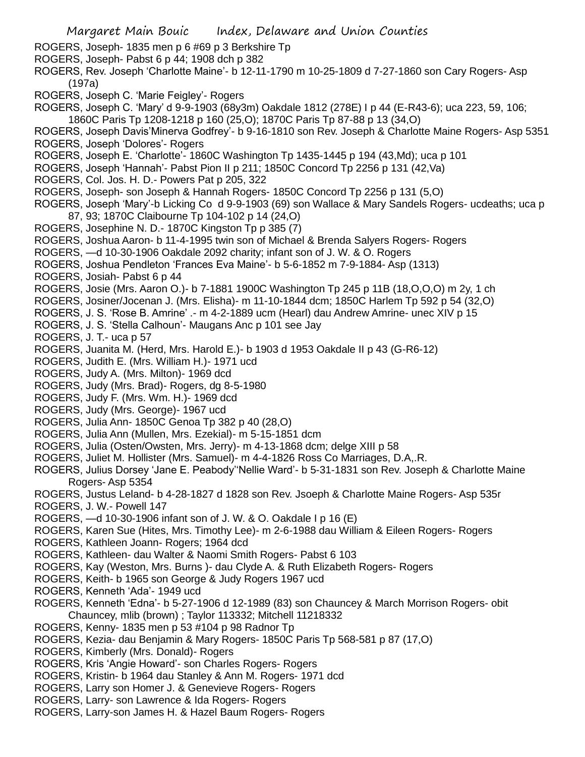- Margaret Main Bouic Index, Delaware and Union Counties ROGERS, Joseph- 1835 men p 6 #69 p 3 Berkshire Tp ROGERS, Joseph- Pabst 6 p 44; 1908 dch p 382 ROGERS, Rev. Joseph 'Charlotte Maine'- b 12-11-1790 m 10-25-1809 d 7-27-1860 son Cary Rogers- Asp (197a) ROGERS, Joseph C. 'Marie Feigley'- Rogers ROGERS, Joseph C. 'Mary' d 9-9-1903 (68y3m) Oakdale 1812 (278E) I p 44 (E-R43-6); uca 223, 59, 106; 1860C Paris Tp 1208-1218 p 160 (25,O); 1870C Paris Tp 87-88 p 13 (34,O) ROGERS, Joseph Davis'Minerva Godfrey'- b 9-16-1810 son Rev. Joseph & Charlotte Maine Rogers- Asp 5351 ROGERS, Joseph 'Dolores'- Rogers ROGERS, Joseph E. 'Charlotte'- 1860C Washington Tp 1435-1445 p 194 (43,Md); uca p 101 ROGERS, Joseph 'Hannah'- Pabst Pion II p 211; 1850C Concord Tp 2256 p 131 (42,Va) ROGERS, Col. Jos. H. D.- Powers Pat p 205, 322 ROGERS, Joseph- son Joseph & Hannah Rogers- 1850C Concord Tp 2256 p 131 (5,O) ROGERS, Joseph 'Mary'-b Licking Co d 9-9-1903 (69) son Wallace & Mary Sandels Rogers- ucdeaths; uca p 87, 93; 1870C Claibourne Tp 104-102 p 14 (24,O) ROGERS, Josephine N. D.- 1870C Kingston Tp p 385 (7) ROGERS, Joshua Aaron- b 11-4-1995 twin son of Michael & Brenda Salyers Rogers- Rogers ROGERS, —d 10-30-1906 Oakdale 2092 charity; infant son of J. W. & O. Rogers ROGERS, Joshua Pendleton 'Frances Eva Maine'- b 5-6-1852 m 7-9-1884- Asp (1313) ROGERS, Josiah- Pabst 6 p 44 ROGERS, Josie (Mrs. Aaron O.)- b 7-1881 1900C Washington Tp 245 p 11B (18,O,O,O) m 2y, 1 ch ROGERS, Josiner/Jocenan J. (Mrs. Elisha)- m 11-10-1844 dcm; 1850C Harlem Tp 592 p 54 (32,O) ROGERS, J. S. 'Rose B. Amrine' .- m 4-2-1889 ucm (Hearl) dau Andrew Amrine- unec XIV p 15 ROGERS, J. S. 'Stella Calhoun'- Maugans Anc p 101 see Jay ROGERS, J. T.- uca p 57 ROGERS, Juanita M. (Herd, Mrs. Harold E.)- b 1903 d 1953 Oakdale II p 43 (G-R6-12) ROGERS, Judith E. (Mrs. William H.)- 1971 ucd ROGERS, Judy A. (Mrs. Milton)- 1969 dcd ROGERS, Judy (Mrs. Brad)- Rogers, dg 8-5-1980 ROGERS, Judy F. (Mrs. Wm. H.)- 1969 dcd ROGERS, Judy (Mrs. George)- 1967 ucd ROGERS, Julia Ann- 1850C Genoa Tp 382 p 40 (28,O) ROGERS, Julia Ann (Mullen, Mrs. Ezekial)- m 5-15-1851 dcm ROGERS, Julia (Osten/Owsten, Mrs. Jerry)- m 4-13-1868 dcm; delge XIII p 58 ROGERS, Juliet M. Hollister (Mrs. Samuel)- m 4-4-1826 Ross Co Marriages, D.A,.R. ROGERS, Julius Dorsey 'Jane E. Peabody''Nellie Ward'- b 5-31-1831 son Rev. Joseph & Charlotte Maine Rogers- Asp 5354 ROGERS, Justus Leland- b 4-28-1827 d 1828 son Rev. Jsoeph & Charlotte Maine Rogers- Asp 535r ROGERS, J. W.- Powell 147 ROGERS, —d 10-30-1906 infant son of J. W. & O. Oakdale I p 16 (E) ROGERS, Karen Sue (Hites, Mrs. Timothy Lee)- m 2-6-1988 dau William & Eileen Rogers- Rogers
- ROGERS, Kathleen Joann- Rogers; 1964 dcd
- ROGERS, Kathleen- dau Walter & Naomi Smith Rogers- Pabst 6 103
- ROGERS, Kay (Weston, Mrs. Burns )- dau Clyde A. & Ruth Elizabeth Rogers- Rogers
- ROGERS, Keith- b 1965 son George & Judy Rogers 1967 ucd
- ROGERS, Kenneth 'Ada'- 1949 ucd
- ROGERS, Kenneth 'Edna'- b 5-27-1906 d 12-1989 (83) son Chauncey & March Morrison Rogers- obit Chauncey, mlib (brown) ; Taylor 113332; Mitchell 11218332
- ROGERS, Kenny- 1835 men p 53 #104 p 98 Radnor Tp
- ROGERS, Kezia- dau Benjamin & Mary Rogers- 1850C Paris Tp 568-581 p 87 (17,O)
- ROGERS, Kimberly (Mrs. Donald)- Rogers
- ROGERS, Kris 'Angie Howard'- son Charles Rogers- Rogers
- ROGERS, Kristin- b 1964 dau Stanley & Ann M. Rogers- 1971 dcd
- ROGERS, Larry son Homer J. & Genevieve Rogers- Rogers
- ROGERS, Larry- son Lawrence & Ida Rogers- Rogers
- ROGERS, Larry-son James H. & Hazel Baum Rogers- Rogers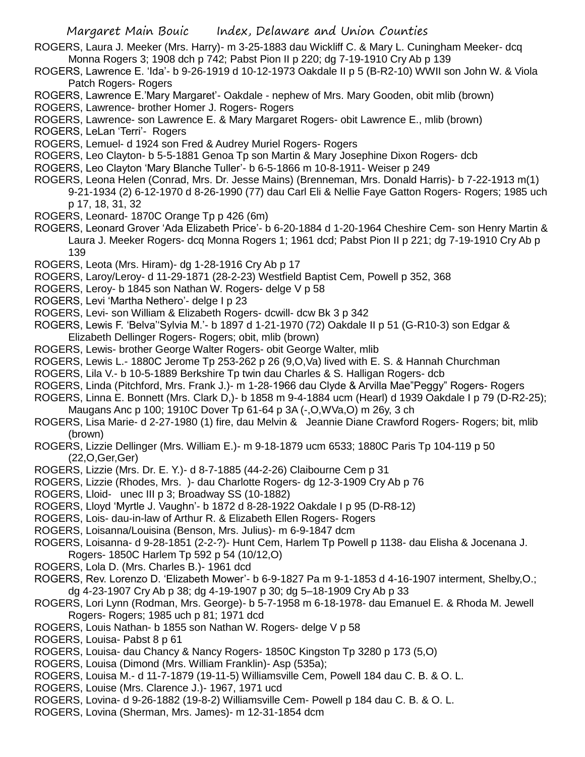ROGERS, Laura J. Meeker (Mrs. Harry)- m 3-25-1883 dau Wickliff C. & Mary L. Cuningham Meeker- dcq Monna Rogers 3; 1908 dch p 742; Pabst Pion II p 220; dg 7-19-1910 Cry Ab p 139

- ROGERS, Lawrence E. 'Ida'- b 9-26-1919 d 10-12-1973 Oakdale II p 5 (B-R2-10) WWII son John W. & Viola Patch Rogers- Rogers
- ROGERS, Lawrence E.'Mary Margaret'- Oakdale nephew of Mrs. Mary Gooden, obit mlib (brown)
- ROGERS, Lawrence- brother Homer J. Rogers- Rogers
- ROGERS, Lawrence- son Lawrence E. & Mary Margaret Rogers- obit Lawrence E., mlib (brown)
- ROGERS, LeLan 'Terri'- Rogers
- ROGERS, Lemuel- d 1924 son Fred & Audrey Muriel Rogers- Rogers
- ROGERS, Leo Clayton- b 5-5-1881 Genoa Tp son Martin & Mary Josephine Dixon Rogers- dcb
- ROGERS, Leo Clayton 'Mary Blanche Tuller'- b 6-5-1866 m 10-8-1911- Weiser p 249
- ROGERS, Leona Helen (Conrad, Mrs. Dr. Jesse Mains) (Brenneman, Mrs. Donald Harris)- b 7-22-1913 m(1) 9-21-1934 (2) 6-12-1970 d 8-26-1990 (77) dau Carl Eli & Nellie Faye Gatton Rogers- Rogers; 1985 uch p 17, 18, 31, 32
- ROGERS, Leonard- 1870C Orange Tp p 426 (6m)
- ROGERS, Leonard Grover 'Ada Elizabeth Price'- b 6-20-1884 d 1-20-1964 Cheshire Cem- son Henry Martin & Laura J. Meeker Rogers- dcq Monna Rogers 1; 1961 dcd; Pabst Pion II p 221; dg 7-19-1910 Cry Ab p 139
- ROGERS, Leota (Mrs. Hiram)- dg 1-28-1916 Cry Ab p 17
- ROGERS, Laroy/Leroy- d 11-29-1871 (28-2-23) Westfield Baptist Cem, Powell p 352, 368
- ROGERS, Leroy- b 1845 son Nathan W. Rogers- delge V p 58
- ROGERS, Levi 'Martha Nethero'- delge I p 23
- ROGERS, Levi- son William & Elizabeth Rogers- dcwill- dcw Bk 3 p 342
- ROGERS, Lewis F. 'Belva''Sylvia M.'- b 1897 d 1-21-1970 (72) Oakdale II p 51 (G-R10-3) son Edgar & Elizabeth Dellinger Rogers- Rogers; obit, mlib (brown)
- ROGERS, Lewis- brother George Walter Rogers- obit George Walter, mlib
- ROGERS, Lewis L.- 1880C Jerome Tp 253-262 p 26 (9,O,Va) lived with E. S. & Hannah Churchman
- ROGERS, Lila V.- b 10-5-1889 Berkshire Tp twin dau Charles & S. Halligan Rogers- dcb
- ROGERS, Linda (Pitchford, Mrs. Frank J.)- m 1-28-1966 dau Clyde & Arvilla Mae"Peggy" Rogers- Rogers
- ROGERS, Linna E. Bonnett (Mrs. Clark D,)- b 1858 m 9-4-1884 ucm (Hearl) d 1939 Oakdale I p 79 (D-R2-25); Maugans Anc p 100; 1910C Dover Tp 61-64 p 3A (-,O,WVa,O) m 26y, 3 ch
- ROGERS, Lisa Marie- d 2-27-1980 (1) fire, dau Melvin & Jeannie Diane Crawford Rogers- Rogers; bit, mlib (brown)
- ROGERS, Lizzie Dellinger (Mrs. William E.)- m 9-18-1879 ucm 6533; 1880C Paris Tp 104-119 p 50 (22,O,Ger,Ger)
- ROGERS, Lizzie (Mrs. Dr. E. Y.)- d 8-7-1885 (44-2-26) Claibourne Cem p 31
- ROGERS, Lizzie (Rhodes, Mrs. )- dau Charlotte Rogers- dg 12-3-1909 Cry Ab p 76
- ROGERS, Lloid- unec III p 3; Broadway SS (10-1882)
- ROGERS, Lloyd 'Myrtle J. Vaughn'- b 1872 d 8-28-1922 Oakdale I p 95 (D-R8-12)
- ROGERS, Lois- dau-in-law of Arthur R. & Elizabeth Ellen Rogers- Rogers
- ROGERS, Loisanna/Louisina (Benson, Mrs. Julius)- m 6-9-1847 dcm
- ROGERS, Loisanna- d 9-28-1851 (2-2-?)- Hunt Cem, Harlem Tp Powell p 1138- dau Elisha & Jocenana J. Rogers- 1850C Harlem Tp 592 p 54 (10/12,O)
- ROGERS, Lola D. (Mrs. Charles B.)- 1961 dcd
- ROGERS, Rev. Lorenzo D. 'Elizabeth Mower'- b 6-9-1827 Pa m 9-1-1853 d 4-16-1907 interment, Shelby,O.; dg 4-23-1907 Cry Ab p 38; dg 4-19-1907 p 30; dg 5–18-1909 Cry Ab p 33
- ROGERS, Lori Lynn (Rodman, Mrs. George)- b 5-7-1958 m 6-18-1978- dau Emanuel E. & Rhoda M. Jewell Rogers- Rogers; 1985 uch p 81; 1971 dcd
- ROGERS, Louis Nathan- b 1855 son Nathan W. Rogers- delge V p 58
- ROGERS, Louisa- Pabst 8 p 61
- ROGERS, Louisa- dau Chancy & Nancy Rogers- 1850C Kingston Tp 3280 p 173 (5,O)
- ROGERS, Louisa (Dimond (Mrs. William Franklin)- Asp (535a);
- ROGERS, Louisa M.- d 11-7-1879 (19-11-5) Williamsville Cem, Powell 184 dau C. B. & O. L.
- ROGERS, Louise (Mrs. Clarence J.)- 1967, 1971 ucd
- ROGERS, Lovina- d 9-26-1882 (19-8-2) Williamsville Cem- Powell p 184 dau C. B. & O. L.
- ROGERS, Lovina (Sherman, Mrs. James)- m 12-31-1854 dcm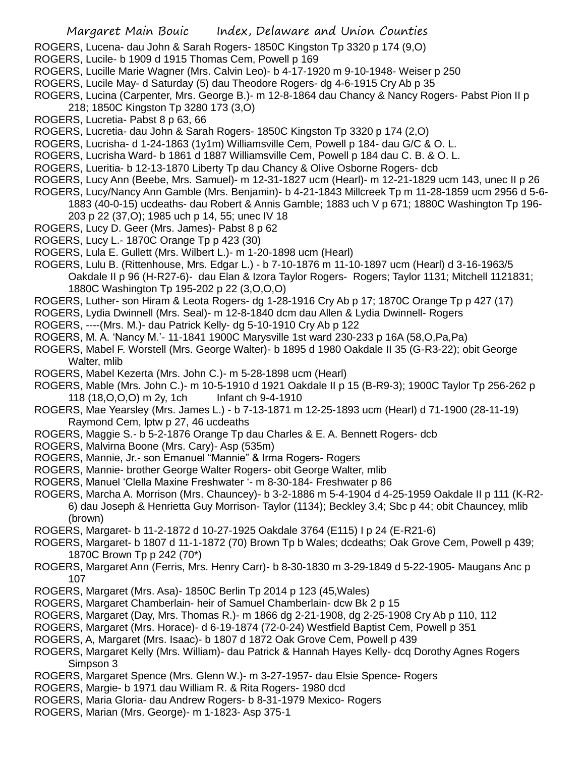- ROGERS, Lucena- dau John & Sarah Rogers- 1850C Kingston Tp 3320 p 174 (9,O)
- ROGERS, Lucile- b 1909 d 1915 Thomas Cem, Powell p 169
- ROGERS, Lucille Marie Wagner (Mrs. Calvin Leo)- b 4-17-1920 m 9-10-1948- Weiser p 250
- ROGERS, Lucile May- d Saturday (5) dau Theodore Rogers- dg 4-6-1915 Cry Ab p 35
- ROGERS, Lucina (Carpenter, Mrs. George B.)- m 12-8-1864 dau Chancy & Nancy Rogers- Pabst Pion II p
- 218; 1850C Kingston Tp 3280 173 (3,O)
- ROGERS, Lucretia- Pabst 8 p 63, 66
- ROGERS, Lucretia- dau John & Sarah Rogers- 1850C Kingston Tp 3320 p 174 (2,O)
- ROGERS, Lucrisha- d 1-24-1863 (1y1m) Williamsville Cem, Powell p 184- dau G/C & O. L.
- ROGERS, Lucrisha Ward- b 1861 d 1887 Williamsville Cem, Powell p 184 dau C. B. & O. L.
- ROGERS, Lueritia- b 12-13-1870 Liberty Tp dau Chancy & Olive Osborne Rogers- dcb
- ROGERS, Lucy Ann (Beebe, Mrs. Samuel)- m 12-31-1827 ucm (Hearl)- m 12-21-1829 ucm 143, unec II p 26
- ROGERS, Lucy/Nancy Ann Gamble (Mrs. Benjamin)- b 4-21-1843 Millcreek Tp m 11-28-1859 ucm 2956 d 5-6- 1883 (40-0-15) ucdeaths- dau Robert & Annis Gamble; 1883 uch V p 671; 1880C Washington Tp 196-
	- 203 p 22 (37,O); 1985 uch p 14, 55; unec IV 18
- ROGERS, Lucy D. Geer (Mrs. James)- Pabst 8 p 62
- ROGERS, Lucy L.- 1870C Orange Tp p 423 (30)
- ROGERS, Lula E. Gullett (Mrs. Wilbert L.)- m 1-20-1898 ucm (Hearl)
- ROGERS, Lulu B. (Rittenhouse, Mrs. Edgar L.) b 7-10-1876 m 11-10-1897 ucm (Hearl) d 3-16-1963/5 Oakdale II p 96 (H-R27-6)- dau Elan & Izora Taylor Rogers- Rogers; Taylor 1131; Mitchell 1121831; 1880C Washington Tp 195-202 p 22 (3,O,O,O)
- ROGERS, Luther- son Hiram & Leota Rogers- dg 1-28-1916 Cry Ab p 17; 1870C Orange Tp p 427 (17)
- ROGERS, Lydia Dwinnell (Mrs. Seal)- m 12-8-1840 dcm dau Allen & Lydia Dwinnell- Rogers
- ROGERS, ----(Mrs. M.)- dau Patrick Kelly- dg 5-10-1910 Cry Ab p 122
- ROGERS, M. A. 'Nancy M.'- 11-1841 1900C Marysville 1st ward 230-233 p 16A (58,O,Pa,Pa)
- ROGERS, Mabel F. Worstell (Mrs. George Walter)- b 1895 d 1980 Oakdale II 35 (G-R3-22); obit George Walter, mlib
- ROGERS, Mabel Kezerta (Mrs. John C.)- m 5-28-1898 ucm (Hearl)
- ROGERS, Mable (Mrs. John C.)- m 10-5-1910 d 1921 Oakdale II p 15 (B-R9-3); 1900C Taylor Tp 256-262 p 118 (18,O,O,O) m 2y, 1ch Infant ch 9-4-1910
- ROGERS, Mae Yearsley (Mrs. James L.) b 7-13-1871 m 12-25-1893 ucm (Hearl) d 71-1900 (28-11-19) Raymond Cem, lptw p 27, 46 ucdeaths
- ROGERS, Maggie S.- b 5-2-1876 Orange Tp dau Charles & E. A. Bennett Rogers- dcb
- ROGERS, Malvirna Boone (Mrs. Cary)- Asp (535m)
- ROGERS, Mannie, Jr.- son Emanuel "Mannie" & Irma Rogers- Rogers
- ROGERS, Mannie- brother George Walter Rogers- obit George Walter, mlib
- ROGERS, Manuel 'Clella Maxine Freshwater '- m 8-30-184- Freshwater p 86
- ROGERS, Marcha A. Morrison (Mrs. Chauncey)- b 3-2-1886 m 5-4-1904 d 4-25-1959 Oakdale II p 111 (K-R2- 6) dau Joseph & Henrietta Guy Morrison- Taylor (1134); Beckley 3,4; Sbc p 44; obit Chauncey, mlib (brown)
- ROGERS, Margaret- b 11-2-1872 d 10-27-1925 Oakdale 3764 (E115) I p 24 (E-R21-6)
- ROGERS, Margaret- b 1807 d 11-1-1872 (70) Brown Tp b Wales; dcdeaths; Oak Grove Cem, Powell p 439; 1870C Brown Tp p 242 (70\*)
- ROGERS, Margaret Ann (Ferris, Mrs. Henry Carr)- b 8-30-1830 m 3-29-1849 d 5-22-1905- Maugans Anc p 107
- ROGERS, Margaret (Mrs. Asa)- 1850C Berlin Tp 2014 p 123 (45,Wales)
- ROGERS, Margaret Chamberlain- heir of Samuel Chamberlain- dcw Bk 2 p 15
- ROGERS, Margaret (Day, Mrs. Thomas R.)- m 1866 dg 2-21-1908, dg 2-25-1908 Cry Ab p 110, 112
- ROGERS, Margaret (Mrs. Horace)- d 6-19-1874 (72-0-24) Westfield Baptist Cem, Powell p 351
- ROGERS, A, Margaret (Mrs. Isaac)- b 1807 d 1872 Oak Grove Cem, Powell p 439
- ROGERS, Margaret Kelly (Mrs. William)- dau Patrick & Hannah Hayes Kelly- dcq Dorothy Agnes Rogers Simpson 3
- ROGERS, Margaret Spence (Mrs. Glenn W.)- m 3-27-1957- dau Elsie Spence- Rogers
- ROGERS, Margie- b 1971 dau William R. & Rita Rogers- 1980 dcd
- ROGERS, Maria Gloria- dau Andrew Rogers- b 8-31-1979 Mexico- Rogers
- ROGERS, Marian (Mrs. George)- m 1-1823- Asp 375-1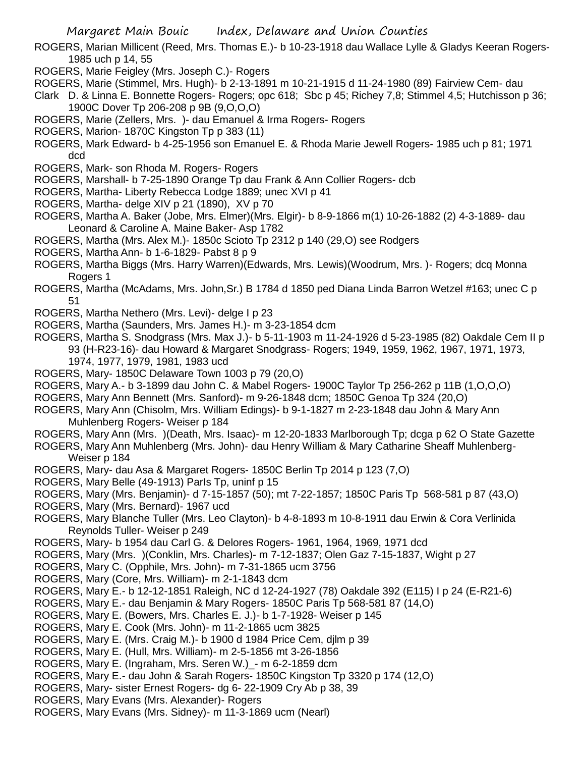- ROGERS, Marian Millicent (Reed, Mrs. Thomas E.)- b 10-23-1918 dau Wallace Lylle & Gladys Keeran Rogers-1985 uch p 14, 55
- ROGERS, Marie Feigley (Mrs. Joseph C.)- Rogers
- ROGERS, Marie (Stimmel, Mrs. Hugh)- b 2-13-1891 m 10-21-1915 d 11-24-1980 (89) Fairview Cem- dau
- Clark D. & Linna E. Bonnette Rogers- Rogers; opc 618; Sbc p 45; Richey 7,8; Stimmel 4,5; Hutchisson p 36; 1900C Dover Tp 206-208 p 9B (9,O,O,O)
- ROGERS, Marie (Zellers, Mrs. )- dau Emanuel & Irma Rogers- Rogers
- ROGERS, Marion- 1870C Kingston Tp p 383 (11)
- ROGERS, Mark Edward- b 4-25-1956 son Emanuel E. & Rhoda Marie Jewell Rogers- 1985 uch p 81; 1971 dcd
- ROGERS, Mark- son Rhoda M. Rogers- Rogers
- ROGERS, Marshall- b 7-25-1890 Orange Tp dau Frank & Ann Collier Rogers- dcb
- ROGERS, Martha- Liberty Rebecca Lodge 1889; unec XVI p 41
- ROGERS, Martha- delge XIV p 21 (1890), XV p 70
- ROGERS, Martha A. Baker (Jobe, Mrs. Elmer)(Mrs. Elgir)- b 8-9-1866 m(1) 10-26-1882 (2) 4-3-1889- dau Leonard & Caroline A. Maine Baker- Asp 1782
- ROGERS, Martha (Mrs. Alex M.)- 1850c Scioto Tp 2312 p 140 (29,O) see Rodgers
- ROGERS, Martha Ann- b 1-6-1829- Pabst 8 p 9
- ROGERS, Martha Biggs (Mrs. Harry Warren)(Edwards, Mrs. Lewis)(Woodrum, Mrs. )- Rogers; dcq Monna Rogers 1
- ROGERS, Martha (McAdams, Mrs. John,Sr.) B 1784 d 1850 ped Diana Linda Barron Wetzel #163; unec C p 51
- ROGERS, Martha Nethero (Mrs. Levi)- delge I p 23
- ROGERS, Martha (Saunders, Mrs. James H.)- m 3-23-1854 dcm
- ROGERS, Martha S. Snodgrass (Mrs. Max J.)- b 5-11-1903 m 11-24-1926 d 5-23-1985 (82) Oakdale Cem II p 93 (H-R23-16)- dau Howard & Margaret Snodgrass- Rogers; 1949, 1959, 1962, 1967, 1971, 1973, 1974, 1977, 1979, 1981, 1983 ucd
- ROGERS, Mary- 1850C Delaware Town 1003 p 79 (20,O)
- ROGERS, Mary A.- b 3-1899 dau John C. & Mabel Rogers- 1900C Taylor Tp 256-262 p 11B (1,O,O,O)
- ROGERS, Mary Ann Bennett (Mrs. Sanford)- m 9-26-1848 dcm; 1850C Genoa Tp 324 (20,O)
- ROGERS, Mary Ann (Chisolm, Mrs. William Edings)- b 9-1-1827 m 2-23-1848 dau John & Mary Ann Muhlenberg Rogers- Weiser p 184
- ROGERS, Mary Ann (Mrs. )(Death, Mrs. Isaac)- m 12-20-1833 Marlborough Tp; dcga p 62 O State Gazette
- ROGERS, Mary Ann Muhlenberg (Mrs. John)- dau Henry William & Mary Catharine Sheaff Muhlenberg-Weiser p 184
- ROGERS, Mary- dau Asa & Margaret Rogers- 1850C Berlin Tp 2014 p 123 (7,O)
- ROGERS, Mary Belle (49-1913) ParIs Tp, uninf p 15
- ROGERS, Mary (Mrs. Benjamin)- d 7-15-1857 (50); mt 7-22-1857; 1850C Paris Tp 568-581 p 87 (43,O)
- ROGERS, Mary (Mrs. Bernard)- 1967 ucd
- ROGERS, Mary Blanche Tuller (Mrs. Leo Clayton)- b 4-8-1893 m 10-8-1911 dau Erwin & Cora Verlinida Reynolds Tuller- Weiser p 249
- ROGERS, Mary- b 1954 dau Carl G. & Delores Rogers- 1961, 1964, 1969, 1971 dcd
- ROGERS, Mary (Mrs. )(Conklin, Mrs. Charles)- m 7-12-1837; Olen Gaz 7-15-1837, Wight p 27
- ROGERS, Mary C. (Opphile, Mrs. John)- m 7-31-1865 ucm 3756
- ROGERS, Mary (Core, Mrs. William)- m 2-1-1843 dcm
- ROGERS, Mary E.- b 12-12-1851 Raleigh, NC d 12-24-1927 (78) Oakdale 392 (E115) I p 24 (E-R21-6)
- ROGERS, Mary E.- dau Benjamin & Mary Rogers- 1850C Paris Tp 568-581 87 (14,O)
- ROGERS, Mary E. (Bowers, Mrs. Charles E. J.)- b 1-7-1928- Weiser p 145
- ROGERS, Mary E. Cook (Mrs. John)- m 11-2-1865 ucm 3825
- ROGERS, Mary E. (Mrs. Craig M.)- b 1900 d 1984 Price Cem, djlm p 39
- ROGERS, Mary E. (Hull, Mrs. William)- m 2-5-1856 mt 3-26-1856
- ROGERS, Mary E. (Ingraham, Mrs. Seren W.) m 6-2-1859 dcm
- ROGERS, Mary E.- dau John & Sarah Rogers- 1850C Kingston Tp 3320 p 174 (12,O)
- ROGERS, Mary- sister Ernest Rogers- dg 6- 22-1909 Cry Ab p 38, 39
- ROGERS, Mary Evans (Mrs. Alexander)- Rogers
- ROGERS, Mary Evans (Mrs. Sidney)- m 11-3-1869 ucm (Nearl)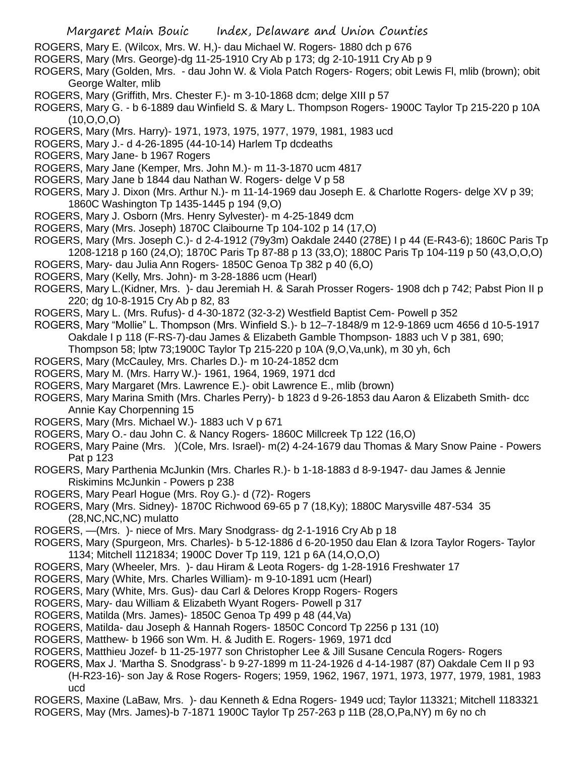- ROGERS, Mary E. (Wilcox, Mrs. W. H,)- dau Michael W. Rogers- 1880 dch p 676
- ROGERS, Mary (Mrs. George)-dg 11-25-1910 Cry Ab p 173; dg 2-10-1911 Cry Ab p 9
- ROGERS, Mary (Golden, Mrs. dau John W. & Viola Patch Rogers- Rogers; obit Lewis Fl, mlib (brown); obit George Walter, mlib
- ROGERS, Mary (Griffith, Mrs. Chester F.)- m 3-10-1868 dcm; delge XIII p 57
- ROGERS, Mary G. b 6-1889 dau Winfield S. & Mary L. Thompson Rogers- 1900C Taylor Tp 215-220 p 10A  $(10, 0, 0, 0)$
- ROGERS, Mary (Mrs. Harry)- 1971, 1973, 1975, 1977, 1979, 1981, 1983 ucd
- ROGERS, Mary J.- d 4-26-1895 (44-10-14) Harlem Tp dcdeaths
- ROGERS, Mary Jane- b 1967 Rogers
- ROGERS, Mary Jane (Kemper, Mrs. John M.)- m 11-3-1870 ucm 4817
- ROGERS, Mary Jane b 1844 dau Nathan W. Rogers- delge V p 58
- ROGERS, Mary J. Dixon (Mrs. Arthur N.)- m 11-14-1969 dau Joseph E. & Charlotte Rogers- delge XV p 39; 1860C Washington Tp 1435-1445 p 194 (9,O)
- ROGERS, Mary J. Osborn (Mrs. Henry Sylvester)- m 4-25-1849 dcm
- ROGERS, Mary (Mrs. Joseph) 1870C Claibourne Tp 104-102 p 14 (17,O)
- ROGERS, Mary (Mrs. Joseph C.)- d 2-4-1912 (79y3m) Oakdale 2440 (278E) I p 44 (E-R43-6); 1860C Paris Tp 1208-1218 p 160 (24,O); 1870C Paris Tp 87-88 p 13 (33,O); 1880C Paris Tp 104-119 p 50 (43,O,O,O)
- ROGERS, Mary- dau Julia Ann Rogers- 1850C Genoa Tp 382 p 40 (6,O)
- ROGERS, Mary (Kelly, Mrs. John)- m 3-28-1886 ucm (Hearl)
- ROGERS, Mary L.(Kidner, Mrs. )- dau Jeremiah H. & Sarah Prosser Rogers- 1908 dch p 742; Pabst Pion II p 220; dg 10-8-1915 Cry Ab p 82, 83
- ROGERS, Mary L. (Mrs. Rufus)- d 4-30-1872 (32-3-2) Westfield Baptist Cem- Powell p 352
- ROGERS, Mary "Mollie" L. Thompson (Mrs. Winfield S.)- b 12–7-1848/9 m 12-9-1869 ucm 4656 d 10-5-1917 Oakdale I p 118 (F-RS-7)-dau James & Elizabeth Gamble Thompson- 1883 uch V p 381, 690;
	- Thompson 58; lptw 73;1900C Taylor Tp 215-220 p 10A (9,O,Va,unk), m 30 yh, 6ch
- ROGERS, Mary (McCauley, Mrs. Charles D.)- m 10-24-1852 dcm
- ROGERS, Mary M. (Mrs. Harry W.)- 1961, 1964, 1969, 1971 dcd
- ROGERS, Mary Margaret (Mrs. Lawrence E.)- obit Lawrence E., mlib (brown)
- ROGERS, Mary Marina Smith (Mrs. Charles Perry)- b 1823 d 9-26-1853 dau Aaron & Elizabeth Smith- dcc Annie Kay Chorpenning 15
- ROGERS, Mary (Mrs. Michael W.)- 1883 uch V p 671
- ROGERS, Mary O.- dau John C. & Nancy Rogers- 1860C Millcreek Tp 122 (16,O)
- ROGERS, Mary Paine (Mrs. )(Cole, Mrs. Israel)- m(2) 4-24-1679 dau Thomas & Mary Snow Paine Powers Pat p 123
- ROGERS, Mary Parthenia McJunkin (Mrs. Charles R.)- b 1-18-1883 d 8-9-1947- dau James & Jennie Riskimins McJunkin - Powers p 238
- ROGERS, Mary Pearl Hogue (Mrs. Roy G.)- d (72)- Rogers
- ROGERS, Mary (Mrs. Sidney)- 1870C Richwood 69-65 p 7 (18,Ky); 1880C Marysville 487-534 35 (28,NC,NC,NC) mulatto
- ROGERS, —(Mrs. )- niece of Mrs. Mary Snodgrass- dg 2-1-1916 Cry Ab p 18
- ROGERS, Mary (Spurgeon, Mrs. Charles)- b 5-12-1886 d 6-20-1950 dau Elan & Izora Taylor Rogers- Taylor 1134; Mitchell 1121834; 1900C Dover Tp 119, 121 p 6A (14,O,O,O)
- ROGERS, Mary (Wheeler, Mrs. )- dau Hiram & Leota Rogers- dg 1-28-1916 Freshwater 17
- ROGERS, Mary (White, Mrs. Charles William)- m 9-10-1891 ucm (Hearl)
- ROGERS, Mary (White, Mrs. Gus)- dau Carl & Delores Kropp Rogers- Rogers
- ROGERS, Mary- dau William & Elizabeth Wyant Rogers- Powell p 317
- ROGERS, Matilda (Mrs. James)- 1850C Genoa Tp 499 p 48 (44,Va)
- ROGERS, Matilda- dau Joseph & Hannah Rogers- 1850C Concord Tp 2256 p 131 (10)
- ROGERS, Matthew- b 1966 son Wm. H. & Judith E. Rogers- 1969, 1971 dcd
- ROGERS, Matthieu Jozef- b 11-25-1977 son Christopher Lee & Jill Susane Cencula Rogers- Rogers
- ROGERS, Max J. 'Martha S. Snodgrass'- b 9-27-1899 m 11-24-1926 d 4-14-1987 (87) Oakdale Cem II p 93 (H-R23-16)- son Jay & Rose Rogers- Rogers; 1959, 1962, 1967, 1971, 1973, 1977, 1979, 1981, 1983 ucd
- ROGERS, Maxine (LaBaw, Mrs. )- dau Kenneth & Edna Rogers- 1949 ucd; Taylor 113321; Mitchell 1183321
- ROGERS, May (Mrs. James)-b 7-1871 1900C Taylor Tp 257-263 p 11B (28,O,Pa,NY) m 6y no ch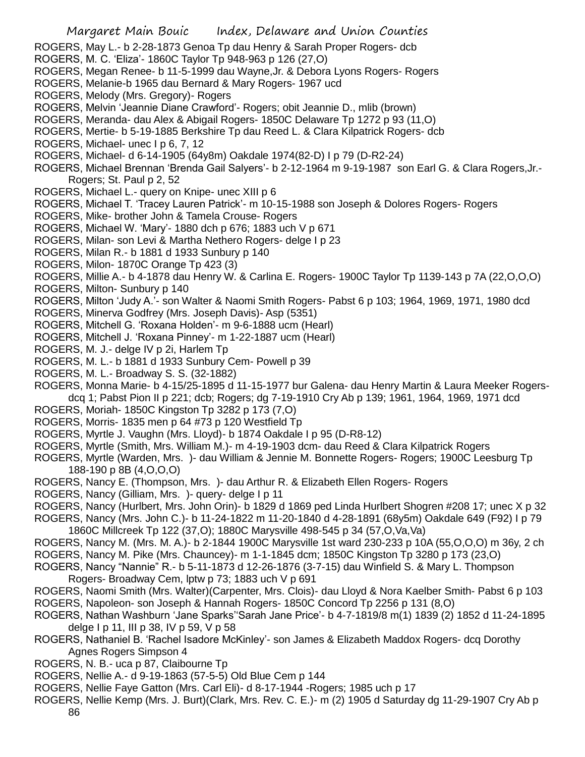- ROGERS, May L.- b 2-28-1873 Genoa Tp dau Henry & Sarah Proper Rogers- dcb
- ROGERS, M. C. 'Eliza'- 1860C Taylor Tp 948-963 p 126 (27,O)
- ROGERS, Megan Renee- b 11-5-1999 dau Wayne,Jr. & Debora Lyons Rogers- Rogers
- ROGERS, Melanie-b 1965 dau Bernard & Mary Rogers- 1967 ucd
- ROGERS, Melody (Mrs. Gregory)- Rogers
- ROGERS, Melvin 'Jeannie Diane Crawford'- Rogers; obit Jeannie D., mlib (brown)
- ROGERS, Meranda- dau Alex & Abigail Rogers- 1850C Delaware Tp 1272 p 93 (11,O)
- ROGERS, Mertie- b 5-19-1885 Berkshire Tp dau Reed L. & Clara Kilpatrick Rogers- dcb
- ROGERS, Michael- unec I p 6, 7, 12
- ROGERS, Michael- d 6-14-1905 (64y8m) Oakdale 1974(82-D) I p 79 (D-R2-24)
- ROGERS, Michael Brennan 'Brenda Gail Salyers'- b 2-12-1964 m 9-19-1987 son Earl G. & Clara Rogers,Jr.- Rogers; St. Paul p 2, 52
- ROGERS, Michael L.- query on Knipe- unec XIII p 6
- ROGERS, Michael T. 'Tracey Lauren Patrick'- m 10-15-1988 son Joseph & Dolores Rogers- Rogers
- ROGERS, Mike- brother John & Tamela Crouse- Rogers
- ROGERS, Michael W. 'Mary'- 1880 dch p 676; 1883 uch V p 671
- ROGERS, Milan- son Levi & Martha Nethero Rogers- delge I p 23
- ROGERS, Milan R.- b 1881 d 1933 Sunbury p 140
- ROGERS, Milon- 1870C Orange Tp 423 (3)
- ROGERS, Millie A.- b 4-1878 dau Henry W. & Carlina E. Rogers- 1900C Taylor Tp 1139-143 p 7A (22,O,O,O)
- ROGERS, Milton- Sunbury p 140
- ROGERS, Milton 'Judy A.'- son Walter & Naomi Smith Rogers- Pabst 6 p 103; 1964, 1969, 1971, 1980 dcd
- ROGERS, Minerva Godfrey (Mrs. Joseph Davis)- Asp (5351)
- ROGERS, Mitchell G. 'Roxana Holden'- m 9-6-1888 ucm (Hearl)
- ROGERS, Mitchell J. 'Roxana Pinney'- m 1-22-1887 ucm (Hearl)
- ROGERS, M. J.- delge IV p 2i, Harlem Tp
- ROGERS, M. L.- b 1881 d 1933 Sunbury Cem- Powell p 39
- ROGERS, M. L.- Broadway S. S. (32-1882)
- ROGERS, Monna Marie- b 4-15/25-1895 d 11-15-1977 bur Galena- dau Henry Martin & Laura Meeker Rogersdcq 1; Pabst Pion II p 221; dcb; Rogers; dg 7-19-1910 Cry Ab p 139; 1961, 1964, 1969, 1971 dcd
- ROGERS, Moriah- 1850C Kingston Tp 3282 p 173 (7,O)
- ROGERS, Morris- 1835 men p 64 #73 p 120 Westfield Tp
- ROGERS, Myrtle J. Vaughn (Mrs. Lloyd)- b 1874 Oakdale I p 95 (D-R8-12)
- ROGERS, Myrtle (Smith, Mrs. William M.)- m 4-19-1903 dcm- dau Reed & Clara Kilpatrick Rogers
- ROGERS, Myrtle (Warden, Mrs. )- dau William & Jennie M. Bonnette Rogers- Rogers; 1900C Leesburg Tp 188-190 p 8B (4,O,O,O)
- ROGERS, Nancy E. (Thompson, Mrs. )- dau Arthur R. & Elizabeth Ellen Rogers- Rogers
- ROGERS, Nancy (Gilliam, Mrs. )- query- delge I p 11
- ROGERS, Nancy (Hurlbert, Mrs. John Orin)- b 1829 d 1869 ped Linda Hurlbert Shogren #208 17; unec X p 32 ROGERS, Nancy (Mrs. John C.)- b 11-24-1822 m 11-20-1840 d 4-28-1891 (68y5m) Oakdale 649 (F92) I p 79
- 1860C Millcreek Tp 122 (37,O); 1880C Marysville 498-545 p 34 (57,O,Va,Va)
- ROGERS, Nancy M. (Mrs. M. A.)- b 2-1844 1900C Marysville 1st ward 230-233 p 10A (55,O,O,O) m 36y, 2 ch ROGERS, Nancy M. Pike (Mrs. Chauncey)- m 1-1-1845 dcm; 1850C Kingston Tp 3280 p 173 (23,O)
- ROGERS, Nancy "Nannie" R.- b 5-11-1873 d 12-26-1876 (3-7-15) dau Winfield S. & Mary L. Thompson Rogers- Broadway Cem, lptw p 73; 1883 uch V p 691
- ROGERS, Naomi Smith (Mrs. Walter)(Carpenter, Mrs. Clois)- dau Lloyd & Nora Kaelber Smith- Pabst 6 p 103 ROGERS, Napoleon- son Joseph & Hannah Rogers- 1850C Concord Tp 2256 p 131 (8,O)
- ROGERS, Nathan Washburn 'Jane Sparks''Sarah Jane Price'- b 4-7-1819/8 m(1) 1839 (2) 1852 d 11-24-1895 delge I p 11, III p 38, IV p 59, V p 58
- ROGERS, Nathaniel B. 'Rachel Isadore McKinley'- son James & Elizabeth Maddox Rogers- dcq Dorothy Agnes Rogers Simpson 4
- ROGERS, N. B.- uca p 87, Claibourne Tp
- ROGERS, Nellie A.- d 9-19-1863 (57-5-5) Old Blue Cem p 144
- ROGERS, Nellie Faye Gatton (Mrs. Carl Eli)- d 8-17-1944 -Rogers; 1985 uch p 17
- ROGERS, Nellie Kemp (Mrs. J. Burt)(Clark, Mrs. Rev. C. E.)- m (2) 1905 d Saturday dg 11-29-1907 Cry Ab p 86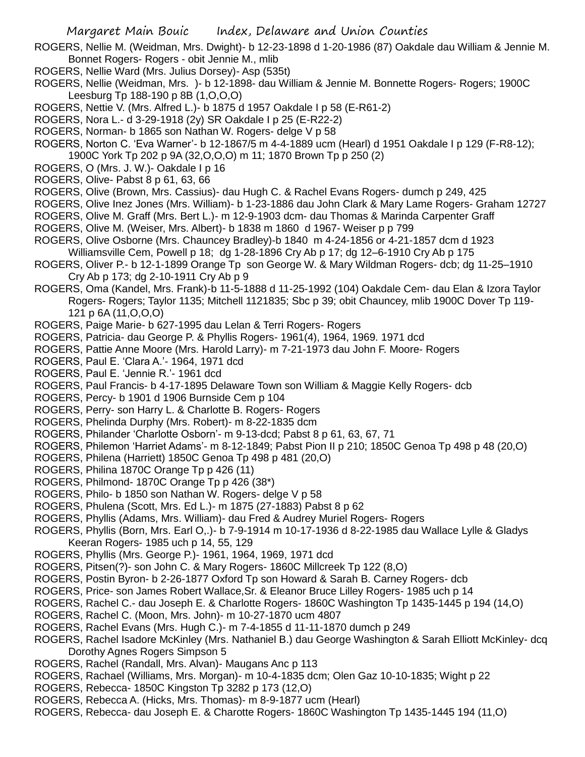- ROGERS, Nellie M. (Weidman, Mrs. Dwight)- b 12-23-1898 d 1-20-1986 (87) Oakdale dau William & Jennie M. Bonnet Rogers- Rogers - obit Jennie M., mlib
- ROGERS, Nellie Ward (Mrs. Julius Dorsey)- Asp (535t)
- ROGERS, Nellie (Weidman, Mrs. )- b 12-1898- dau William & Jennie M. Bonnette Rogers- Rogers; 1900C Leesburg Tp 188-190 p 8B (1,O,O,O)
- ROGERS, Nettie V. (Mrs. Alfred L.)- b 1875 d 1957 Oakdale I p 58 (E-R61-2)
- ROGERS, Nora L.- d 3-29-1918 (2y) SR Oakdale I p 25 (E-R22-2)
- ROGERS, Norman- b 1865 son Nathan W. Rogers- delge V p 58
- ROGERS, Norton C. 'Eva Warner'- b 12-1867/5 m 4-4-1889 ucm (Hearl) d 1951 Oakdale I p 129 (F-R8-12); 1900C York Tp 202 p 9A (32,O,O,O) m 11; 1870 Brown Tp p 250 (2)
- ROGERS, O (Mrs. J. W.)- Oakdale I p 16
- ROGERS, Olive- Pabst 8 p 61, 63, 66
- ROGERS, Olive (Brown, Mrs. Cassius)- dau Hugh C. & Rachel Evans Rogers- dumch p 249, 425
- ROGERS, Olive Inez Jones (Mrs. William)- b 1-23-1886 dau John Clark & Mary Lame Rogers- Graham 12727
- ROGERS, Olive M. Graff (Mrs. Bert L.)- m 12-9-1903 dcm- dau Thomas & Marinda Carpenter Graff
- ROGERS, Olive M. (Weiser, Mrs. Albert)- b 1838 m 1860 d 1967- Weiser p p 799
- ROGERS, Olive Osborne (Mrs. Chauncey Bradley)-b 1840 m 4-24-1856 or 4-21-1857 dcm d 1923 Williamsville Cem, Powell p 18; dg 1-28-1896 Cry Ab p 17; dg 12–6-1910 Cry Ab p 175
- ROGERS, Oliver P.- b 12-1-1899 Orange Tp son George W. & Mary Wildman Rogers- dcb; dg 11-25–1910 Cry Ab p 173; dg 2-10-1911 Cry Ab p 9
- ROGERS, Oma (Kandel, Mrs. Frank)-b 11-5-1888 d 11-25-1992 (104) Oakdale Cem- dau Elan & Izora Taylor Rogers- Rogers; Taylor 1135; Mitchell 1121835; Sbc p 39; obit Chauncey, mlib 1900C Dover Tp 119- 121 p 6A (11,O,O,O)
- ROGERS, Paige Marie- b 627-1995 dau Lelan & Terri Rogers- Rogers
- ROGERS, Patricia- dau George P. & Phyllis Rogers- 1961(4), 1964, 1969. 1971 dcd
- ROGERS, Pattie Anne Moore (Mrs. Harold Larry)- m 7-21-1973 dau John F. Moore- Rogers
- ROGERS, Paul E. 'Clara A.'- 1964, 1971 dcd
- ROGERS, Paul E. 'Jennie R.'- 1961 dcd
- ROGERS, Paul Francis- b 4-17-1895 Delaware Town son William & Maggie Kelly Rogers- dcb
- ROGERS, Percy- b 1901 d 1906 Burnside Cem p 104
- ROGERS, Perry- son Harry L. & Charlotte B. Rogers- Rogers
- ROGERS, Phelinda Durphy (Mrs. Robert)- m 8-22-1835 dcm
- ROGERS, Philander 'Charlotte Osborn'- m 9-13-dcd; Pabst 8 p 61, 63, 67, 71
- ROGERS, Philemon 'Harriet Adams'- m 8-12-1849; Pabst Pion II p 210; 1850C Genoa Tp 498 p 48 (20,O)
- ROGERS, Philena (Harriett) 1850C Genoa Tp 498 p 481 (20,O)
- ROGERS, Philina 1870C Orange Tp p 426 (11)
- ROGERS, Philmond- 1870C Orange Tp p 426 (38\*)
- ROGERS, Philo- b 1850 son Nathan W. Rogers- delge V p 58
- ROGERS, Phulena (Scott, Mrs. Ed L.)- m 1875 (27-1883) Pabst 8 p 62
- ROGERS, Phyllis (Adams, Mrs. William)- dau Fred & Audrey Muriel Rogers- Rogers
- ROGERS, Phyllis (Born, Mrs. Earl O,.)- b 7-9-1914 m 10-17-1936 d 8-22-1985 dau Wallace Lylle & Gladys Keeran Rogers- 1985 uch p 14, 55, 129
- ROGERS, Phyllis (Mrs. George P.)- 1961, 1964, 1969, 1971 dcd
- ROGERS, Pitsen(?)- son John C. & Mary Rogers- 1860C Millcreek Tp 122 (8,O)
- ROGERS, Postin Byron- b 2-26-1877 Oxford Tp son Howard & Sarah B. Carney Rogers- dcb
- ROGERS, Price- son James Robert Wallace,Sr. & Eleanor Bruce Lilley Rogers- 1985 uch p 14
- ROGERS, Rachel C.- dau Joseph E. & Charlotte Rogers- 1860C Washington Tp 1435-1445 p 194 (14,O)
- ROGERS, Rachel C. (Moon, Mrs. John)- m 10-27-1870 ucm 4807
- ROGERS, Rachel Evans (Mrs. Hugh C.)- m 7-4-1855 d 11-11-1870 dumch p 249
- ROGERS, Rachel Isadore McKinley (Mrs. Nathaniel B.) dau George Washington & Sarah Elliott McKinley- dcq Dorothy Agnes Rogers Simpson 5
- ROGERS, Rachel (Randall, Mrs. Alvan)- Maugans Anc p 113
- ROGERS, Rachael (Williams, Mrs. Morgan)- m 10-4-1835 dcm; Olen Gaz 10-10-1835; Wight p 22
- ROGERS, Rebecca- 1850C Kingston Tp 3282 p 173 (12,O)
- ROGERS, Rebecca A. (Hicks, Mrs. Thomas)- m 8-9-1877 ucm (Hearl)
- ROGERS, Rebecca- dau Joseph E. & Charotte Rogers- 1860C Washington Tp 1435-1445 194 (11,O)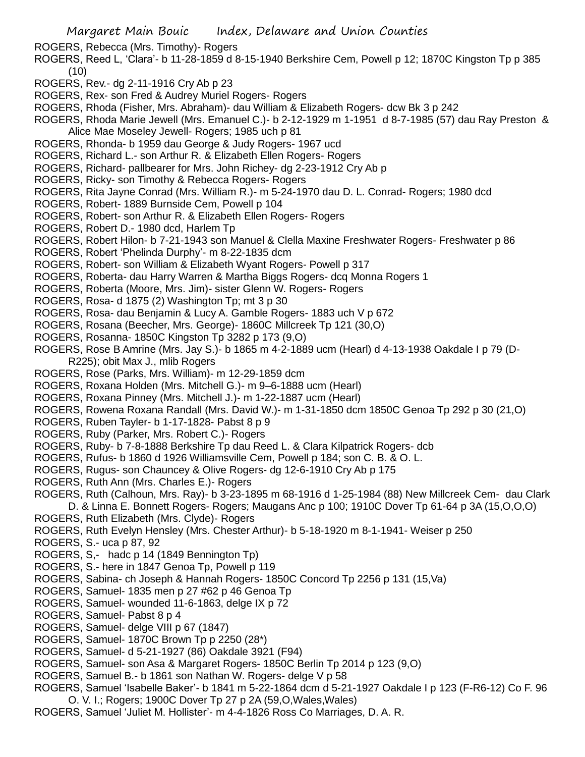- ROGERS, Rebecca (Mrs. Timothy)- Rogers
- ROGERS, Reed L, 'Clara'- b 11-28-1859 d 8-15-1940 Berkshire Cem, Powell p 12; 1870C Kingston Tp p 385 (10)
- ROGERS, Rev.- dg 2-11-1916 Cry Ab p 23
- ROGERS, Rex- son Fred & Audrey Muriel Rogers- Rogers
- ROGERS, Rhoda (Fisher, Mrs. Abraham)- dau William & Elizabeth Rogers- dcw Bk 3 p 242

ROGERS, Rhoda Marie Jewell (Mrs. Emanuel C.)- b 2-12-1929 m 1-1951 d 8-7-1985 (57) dau Ray Preston & Alice Mae Moseley Jewell- Rogers; 1985 uch p 81

- ROGERS, Rhonda- b 1959 dau George & Judy Rogers- 1967 ucd
- ROGERS, Richard L.- son Arthur R. & Elizabeth Ellen Rogers- Rogers
- ROGERS, Richard- pallbearer for Mrs. John Richey- dg 2-23-1912 Cry Ab p
- ROGERS, Ricky- son Timothy & Rebecca Rogers- Rogers
- ROGERS, Rita Jayne Conrad (Mrs. William R.)- m 5-24-1970 dau D. L. Conrad- Rogers; 1980 dcd
- ROGERS, Robert- 1889 Burnside Cem, Powell p 104
- ROGERS, Robert- son Arthur R. & Elizabeth Ellen Rogers- Rogers
- ROGERS, Robert D.- 1980 dcd, Harlem Tp
- ROGERS, Robert Hilon- b 7-21-1943 son Manuel & Clella Maxine Freshwater Rogers- Freshwater p 86
- ROGERS, Robert 'Phelinda Durphy'- m 8-22-1835 dcm
- ROGERS, Robert- son William & Elizabeth Wyant Rogers- Powell p 317
- ROGERS, Roberta- dau Harry Warren & Martha Biggs Rogers- dcq Monna Rogers 1
- ROGERS, Roberta (Moore, Mrs. Jim)- sister Glenn W. Rogers- Rogers
- ROGERS, Rosa- d 1875 (2) Washington Tp; mt 3 p 30
- ROGERS, Rosa- dau Benjamin & Lucy A. Gamble Rogers- 1883 uch V p 672
- ROGERS, Rosana (Beecher, Mrs. George)- 1860C Millcreek Tp 121 (30,O)
- ROGERS, Rosanna- 1850C Kingston Tp 3282 p 173 (9,O)
- ROGERS, Rose B Amrine (Mrs. Jay S.)- b 1865 m 4-2-1889 ucm (Hearl) d 4-13-1938 Oakdale I p 79 (D-R225); obit Max J., mlib Rogers
- ROGERS, Rose (Parks, Mrs. William)- m 12-29-1859 dcm
- ROGERS, Roxana Holden (Mrs. Mitchell G.)- m 9–6-1888 ucm (Hearl)
- ROGERS, Roxana Pinney (Mrs. Mitchell J.)- m 1-22-1887 ucm (Hearl)
- ROGERS, Rowena Roxana Randall (Mrs. David W.)- m 1-31-1850 dcm 1850C Genoa Tp 292 p 30 (21,O)
- ROGERS, Ruben Tayler- b 1-17-1828- Pabst 8 p 9
- ROGERS, Ruby (Parker, Mrs. Robert C.)- Rogers
- ROGERS, Ruby- b 7-8-1888 Berkshire Tp dau Reed L. & Clara Kilpatrick Rogers- dcb
- ROGERS, Rufus- b 1860 d 1926 Williamsville Cem, Powell p 184; son C. B. & O. L.
- ROGERS, Rugus- son Chauncey & Olive Rogers- dg 12-6-1910 Cry Ab p 175
- ROGERS, Ruth Ann (Mrs. Charles E.)- Rogers
- ROGERS, Ruth (Calhoun, Mrs. Ray)- b 3-23-1895 m 68-1916 d 1-25-1984 (88) New Millcreek Cem- dau Clark D. & Linna E. Bonnett Rogers- Rogers; Maugans Anc p 100; 1910C Dover Tp 61-64 p 3A (15,O,O,O)
- ROGERS, Ruth Elizabeth (Mrs. Clyde)- Rogers
- ROGERS, Ruth Evelyn Hensley (Mrs. Chester Arthur)- b 5-18-1920 m 8-1-1941- Weiser p 250
- ROGERS, S.- uca p 87, 92
- ROGERS, S,- hadc p 14 (1849 Bennington Tp)
- ROGERS, S.- here in 1847 Genoa Tp, Powell p 119
- ROGERS, Sabina- ch Joseph & Hannah Rogers- 1850C Concord Tp 2256 p 131 (15,Va)
- ROGERS, Samuel- 1835 men p 27 #62 p 46 Genoa Tp
- ROGERS, Samuel- wounded 11-6-1863, delge IX p 72
- ROGERS, Samuel- Pabst 8 p 4
- ROGERS, Samuel- delge VIII p 67 (1847)
- ROGERS, Samuel- 1870C Brown Tp p 2250 (28\*)
- ROGERS, Samuel- d 5-21-1927 (86) Oakdale 3921 (F94)
- ROGERS, Samuel- son Asa & Margaret Rogers- 1850C Berlin Tp 2014 p 123 (9,O)
- ROGERS, Samuel B.- b 1861 son Nathan W. Rogers- delge V p 58
- ROGERS, Samuel 'Isabelle Baker'- b 1841 m 5-22-1864 dcm d 5-21-1927 Oakdale I p 123 (F-R6-12) Co F. 96 O. V. I.; Rogers; 1900C Dover Tp 27 p 2A (59,O,Wales,Wales)
- ROGERS, Samuel 'Juliet M. Hollister'- m 4-4-1826 Ross Co Marriages, D. A. R.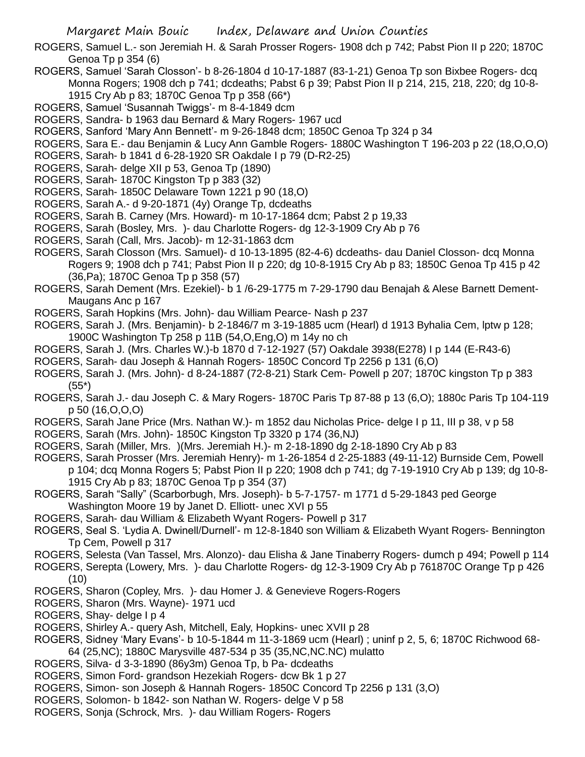ROGERS, Samuel L.- son Jeremiah H. & Sarah Prosser Rogers- 1908 dch p 742; Pabst Pion II p 220; 1870C Genoa Tp p 354 (6)

- ROGERS, Samuel 'Sarah Closson'- b 8-26-1804 d 10-17-1887 (83-1-21) Genoa Tp son Bixbee Rogers- dcq Monna Rogers; 1908 dch p 741; dcdeaths; Pabst 6 p 39; Pabst Pion II p 214, 215, 218, 220; dg 10-8- 1915 Cry Ab p 83; 1870C Genoa Tp p 358 (66\*)
- ROGERS, Samuel 'Susannah Twiggs'- m 8-4-1849 dcm
- ROGERS, Sandra- b 1963 dau Bernard & Mary Rogers- 1967 ucd
- ROGERS, Sanford 'Mary Ann Bennett'- m 9-26-1848 dcm; 1850C Genoa Tp 324 p 34
- ROGERS, Sara E.- dau Benjamin & Lucy Ann Gamble Rogers- 1880C Washington T 196-203 p 22 (18,O,O,O)
- ROGERS, Sarah- b 1841 d 6-28-1920 SR Oakdale I p 79 (D-R2-25)
- ROGERS, Sarah- delge XII p 53, Genoa Tp (1890)
- ROGERS, Sarah- 1870C Kingston Tp p 383 (32)
- ROGERS, Sarah- 1850C Delaware Town 1221 p 90 (18,O)
- ROGERS, Sarah A.- d 9-20-1871 (4y) Orange Tp, dcdeaths
- ROGERS, Sarah B. Carney (Mrs. Howard)- m 10-17-1864 dcm; Pabst 2 p 19,33
- ROGERS, Sarah (Bosley, Mrs. )- dau Charlotte Rogers- dg 12-3-1909 Cry Ab p 76
- ROGERS, Sarah (Call, Mrs. Jacob)- m 12-31-1863 dcm
- ROGERS, Sarah Closson (Mrs. Samuel)- d 10-13-1895 (82-4-6) dcdeaths- dau Daniel Closson- dcq Monna Rogers 9; 1908 dch p 741; Pabst Pion II p 220; dg 10-8-1915 Cry Ab p 83; 1850C Genoa Tp 415 p 42 (36,Pa); 1870C Genoa Tp p 358 (57)
- ROGERS, Sarah Dement (Mrs. Ezekiel)- b 1 /6-29-1775 m 7-29-1790 dau Benajah & Alese Barnett Dement-Maugans Anc p 167
- ROGERS, Sarah Hopkins (Mrs. John)- dau William Pearce- Nash p 237
- ROGERS, Sarah J. (Mrs. Benjamin)- b 2-1846/7 m 3-19-1885 ucm (Hearl) d 1913 Byhalia Cem, lptw p 128; 1900C Washington Tp 258 p 11B (54,O,Eng,O) m 14y no ch
- ROGERS, Sarah J. (Mrs. Charles W.)-b 1870 d 7-12-1927 (57) Oakdale 3938(E278) I p 144 (E-R43-6)
- ROGERS, Sarah- dau Joseph & Hannah Rogers- 1850C Concord Tp 2256 p 131 (6,O)
- ROGERS, Sarah J. (Mrs. John)- d 8-24-1887 (72-8-21) Stark Cem- Powell p 207; 1870C kingston Tp p 383 (55\*)
- ROGERS, Sarah J.- dau Joseph C. & Mary Rogers- 1870C Paris Tp 87-88 p 13 (6,O); 1880c Paris Tp 104-119 p 50 (16,O,O,O)
- ROGERS, Sarah Jane Price (Mrs. Nathan W.)- m 1852 dau Nicholas Price- delge I p 11, III p 38, v p 58
- ROGERS, Sarah (Mrs. John)- 1850C Kingston Tp 3320 p 174 (36,NJ)
- ROGERS, Sarah (Miller, Mrs. )(Mrs. Jeremiah H.)- m 2-18-1890 dg 2-18-1890 Cry Ab p 83
- ROGERS, Sarah Prosser (Mrs. Jeremiah Henry)- m 1-26-1854 d 2-25-1883 (49-11-12) Burnside Cem, Powell p 104; dcq Monna Rogers 5; Pabst Pion II p 220; 1908 dch p 741; dg 7-19-1910 Cry Ab p 139; dg 10-8- 1915 Cry Ab p 83; 1870C Genoa Tp p 354 (37)
- ROGERS, Sarah "Sally" (Scarborbugh, Mrs. Joseph)- b 5-7-1757- m 1771 d 5-29-1843 ped George Washington Moore 19 by Janet D. Elliott- unec XVI p 55
- ROGERS, Sarah- dau William & Elizabeth Wyant Rogers- Powell p 317
- ROGERS, Seal S. 'Lydia A. Dwinell/Durnell'- m 12-8-1840 son William & Elizabeth Wyant Rogers- Bennington Tp Cem, Powell p 317
- ROGERS, Selesta (Van Tassel, Mrs. Alonzo)- dau Elisha & Jane Tinaberry Rogers- dumch p 494; Powell p 114
- ROGERS, Serepta (Lowery, Mrs. )- dau Charlotte Rogers- dg 12-3-1909 Cry Ab p 761870C Orange Tp p 426 (10)
- ROGERS, Sharon (Copley, Mrs. )- dau Homer J. & Genevieve Rogers-Rogers
- ROGERS, Sharon (Mrs. Wayne)- 1971 ucd
- ROGERS, Shay- delge I p 4
- ROGERS, Shirley A.- query Ash, Mitchell, Ealy, Hopkins- unec XVII p 28
- ROGERS, Sidney 'Mary Evans'- b 10-5-1844 m 11-3-1869 ucm (Hearl) ; uninf p 2, 5, 6; 1870C Richwood 68- 64 (25,NC); 1880C Marysville 487-534 p 35 (35,NC,NC.NC) mulatto
- ROGERS, Silva- d 3-3-1890 (86y3m) Genoa Tp, b Pa- dcdeaths
- ROGERS, Simon Ford- grandson Hezekiah Rogers- dcw Bk 1 p 27
- ROGERS, Simon- son Joseph & Hannah Rogers- 1850C Concord Tp 2256 p 131 (3,O)
- ROGERS, Solomon- b 1842- son Nathan W. Rogers- delge V p 58
- ROGERS, Sonja (Schrock, Mrs. )- dau William Rogers- Rogers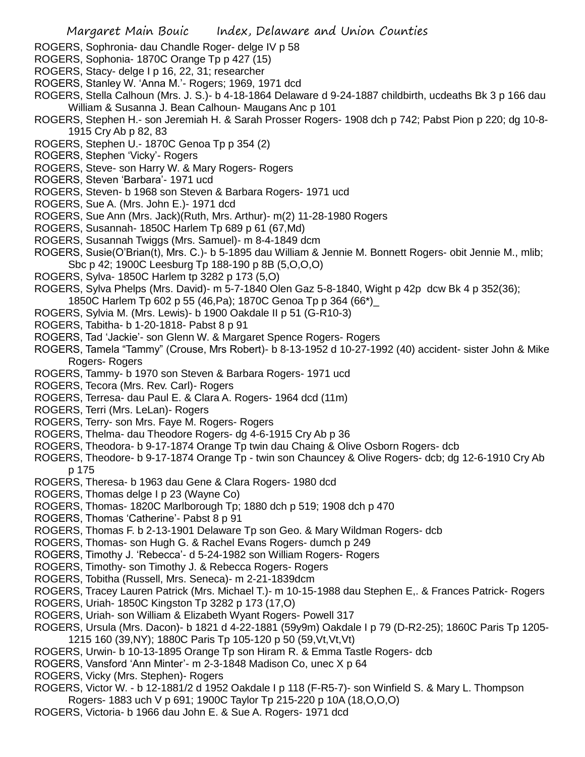- ROGERS, Sophronia- dau Chandle Roger- delge IV p 58
- ROGERS, Sophonia- 1870C Orange Tp p 427 (15)
- ROGERS, Stacy- delge I p 16, 22, 31; researcher
- ROGERS, Stanley W. 'Anna M.'- Rogers; 1969, 1971 dcd
- ROGERS, Stella Calhoun (Mrs. J. S.)- b 4-18-1864 Delaware d 9-24-1887 childbirth, ucdeaths Bk 3 p 166 dau William & Susanna J. Bean Calhoun- Maugans Anc p 101
- ROGERS, Stephen H.- son Jeremiah H. & Sarah Prosser Rogers- 1908 dch p 742; Pabst Pion p 220; dg 10-8- 1915 Cry Ab p 82, 83
- ROGERS, Stephen U.- 1870C Genoa Tp p 354 (2)
- ROGERS, Stephen 'Vicky'- Rogers
- ROGERS, Steve- son Harry W. & Mary Rogers- Rogers
- ROGERS, Steven 'Barbara'- 1971 ucd
- ROGERS, Steven- b 1968 son Steven & Barbara Rogers- 1971 ucd
- ROGERS, Sue A. (Mrs. John E.)- 1971 dcd
- ROGERS, Sue Ann (Mrs. Jack)(Ruth, Mrs. Arthur)- m(2) 11-28-1980 Rogers
- ROGERS, Susannah- 1850C Harlem Tp 689 p 61 (67,Md)
- ROGERS, Susannah Twiggs (Mrs. Samuel)- m 8-4-1849 dcm
- ROGERS, Susie(O'Brian(t), Mrs. C.)- b 5-1895 dau William & Jennie M. Bonnett Rogers- obit Jennie M., mlib; Sbc p 42; 1900C Leesburg Tp 188-190 p 8B (5,O,O,O)
- ROGERS, Sylva- 1850C Harlem tp 3282 p 173 (5,O)
- ROGERS, Sylva Phelps (Mrs. David)- m 5-7-1840 Olen Gaz 5-8-1840, Wight p 42p dcw Bk 4 p 352(36);
- 1850C Harlem Tp 602 p 55 (46,Pa); 1870C Genoa Tp p 364 (66\*)\_
- ROGERS, Sylvia M. (Mrs. Lewis)- b 1900 Oakdale II p 51 (G-R10-3)
- ROGERS, Tabitha- b 1-20-1818- Pabst 8 p 91
- ROGERS, Tad 'Jackie'- son Glenn W. & Margaret Spence Rogers- Rogers
- ROGERS, Tamela "Tammy" (Crouse, Mrs Robert)- b 8-13-1952 d 10-27-1992 (40) accident- sister John & Mike Rogers- Rogers
- ROGERS, Tammy- b 1970 son Steven & Barbara Rogers- 1971 ucd
- ROGERS, Tecora (Mrs. Rev. Carl)- Rogers
- ROGERS, Terresa- dau Paul E. & Clara A. Rogers- 1964 dcd (11m)
- ROGERS, Terri (Mrs. LeLan)- Rogers
- ROGERS, Terry- son Mrs. Faye M. Rogers- Rogers
- ROGERS, Thelma- dau Theodore Rogers- dg 4-6-1915 Cry Ab p 36
- ROGERS, Theodora- b 9-17-1874 Orange Tp twin dau Chaing & Olive Osborn Rogers- dcb
- ROGERS, Theodore- b 9-17-1874 Orange Tp twin son Chauncey & Olive Rogers- dcb; dg 12-6-1910 Cry Ab p 175
- ROGERS, Theresa- b 1963 dau Gene & Clara Rogers- 1980 dcd
- ROGERS, Thomas delge I p 23 (Wayne Co)
- ROGERS, Thomas- 1820C Marlborough Tp; 1880 dch p 519; 1908 dch p 470
- ROGERS, Thomas 'Catherine'- Pabst 8 p 91
- ROGERS, Thomas F. b 2-13-1901 Delaware Tp son Geo. & Mary Wildman Rogers- dcb
- ROGERS, Thomas- son Hugh G. & Rachel Evans Rogers- dumch p 249
- ROGERS, Timothy J. 'Rebecca'- d 5-24-1982 son William Rogers- Rogers
- ROGERS, Timothy- son Timothy J. & Rebecca Rogers- Rogers
- ROGERS, Tobitha (Russell, Mrs. Seneca)- m 2-21-1839dcm
- ROGERS, Tracey Lauren Patrick (Mrs. Michael T.)- m 10-15-1988 dau Stephen E,. & Frances Patrick- Rogers
- ROGERS, Uriah- 1850C Kingston Tp 3282 p 173 (17,O)
- ROGERS, Uriah- son William & Elizabeth Wyant Rogers- Powell 317
- ROGERS, Ursula (Mrs. Dacon)- b 1821 d 4-22-1881 (59y9m) Oakdale I p 79 (D-R2-25); 1860C Paris Tp 1205- 1215 160 (39,NY); 1880C Paris Tp 105-120 p 50 (59,Vt,Vt,Vt)
- ROGERS, Urwin- b 10-13-1895 Orange Tp son Hiram R. & Emma Tastle Rogers- dcb
- ROGERS, Vansford 'Ann Minter'- m 2-3-1848 Madison Co, unec X p 64
- ROGERS, Vicky (Mrs. Stephen)- Rogers
- ROGERS, Victor W. b 12-1881/2 d 1952 Oakdale I p 118 (F-R5-7)- son Winfield S. & Mary L. Thompson Rogers- 1883 uch V p 691; 1900C Taylor Tp 215-220 p 10A (18,O,O,O)
- 
- ROGERS, Victoria- b 1966 dau John E. & Sue A. Rogers- 1971 dcd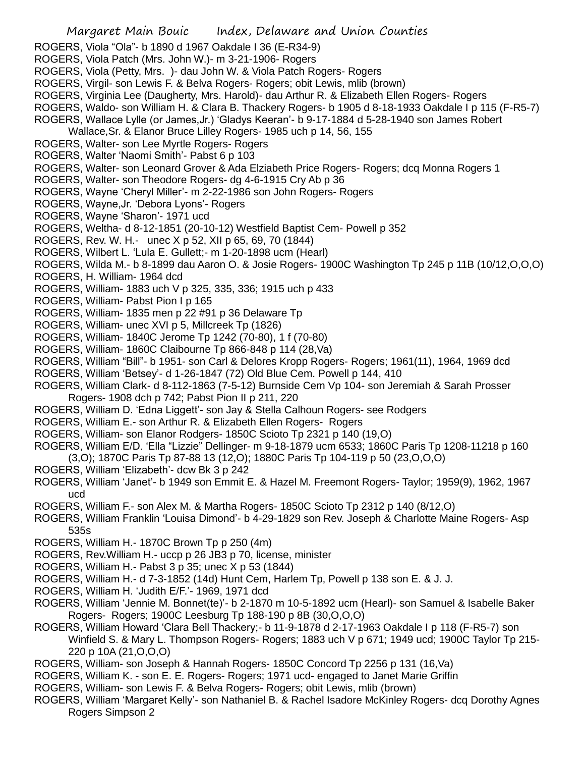- ROGERS, Viola "Ola"- b 1890 d 1967 Oakdale I 36 (E-R34-9)
- ROGERS, Viola Patch (Mrs. John W.)- m 3-21-1906- Rogers
- ROGERS, Viola (Petty, Mrs. )- dau John W. & Viola Patch Rogers- Rogers
- ROGERS, Virgil- son Lewis F. & Belva Rogers- Rogers; obit Lewis, mlib (brown)
- ROGERS, Virginia Lee (Daugherty, Mrs. Harold)- dau Arthur R. & Elizabeth Ellen Rogers- Rogers
- ROGERS, Waldo- son William H. & Clara B. Thackery Rogers- b 1905 d 8-18-1933 Oakdale I p 115 (F-R5-7)
- ROGERS, Wallace Lylle (or James,Jr.) 'Gladys Keeran'- b 9-17-1884 d 5-28-1940 son James Robert
- Wallace,Sr. & Elanor Bruce Lilley Rogers- 1985 uch p 14, 56, 155
- ROGERS, Walter- son Lee Myrtle Rogers- Rogers
- ROGERS, Walter 'Naomi Smith'- Pabst 6 p 103
- ROGERS, Walter- son Leonard Grover & Ada Elziabeth Price Rogers- Rogers; dcq Monna Rogers 1
- ROGERS, Walter- son Theodore Rogers- dg 4-6-1915 Cry Ab p 36
- ROGERS, Wayne 'Cheryl Miller'- m 2-22-1986 son John Rogers- Rogers
- ROGERS, Wayne,Jr. 'Debora Lyons'- Rogers
- ROGERS, Wayne 'Sharon'- 1971 ucd
- ROGERS, Weltha- d 8-12-1851 (20-10-12) Westfield Baptist Cem- Powell p 352
- ROGERS, Rev. W. H.- unec X p 52, XII p 65, 69, 70 (1844)
- ROGERS, Wilbert L. 'Lula E. Gullett;- m 1-20-1898 ucm (Hearl)
- ROGERS, Wilda M.- b 8-1899 dau Aaron O. & Josie Rogers- 1900C Washington Tp 245 p 11B (10/12,O,O,O)
- ROGERS, H. William- 1964 dcd
- ROGERS, William- 1883 uch V p 325, 335, 336; 1915 uch p 433
- ROGERS, William- Pabst Pion I p 165
- ROGERS, William- 1835 men p 22 #91 p 36 Delaware Tp
- ROGERS, William- unec XVI p 5, Millcreek Tp (1826)
- ROGERS, William- 1840C Jerome Tp 1242 (70-80), 1 f (70-80)
- ROGERS, William- 1860C Claibourne Tp 866-848 p 114 (28,Va)
- ROGERS, William "Bill"- b 1951- son Carl & Delores Kropp Rogers- Rogers; 1961(11), 1964, 1969 dcd
- ROGERS, William 'Betsey'- d 1-26-1847 (72) Old Blue Cem. Powell p 144, 410
- ROGERS, William Clark- d 8-112-1863 (7-5-12) Burnside Cem Vp 104- son Jeremiah & Sarah Prosser Rogers- 1908 dch p 742; Pabst Pion II p 211, 220
- ROGERS, William D. 'Edna Liggett'- son Jay & Stella Calhoun Rogers- see Rodgers
- ROGERS, William E.- son Arthur R. & Elizabeth Ellen Rogers- Rogers
- ROGERS, William- son Elanor Rodgers- 1850C Scioto Tp 2321 p 140 (19,O)
- ROGERS, William E/D. 'Ella "Lizzie" Dellinger- m 9-18-1879 ucm 6533; 1860C Paris Tp 1208-11218 p 160 (3,O); 1870C Paris Tp 87-88 13 (12,O); 1880C Paris Tp 104-119 p 50 (23,O,O,O)
- ROGERS, William 'Elizabeth'- dcw Bk 3 p 242
- ROGERS, William 'Janet'- b 1949 son Emmit E. & Hazel M. Freemont Rogers- Taylor; 1959(9), 1962, 1967 ucd
- ROGERS, William F.- son Alex M. & Martha Rogers- 1850C Scioto Tp 2312 p 140 (8/12,O)
- ROGERS, William Franklin 'Louisa Dimond'- b 4-29-1829 son Rev. Joseph & Charlotte Maine Rogers- Asp 535s
- ROGERS, William H.- 1870C Brown Tp p 250 (4m)
- ROGERS, Rev.William H.- uccp p 26 JB3 p 70, license, minister
- ROGERS, William H.- Pabst 3 p 35; unec X p 53 (1844)
- ROGERS, William H.- d 7-3-1852 (14d) Hunt Cem, Harlem Tp, Powell p 138 son E. & J. J.
- ROGERS, William H. 'Judith E/F.'- 1969, 1971 dcd
- ROGERS, William 'Jennie M. Bonnet(te)'- b 2-1870 m 10-5-1892 ucm (Hearl)- son Samuel & Isabelle Baker Rogers- Rogers; 1900C Leesburg Tp 188-190 p 8B (30,O,O,O)
- ROGERS, William Howard 'Clara Bell Thackery;- b 11-9-1878 d 2-17-1963 Oakdale I p 118 (F-R5-7) son Winfield S. & Mary L. Thompson Rogers- Rogers; 1883 uch V p 671; 1949 ucd; 1900C Taylor Tp 215- 220 p 10A (21,O,O,O)
- ROGERS, William- son Joseph & Hannah Rogers- 1850C Concord Tp 2256 p 131 (16,Va)
- ROGERS, William K. son E. E. Rogers- Rogers; 1971 ucd- engaged to Janet Marie Griffin
- ROGERS, William- son Lewis F. & Belva Rogers- Rogers; obit Lewis, mlib (brown)
- ROGERS, William 'Margaret Kelly'- son Nathaniel B. & Rachel Isadore McKinley Rogers- dcq Dorothy Agnes Rogers Simpson 2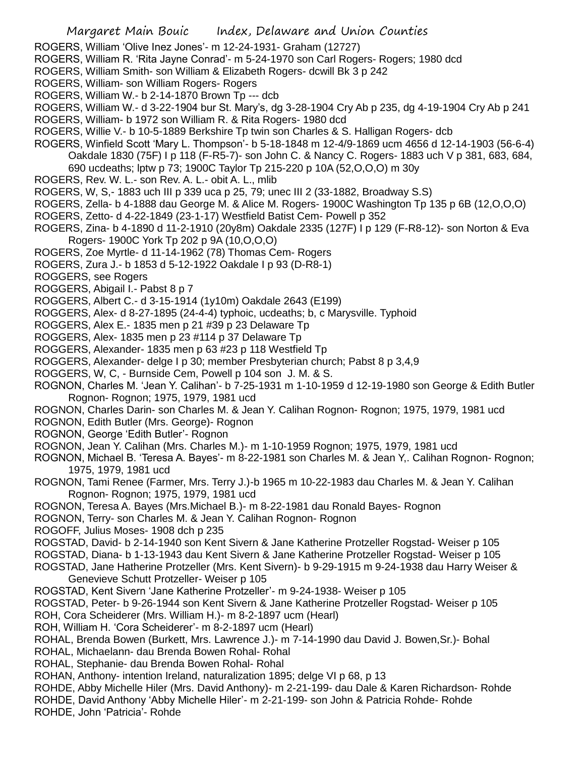- ROGERS, William 'Olive Inez Jones'- m 12-24-1931- Graham (12727)
- ROGERS, William R. 'Rita Jayne Conrad'- m 5-24-1970 son Carl Rogers- Rogers; 1980 dcd
- ROGERS, William Smith- son William & Elizabeth Rogers- dcwill Bk 3 p 242
- ROGERS, William- son William Rogers- Rogers
- ROGERS, William W.- b 2-14-1870 Brown Tp --- dcb
- ROGERS, William W.- d 3-22-1904 bur St. Mary's, dg 3-28-1904 Cry Ab p 235, dg 4-19-1904 Cry Ab p 241
- ROGERS, William- b 1972 son William R. & Rita Rogers- 1980 dcd
- ROGERS, Willie V.- b 10-5-1889 Berkshire Tp twin son Charles & S. Halligan Rogers- dcb
- ROGERS, Winfield Scott 'Mary L. Thompson'- b 5-18-1848 m 12-4/9-1869 ucm 4656 d 12-14-1903 (56-6-4) Oakdale 1830 (75F) I p 118 (F-R5-7)- son John C. & Nancy C. Rogers- 1883 uch V p 381, 683, 684, 690 ucdeaths; lptw p 73; 1900C Taylor Tp 215-220 p 10A (52,O,O,O) m 30y
- ROGERS, Rev. W. L.- son Rev. A. L.- obit A. L., mlib
- ROGERS, W, S,- 1883 uch III p 339 uca p 25, 79; unec III 2 (33-1882, Broadway S.S)
- ROGERS, Zella- b 4-1888 dau George M. & Alice M. Rogers- 1900C Washington Tp 135 p 6B (12,O,O,O)
- ROGERS, Zetto- d 4-22-1849 (23-1-17) Westfield Batist Cem- Powell p 352
- ROGERS, Zina- b 4-1890 d 11-2-1910 (20y8m) Oakdale 2335 (127F) I p 129 (F-R8-12)- son Norton & Eva Rogers- 1900C York Tp 202 p 9A (10,O,O,O)
- ROGERS, Zoe Myrtle- d 11-14-1962 (78) Thomas Cem- Rogers
- ROGERS, Zura J.- b 1853 d 5-12-1922 Oakdale I p 93 (D-R8-1)
- ROGGERS, see Rogers
- ROGGERS, Abigail I.- Pabst 8 p 7
- ROGGERS, Albert C.- d 3-15-1914 (1y10m) Oakdale 2643 (E199)
- ROGGERS, Alex- d 8-27-1895 (24-4-4) typhoic, ucdeaths; b, c Marysville. Typhoid
- ROGGERS, Alex E.- 1835 men p 21 #39 p 23 Delaware Tp
- ROGGERS, Alex- 1835 men p 23 #114 p 37 Delaware Tp
- ROGGERS, Alexander- 1835 men p 63 #23 p 118 Westfield Tp
- ROGGERS, Alexander- delge I p 30; member Presbyterian church; Pabst 8 p 3,4,9
- ROGGERS, W, C, Burnside Cem, Powell p 104 son J. M. & S.
- ROGNON, Charles M. 'Jean Y. Calihan'- b 7-25-1931 m 1-10-1959 d 12-19-1980 son George & Edith Butler Rognon- Rognon; 1975, 1979, 1981 ucd
- ROGNON, Charles Darin- son Charles M. & Jean Y. Calihan Rognon- Rognon; 1975, 1979, 1981 ucd
- ROGNON, Edith Butler (Mrs. George)- Rognon
- ROGNON, George 'Edith Butler'- Rognon
- ROGNON, Jean Y. Calihan (Mrs. Charles M.)- m 1-10-1959 Rognon; 1975, 1979, 1981 ucd
- ROGNON, Michael B. 'Teresa A. Bayes'- m 8-22-1981 son Charles M. & Jean Y,. Calihan Rognon- Rognon; 1975, 1979, 1981 ucd
- ROGNON, Tami Renee (Farmer, Mrs. Terry J.)-b 1965 m 10-22-1983 dau Charles M. & Jean Y. Calihan Rognon- Rognon; 1975, 1979, 1981 ucd
- ROGNON, Teresa A. Bayes (Mrs.Michael B.)- m 8-22-1981 dau Ronald Bayes- Rognon
- ROGNON, Terry- son Charles M. & Jean Y. Calihan Rognon- Rognon
- ROGOFF, Julius Moses- 1908 dch p 235
- ROGSTAD, David- b 2-14-1940 son Kent Sivern & Jane Katherine Protzeller Rogstad- Weiser p 105
- ROGSTAD, Diana- b 1-13-1943 dau Kent Sivern & Jane Katherine Protzeller Rogstad- Weiser p 105
- ROGSTAD, Jane Hatherine Protzeller (Mrs. Kent Sivern)- b 9-29-1915 m 9-24-1938 dau Harry Weiser & Genevieve Schutt Protzeller- Weiser p 105
- ROGSTAD, Kent Sivern 'Jane Katherine Protzeller'- m 9-24-1938- Weiser p 105
- ROGSTAD, Peter- b 9-26-1944 son Kent Sivern & Jane Katherine Protzeller Rogstad- Weiser p 105
- ROH, Cora Scheiderer (Mrs. William H.)- m 8-2-1897 ucm (Hearl)
- ROH, William H. 'Cora Scheiderer'- m 8-2-1897 ucm (Hearl)
- ROHAL, Brenda Bowen (Burkett, Mrs. Lawrence J.)- m 7-14-1990 dau David J. Bowen,Sr.)- Bohal
- ROHAL, Michaelann- dau Brenda Bowen Rohal- Rohal
- ROHAL, Stephanie- dau Brenda Bowen Rohal- Rohal
- ROHAN, Anthony- intention Ireland, naturalization 1895; delge VI p 68, p 13
- ROHDE, Abby Michelle Hiler (Mrs. David Anthony)- m 2-21-199- dau Dale & Karen Richardson- Rohde ROHDE, David Anthony 'Abby Michelle Hiler'- m 2-21-199- son John & Patricia Rohde- Rohde
- ROHDE, John 'Patricia'- Rohde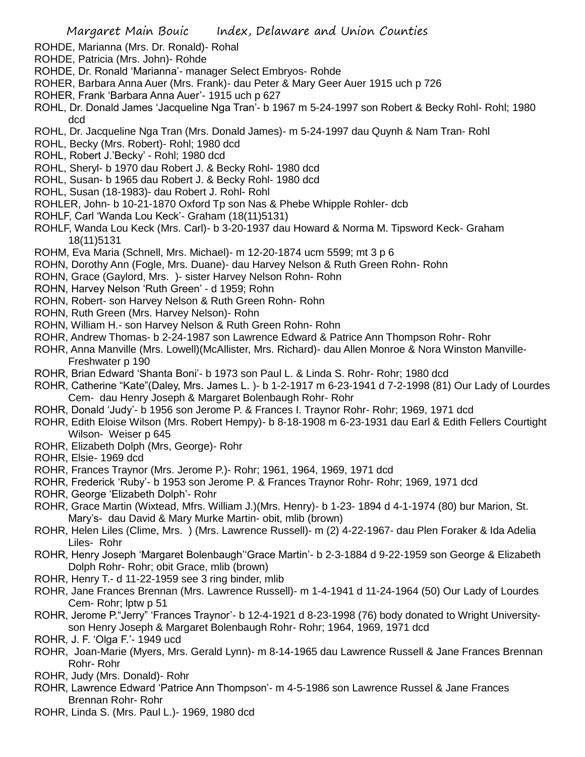- ROHDE, Marianna (Mrs. Dr. Ronald)- Rohal
- ROHDE, Patricia (Mrs. John)- Rohde
- ROHDE, Dr. Ronald 'Marianna'- manager Select Embryos- Rohde
- ROHER, Barbara Anna Auer (Mrs. Frank)- dau Peter & Mary Geer Auer 1915 uch p 726
- ROHER, Frank 'Barbara Anna Auer'- 1915 uch p 627
- ROHL, Dr. Donald James 'Jacqueline Nga Tran'- b 1967 m 5-24-1997 son Robert & Becky Rohl- Rohl; 1980 dcd
- ROHL, Dr. Jacqueline Nga Tran (Mrs. Donald James)- m 5-24-1997 dau Quynh & Nam Tran- Rohl
- ROHL, Becky (Mrs. Robert)- Rohl; 1980 dcd
- ROHL, Robert J.'Becky' Rohl; 1980 dcd
- ROHL, Sheryl- b 1970 dau Robert J. & Becky Rohl- 1980 dcd
- ROHL, Susan- b 1965 dau Robert J. & Becky Rohl- 1980 dcd
- ROHL, Susan (18-1983)- dau Robert J. Rohl- Rohl
- ROHLER, John- b 10-21-1870 Oxford Tp son Nas & Phebe Whipple Rohler- dcb
- ROHLF, Carl 'Wanda Lou Keck'- Graham (18(11)5131)
- ROHLF, Wanda Lou Keck (Mrs. Carl)- b 3-20-1937 dau Howard & Norma M. Tipsword Keck- Graham 18(11)5131
- ROHM, Eva Maria (Schnell, Mrs. Michael)- m 12-20-1874 ucm 5599; mt 3 p 6
- ROHN, Dorothy Ann (Fogle, Mrs. Duane)- dau Harvey Nelson & Ruth Green Rohn- Rohn
- ROHN, Grace (Gaylord, Mrs. )- sister Harvey Nelson Rohn- Rohn
- ROHN, Harvey Nelson 'Ruth Green' d 1959; Rohn
- ROHN, Robert- son Harvey Nelson & Ruth Green Rohn- Rohn
- ROHN, Ruth Green (Mrs. Harvey Nelson)- Rohn
- ROHN, William H.- son Harvey Nelson & Ruth Green Rohn- Rohn
- ROHR, Andrew Thomas- b 2-24-1987 son Lawrence Edward & Patrice Ann Thompson Rohr- Rohr
- ROHR, Anna Manville (Mrs. Lowell)(McAllister, Mrs. Richard)- dau Allen Monroe & Nora Winston Manville-Freshwater p 190
- ROHR, Brian Edward 'Shanta Boni'- b 1973 son Paul L. & Linda S. Rohr- Rohr; 1980 dcd
- ROHR, Catherine "Kate"(Daley, Mrs. James L. )- b 1-2-1917 m 6-23-1941 d 7-2-1998 (81) Our Lady of Lourdes Cem- dau Henry Joseph & Margaret Bolenbaugh Rohr- Rohr
- ROHR, Donald 'Judy'- b 1956 son Jerome P. & Frances I. Traynor Rohr- Rohr; 1969, 1971 dcd
- ROHR, Edith Eloise Wilson (Mrs. Robert Hempy)- b 8-18-1908 m 6-23-1931 dau Earl & Edith Fellers Courtight Wilson- Weiser p 645
- ROHR, Elizabeth Dolph (Mrs, George)- Rohr
- ROHR, Elsie- 1969 dcd
- ROHR, Frances Traynor (Mrs. Jerome P.)- Rohr; 1961, 1964, 1969, 1971 dcd
- ROHR, Frederick 'Ruby'- b 1953 son Jerome P. & Frances Traynor Rohr- Rohr; 1969, 1971 dcd
- ROHR, George 'Elizabeth Dolph'- Rohr
- ROHR, Grace Martin (Wixtead, Mfrs. William J.)(Mrs. Henry)- b 1-23- 1894 d 4-1-1974 (80) bur Marion, St. Mary's- dau David & Mary Murke Martin- obit, mlib (brown)
- ROHR, Helen Liles (Clime, Mrs. ) (Mrs. Lawrence Russell)- m (2) 4-22-1967- dau Plen Foraker & Ida Adelia Liles- Rohr
- ROHR, Henry Joseph 'Margaret Bolenbaugh''Grace Martin'- b 2-3-1884 d 9-22-1959 son George & Elizabeth Dolph Rohr- Rohr; obit Grace, mlib (brown)
- ROHR, Henry T.- d 11-22-1959 see 3 ring binder, mlib
- ROHR, Jane Frances Brennan (Mrs. Lawrence Russell)- m 1-4-1941 d 11-24-1964 (50) Our Lady of Lourdes Cem- Rohr; lptw p 51
- ROHR, Jerome P."Jerry" 'Frances Traynor'- b 12-4-1921 d 8-23-1998 (76) body donated to Wright Universityson Henry Joseph & Margaret Bolenbaugh Rohr- Rohr; 1964, 1969, 1971 dcd
- ROHR, J. F. 'Olga F.'- 1949 ucd
- ROHR, Joan-Marie (Myers, Mrs. Gerald Lynn)- m 8-14-1965 dau Lawrence Russell & Jane Frances Brennan Rohr- Rohr
- ROHR, Judy (Mrs. Donald)- Rohr
- ROHR, Lawrence Edward 'Patrice Ann Thompson'- m 4-5-1986 son Lawrence Russel & Jane Frances Brennan Rohr- Rohr
- ROHR, Linda S. (Mrs. Paul L.)- 1969, 1980 dcd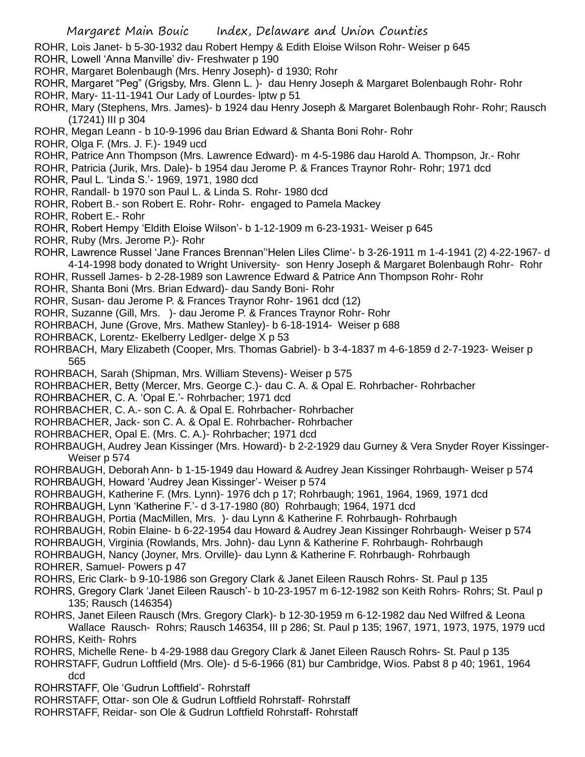- ROHR, Lois Janet- b 5-30-1932 dau Robert Hempy & Edith Eloise Wilson Rohr- Weiser p 645
- ROHR, Lowell 'Anna Manville' div- Freshwater p 190
- ROHR, Margaret Bolenbaugh (Mrs. Henry Joseph)- d 1930; Rohr
- ROHR, Margaret "Peg" (Grigsby, Mrs. Glenn L. )- dau Henry Joseph & Margaret Bolenbaugh Rohr- Rohr
- ROHR, Mary- 11-11-1941 Our Lady of Lourdes- lptw p 51
- ROHR, Mary (Stephens, Mrs. James)- b 1924 dau Henry Joseph & Margaret Bolenbaugh Rohr- Rohr; Rausch (17241) III p 304
- ROHR, Megan Leann b 10-9-1996 dau Brian Edward & Shanta Boni Rohr- Rohr
- ROHR, Olga F. (Mrs. J. F.)- 1949 ucd
- ROHR, Patrice Ann Thompson (Mrs. Lawrence Edward)- m 4-5-1986 dau Harold A. Thompson, Jr.- Rohr
- ROHR, Patricia (Jurik, Mrs. Dale)- b 1954 dau Jerome P. & Frances Traynor Rohr- Rohr; 1971 dcd
- ROHR, Paul L. 'Linda S.'- 1969, 1971, 1980 dcd
- ROHR, Randall- b 1970 son Paul L. & Linda S. Rohr- 1980 dcd
- ROHR, Robert B.- son Robert E. Rohr- Rohr- engaged to Pamela Mackey
- ROHR, Robert E.- Rohr
- ROHR, Robert Hempy 'Eldith Eloise Wilson'- b 1-12-1909 m 6-23-1931- Weiser p 645
- ROHR, Ruby (Mrs. Jerome P.)- Rohr
- ROHR, Lawrence Russel 'Jane Frances Brennan''Helen Liles Clime'- b 3-26-1911 m 1-4-1941 (2) 4-22-1967- d 4-14-1998 body donated to Wright University- son Henry Joseph & Margaret Bolenbaugh Rohr- Rohr
- ROHR, Russell James- b 2-28-1989 son Lawrence Edward & Patrice Ann Thompson Rohr- Rohr
- ROHR, Shanta Boni (Mrs. Brian Edward)- dau Sandy Boni- Rohr
- ROHR, Susan- dau Jerome P. & Frances Traynor Rohr- 1961 dcd (12)
- ROHR, Suzanne (Gill, Mrs. )- dau Jerome P. & Frances Traynor Rohr- Rohr
- ROHRBACH, June (Grove, Mrs. Mathew Stanley)- b 6-18-1914- Weiser p 688
- ROHRBACK, Lorentz- Ekelberry Ledlger- delge X p 53
- ROHRBACH, Mary Elizabeth (Cooper, Mrs. Thomas Gabriel)- b 3-4-1837 m 4-6-1859 d 2-7-1923- Weiser p 565
- ROHRBACH, Sarah (Shipman, Mrs. William Stevens)- Weiser p 575
- ROHRBACHER, Betty (Mercer, Mrs. George C.)- dau C. A. & Opal E. Rohrbacher- Rohrbacher
- ROHRBACHER, C. A. 'Opal E.'- Rohrbacher; 1971 dcd
- ROHRBACHER, C. A.- son C. A. & Opal E. Rohrbacher- Rohrbacher
- ROHRBACHER, Jack- son C. A. & Opal E. Rohrbacher- Rohrbacher
- ROHRBACHER, Opal E. (Mrs. C. A.)- Rohrbacher; 1971 dcd
- ROHRBAUGH, Audrey Jean Kissinger (Mrs. Howard)- b 2-2-1929 dau Gurney & Vera Snyder Royer Kissinger-Weiser p 574
- ROHRBAUGH, Deborah Ann- b 1-15-1949 dau Howard & Audrey Jean Kissinger Rohrbaugh- Weiser p 574
- ROHRBAUGH, Howard 'Audrey Jean Kissinger'- Weiser p 574
- ROHRBAUGH, Katherine F. (Mrs. Lynn)- 1976 dch p 17; Rohrbaugh; 1961, 1964, 1969, 1971 dcd
- ROHRBAUGH, Lynn 'Katherine F.'- d 3-17-1980 (80) Rohrbaugh; 1964, 1971 dcd
- ROHRBAUGH, Portia (MacMillen, Mrs. )- dau Lynn & Katherine F. Rohrbaugh- Rohrbaugh
- ROHRBAUGH, Robin Elaine- b 6-22-1954 dau Howard & Audrey Jean Kissinger Rohrbaugh- Weiser p 574
- ROHRBAUGH, Virginia (Rowlands, Mrs. John)- dau Lynn & Katherine F. Rohrbaugh- Rohrbaugh
- ROHRBAUGH, Nancy (Joyner, Mrs. Orville)- dau Lynn & Katherine F. Rohrbaugh- Rohrbaugh ROHRER, Samuel- Powers p 47
- ROHRS, Eric Clark- b 9-10-1986 son Gregory Clark & Janet Eileen Rausch Rohrs- St. Paul p 135
- ROHRS, Gregory Clark 'Janet Eileen Rausch'- b 10-23-1957 m 6-12-1982 son Keith Rohrs- Rohrs; St. Paul p 135; Rausch (146354)
- ROHRS, Janet Eileen Rausch (Mrs. Gregory Clark)- b 12-30-1959 m 6-12-1982 dau Ned Wilfred & Leona Wallace Rausch- Rohrs; Rausch 146354, III p 286; St. Paul p 135; 1967, 1971, 1973, 1975, 1979 ucd ROHRS, Keith- Rohrs
- ROHRS, Michelle Rene- b 4-29-1988 dau Gregory Clark & Janet Eileen Rausch Rohrs- St. Paul p 135
- ROHRSTAFF, Gudrun Loftfield (Mrs. Ole)- d 5-6-1966 (81) bur Cambridge, Wios. Pabst 8 p 40; 1961, 1964 dcd
- ROHRSTAFF, Ole 'Gudrun Loftfield'- Rohrstaff
- ROHRSTAFF, Ottar- son Ole & Gudrun Loftfield Rohrstaff- Rohrstaff
- ROHRSTAFF, Reidar- son Ole & Gudrun Loftfield Rohrstaff- Rohrstaff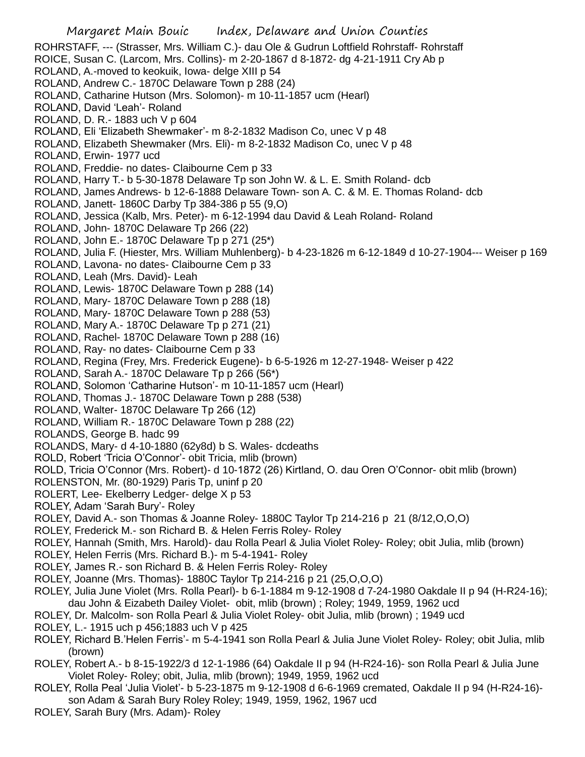Margaret Main Bouic Index, Delaware and Union Counties ROHRSTAFF, --- (Strasser, Mrs. William C.)- dau Ole & Gudrun Loftfield Rohrstaff- Rohrstaff ROICE, Susan C. (Larcom, Mrs. Collins)- m 2-20-1867 d 8-1872- dg 4-21-1911 Cry Ab p ROLAND, A.-moved to keokuik, Iowa- delge XIII p 54 ROLAND, Andrew C.- 1870C Delaware Town p 288 (24) ROLAND, Catharine Hutson (Mrs. Solomon)- m 10-11-1857 ucm (Hearl) ROLAND, David 'Leah'- Roland ROLAND, D. R.- 1883 uch V p 604 ROLAND, Eli 'Elizabeth Shewmaker'- m 8-2-1832 Madison Co, unec V p 48 ROLAND, Elizabeth Shewmaker (Mrs. Eli)- m 8-2-1832 Madison Co, unec V p 48 ROLAND, Erwin- 1977 ucd ROLAND, Freddie- no dates- Claibourne Cem p 33 ROLAND, Harry T.- b 5-30-1878 Delaware Tp son John W. & L. E. Smith Roland- dcb ROLAND, James Andrews- b 12-6-1888 Delaware Town- son A. C. & M. E. Thomas Roland- dcb ROLAND, Janett- 1860C Darby Tp 384-386 p 55 (9,O) ROLAND, Jessica (Kalb, Mrs. Peter)- m 6-12-1994 dau David & Leah Roland- Roland ROLAND, John- 1870C Delaware Tp 266 (22) ROLAND, John E.- 1870C Delaware Tp p 271 (25\*) ROLAND, Julia F. (Hiester, Mrs. William Muhlenberg)- b 4-23-1826 m 6-12-1849 d 10-27-1904--- Weiser p 169 ROLAND, Lavona- no dates- Claibourne Cem p 33 ROLAND, Leah (Mrs. David)- Leah ROLAND, Lewis- 1870C Delaware Town p 288 (14) ROLAND, Mary- 1870C Delaware Town p 288 (18) ROLAND, Mary- 1870C Delaware Town p 288 (53) ROLAND, Mary A.- 1870C Delaware Tp p 271 (21) ROLAND, Rachel- 1870C Delaware Town p 288 (16) ROLAND, Ray- no dates- Claibourne Cem p 33 ROLAND, Regina (Frey, Mrs. Frederick Eugene)- b 6-5-1926 m 12-27-1948- Weiser p 422 ROLAND, Sarah A.- 1870C Delaware Tp p 266 (56\*) ROLAND, Solomon 'Catharine Hutson'- m 10-11-1857 ucm (Hearl) ROLAND, Thomas J.- 1870C Delaware Town p 288 (538) ROLAND, Walter- 1870C Delaware Tp 266 (12) ROLAND, William R.- 1870C Delaware Town p 288 (22) ROLANDS, George B. hadc 99 ROLANDS, Mary- d 4-10-1880 (62y8d) b S. Wales- dcdeaths ROLD, Robert 'Tricia O'Connor'- obit Tricia, mlib (brown) ROLD, Tricia O'Connor (Mrs. Robert)- d 10-1872 (26) Kirtland, O. dau Oren O'Connor- obit mlib (brown) ROLENSTON, Mr. (80-1929) Paris Tp, uninf p 20 ROLERT, Lee- Ekelberry Ledger- delge X p 53 ROLEY, Adam 'Sarah Bury'- Roley ROLEY, David A.- son Thomas & Joanne Roley- 1880C Taylor Tp 214-216 p 21 (8/12,O,O,O) ROLEY, Frederick M.- son Richard B. & Helen Ferris Roley- Roley ROLEY, Hannah (Smith, Mrs. Harold)- dau Rolla Pearl & Julia Violet Roley- Roley; obit Julia, mlib (brown) ROLEY, Helen Ferris (Mrs. Richard B.)- m 5-4-1941- Roley ROLEY, James R.- son Richard B. & Helen Ferris Roley- Roley ROLEY, Joanne (Mrs. Thomas)- 1880C Taylor Tp 214-216 p 21 (25,O,O,O) ROLEY, Julia June Violet (Mrs. Rolla Pearl)- b 6-1-1884 m 9-12-1908 d 7-24-1980 Oakdale II p 94 (H-R24-16); dau John & Eizabeth Dailey Violet- obit, mlib (brown) ; Roley; 1949, 1959, 1962 ucd ROLEY, Dr. Malcolm- son Rolla Pearl & Julia Violet Roley- obit Julia, mlib (brown) ; 1949 ucd ROLEY, L.- 1915 uch p 456;1883 uch V p 425 ROLEY, Richard B.'Helen Ferris'- m 5-4-1941 son Rolla Pearl & Julia June Violet Roley- Roley; obit Julia, mlib (brown) ROLEY, Robert A.- b 8-15-1922/3 d 12-1-1986 (64) Oakdale II p 94 (H-R24-16)- son Rolla Pearl & Julia June Violet Roley- Roley; obit, Julia, mlib (brown); 1949, 1959, 1962 ucd

- ROLEY, Rolla Peal 'Julia Violet'- b 5-23-1875 m 9-12-1908 d 6-6-1969 cremated, Oakdale II p 94 (H-R24-16) son Adam & Sarah Bury Roley Roley; 1949, 1959, 1962, 1967 ucd
- ROLEY, Sarah Bury (Mrs. Adam)- Roley